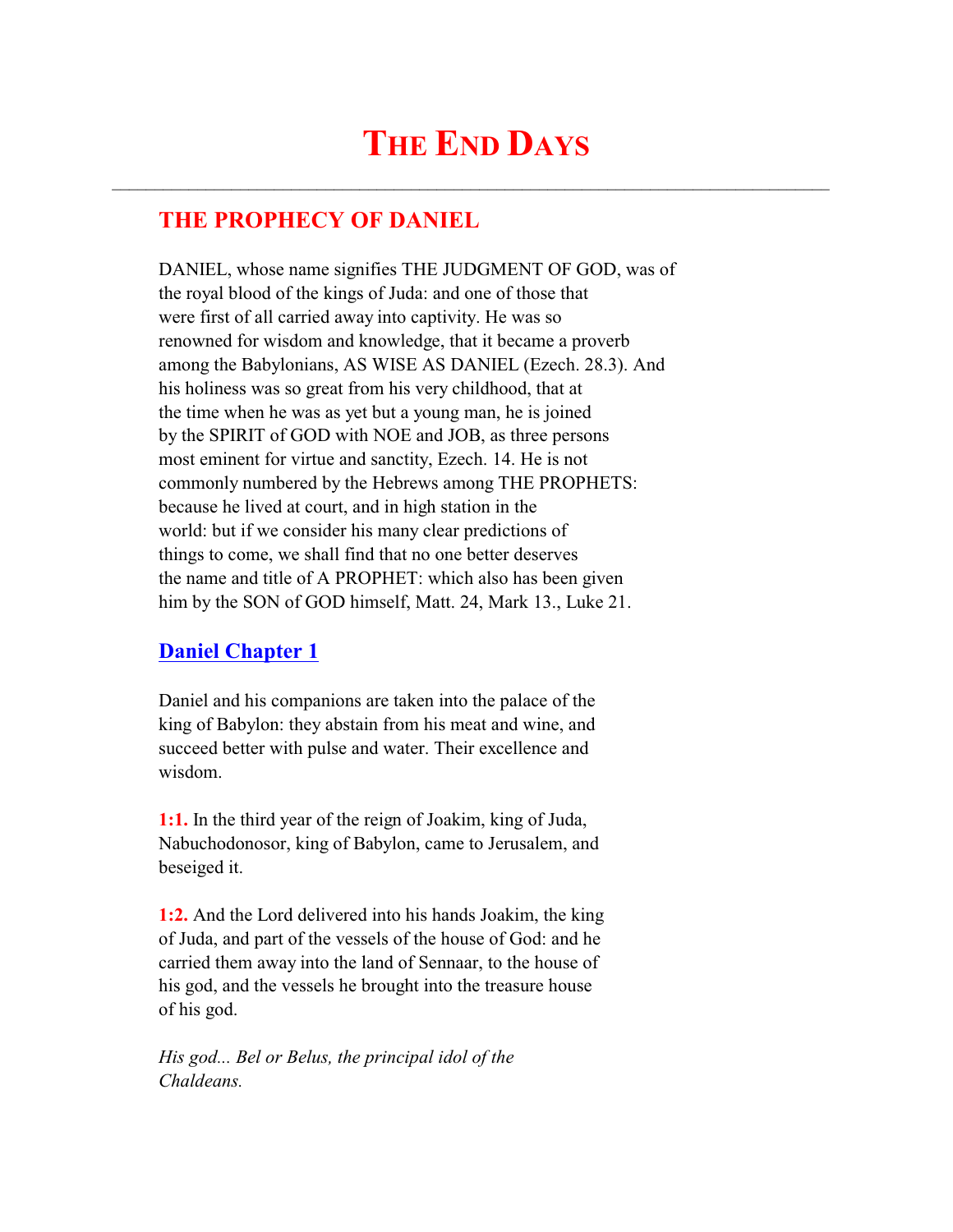# **THE END DAYS**

 $\mathcal{L}_\text{max}$  and  $\mathcal{L}_\text{max}$  and  $\mathcal{L}_\text{max}$  and  $\mathcal{L}_\text{max}$  and  $\mathcal{L}_\text{max}$  and  $\mathcal{L}_\text{max}$ 

# **THE PROPHECY OF DANIEL**

 DANIEL, whose name signifies THE JUDGMENT OF GOD, was of the royal blood of the kings of Juda: and one of those that were first of all carried away into captivity. He was so renowned for wisdom and knowledge, that it became a proverb among the Babylonians, AS WISE AS DANIEL (Ezech. 28.3). And his holiness was so great from his very childhood, that at the time when he was as yet but a young man, he is joined by the SPIRIT of GOD with NOE and JOB, as three persons most eminent for virtue and sanctity, Ezech. 14. He is not commonly numbered by the Hebrews among THE PROPHETS: because he lived at court, and in high station in the world: but if we consider his many clear predictions of things to come, we shall find that no one better deserves the name and title of A PROPHET: which also has been given him by the SON of GOD himself, Matt. 24, Mark 13., Luke 21.

# **Daniel Chapter 1**

 Daniel and his companions are taken into the palace of the king of Babylon: they abstain from his meat and wine, and succeed better with pulse and water. Their excellence and wisdom.

 **1:1.** In the third year of the reign of Joakim, king of Juda, Nabuchodonosor, king of Babylon, came to Jerusalem, and beseiged it.

 **1:2.** And the Lord delivered into his hands Joakim, the king of Juda, and part of the vessels of the house of God: and he carried them away into the land of Sennaar, to the house of his god, and the vessels he brought into the treasure house of his god.

 *His god... Bel or Belus, the principal idol of the Chaldeans.*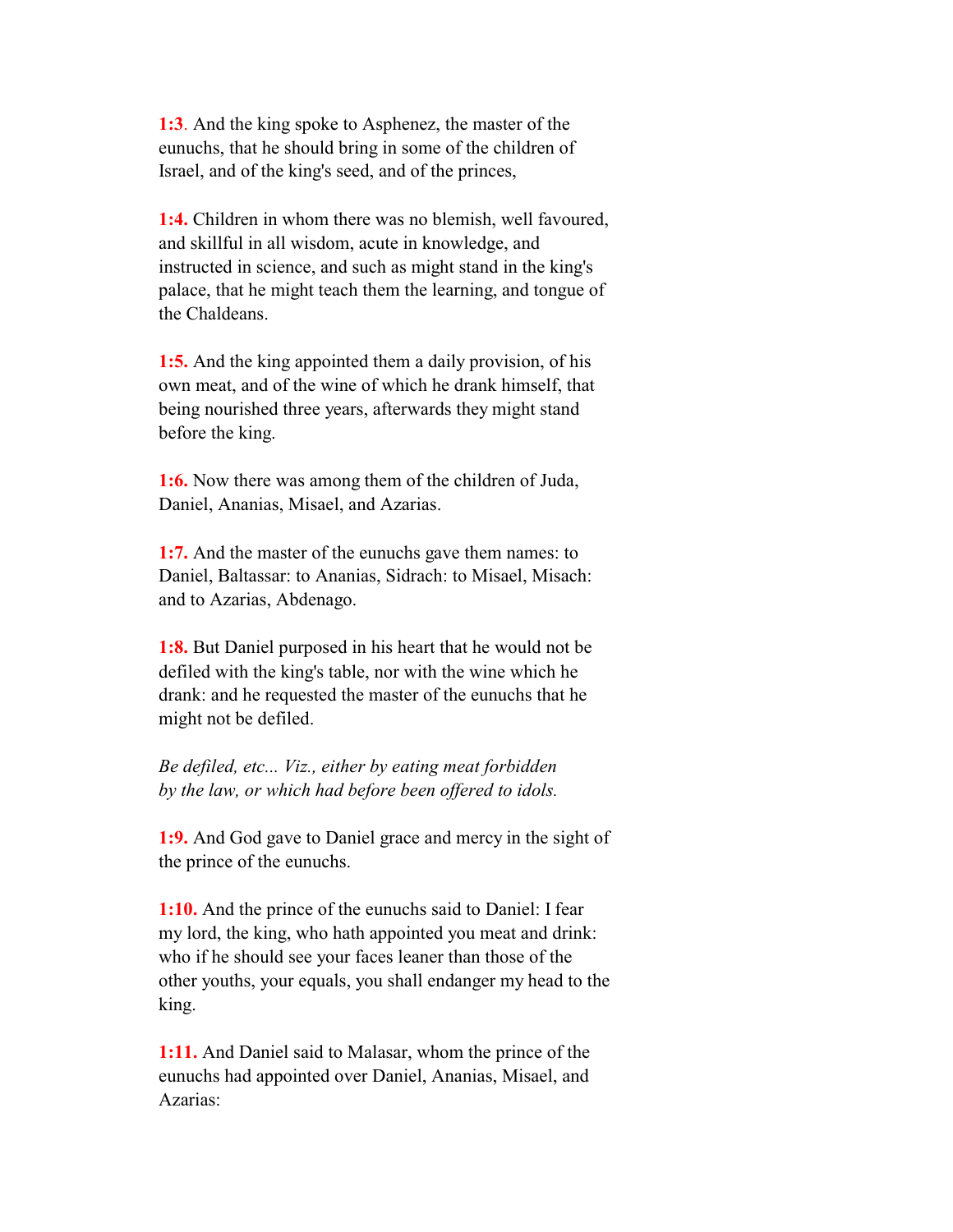**1:3**. And the king spoke to Asphenez, the master of the eunuchs, that he should bring in some of the children of Israel, and of the king's seed, and of the princes,

 **1:4.** Children in whom there was no blemish, well favoured, and skillful in all wisdom, acute in knowledge, and instructed in science, and such as might stand in the king's palace, that he might teach them the learning, and tongue of the Chaldeans.

 **1:5.** And the king appointed them a daily provision, of his own meat, and of the wine of which he drank himself, that being nourished three years, afterwards they might stand before the king.

 **1:6.** Now there was among them of the children of Juda, Daniel, Ananias, Misael, and Azarias.

 **1:7.** And the master of the eunuchs gave them names: to Daniel, Baltassar: to Ananias, Sidrach: to Misael, Misach: and to Azarias, Abdenago.

 **1:8.** But Daniel purposed in his heart that he would not be defiled with the king's table, nor with the wine which he drank: and he requested the master of the eunuchs that he might not be defiled.

 *Be defiled, etc... Viz., either by eating meat forbidden by the law, or which had before been offered to idols.*

 **1:9.** And God gave to Daniel grace and mercy in the sight of the prince of the eunuchs.

 **1:10.** And the prince of the eunuchs said to Daniel: I fear my lord, the king, who hath appointed you meat and drink: who if he should see your faces leaner than those of the other youths, your equals, you shall endanger my head to the king.

 **1:11.** And Daniel said to Malasar, whom the prince of the eunuchs had appointed over Daniel, Ananias, Misael, and Azarias: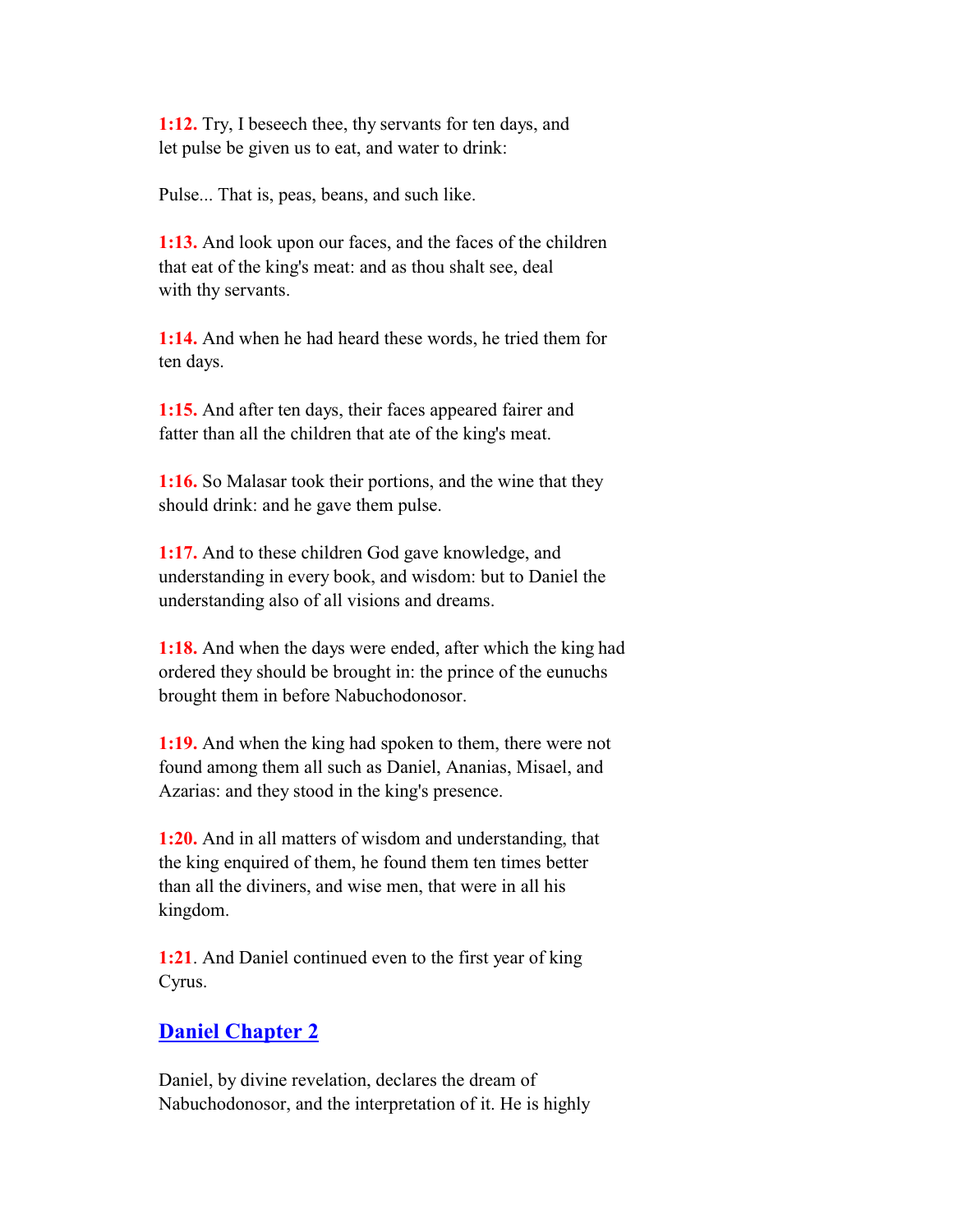**1:12.** Try, I beseech thee, thy servants for ten days, and let pulse be given us to eat, and water to drink:

Pulse... That is, peas, beans, and such like.

 **1:13.** And look upon our faces, and the faces of the children that eat of the king's meat: and as thou shalt see, deal with thy servants.

 **1:14.** And when he had heard these words, he tried them for ten days.

 **1:15.** And after ten days, their faces appeared fairer and fatter than all the children that ate of the king's meat.

 **1:16.** So Malasar took their portions, and the wine that they should drink: and he gave them pulse.

 **1:17.** And to these children God gave knowledge, and understanding in every book, and wisdom: but to Daniel the understanding also of all visions and dreams.

 **1:18.** And when the days were ended, after which the king had ordered they should be brought in: the prince of the eunuchs brought them in before Nabuchodonosor.

 **1:19.** And when the king had spoken to them, there were not found among them all such as Daniel, Ananias, Misael, and Azarias: and they stood in the king's presence.

 **1:20.** And in all matters of wisdom and understanding, that the king enquired of them, he found them ten times better than all the diviners, and wise men, that were in all his kingdom.

 **1:21**. And Daniel continued even to the first year of king Cyrus.

### **Daniel Chapter 2**

 Daniel, by divine revelation, declares the dream of Nabuchodonosor, and the interpretation of it. He is highly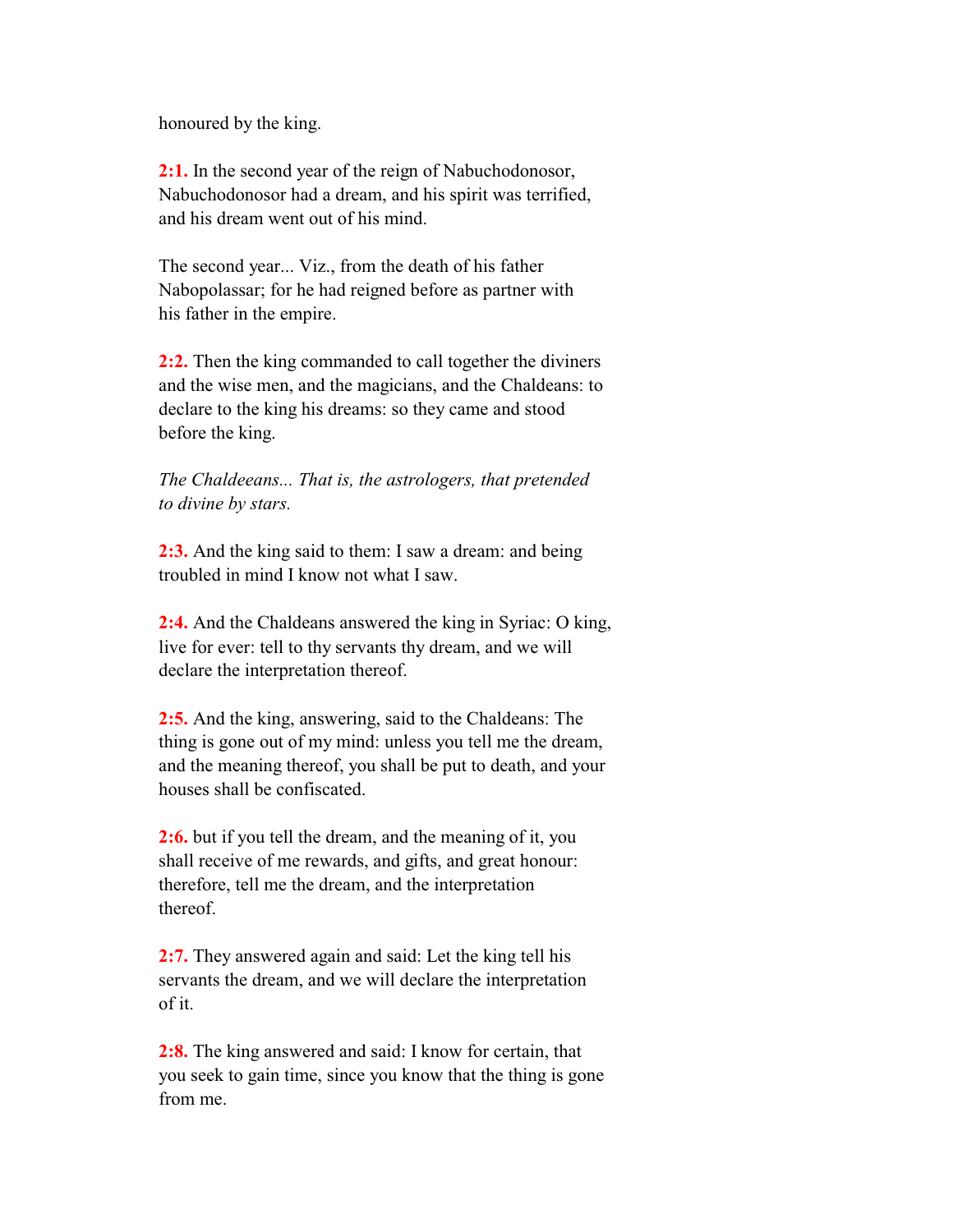honoured by the king.

 **2:1.** In the second year of the reign of Nabuchodonosor, Nabuchodonosor had a dream, and his spirit was terrified, and his dream went out of his mind.

 The second year... Viz., from the death of his father Nabopolassar; for he had reigned before as partner with his father in the empire.

 **2:2.** Then the king commanded to call together the diviners and the wise men, and the magicians, and the Chaldeans: to declare to the king his dreams: so they came and stood before the king.

 *The Chaldeeans... That is, the astrologers, that pretended to divine by stars.*

 **2:3.** And the king said to them: I saw a dream: and being troubled in mind I know not what I saw.

 **2:4.** And the Chaldeans answered the king in Syriac: O king, live for ever: tell to thy servants thy dream, and we will declare the interpretation thereof.

 **2:5.** And the king, answering, said to the Chaldeans: The thing is gone out of my mind: unless you tell me the dream, and the meaning thereof, you shall be put to death, and your houses shall be confiscated.

 **2:6.** but if you tell the dream, and the meaning of it, you shall receive of me rewards, and gifts, and great honour: therefore, tell me the dream, and the interpretation thereof.

 **2:7.** They answered again and said: Let the king tell his servants the dream, and we will declare the interpretation of it.

 **2:8.** The king answered and said: I know for certain, that you seek to gain time, since you know that the thing is gone from me.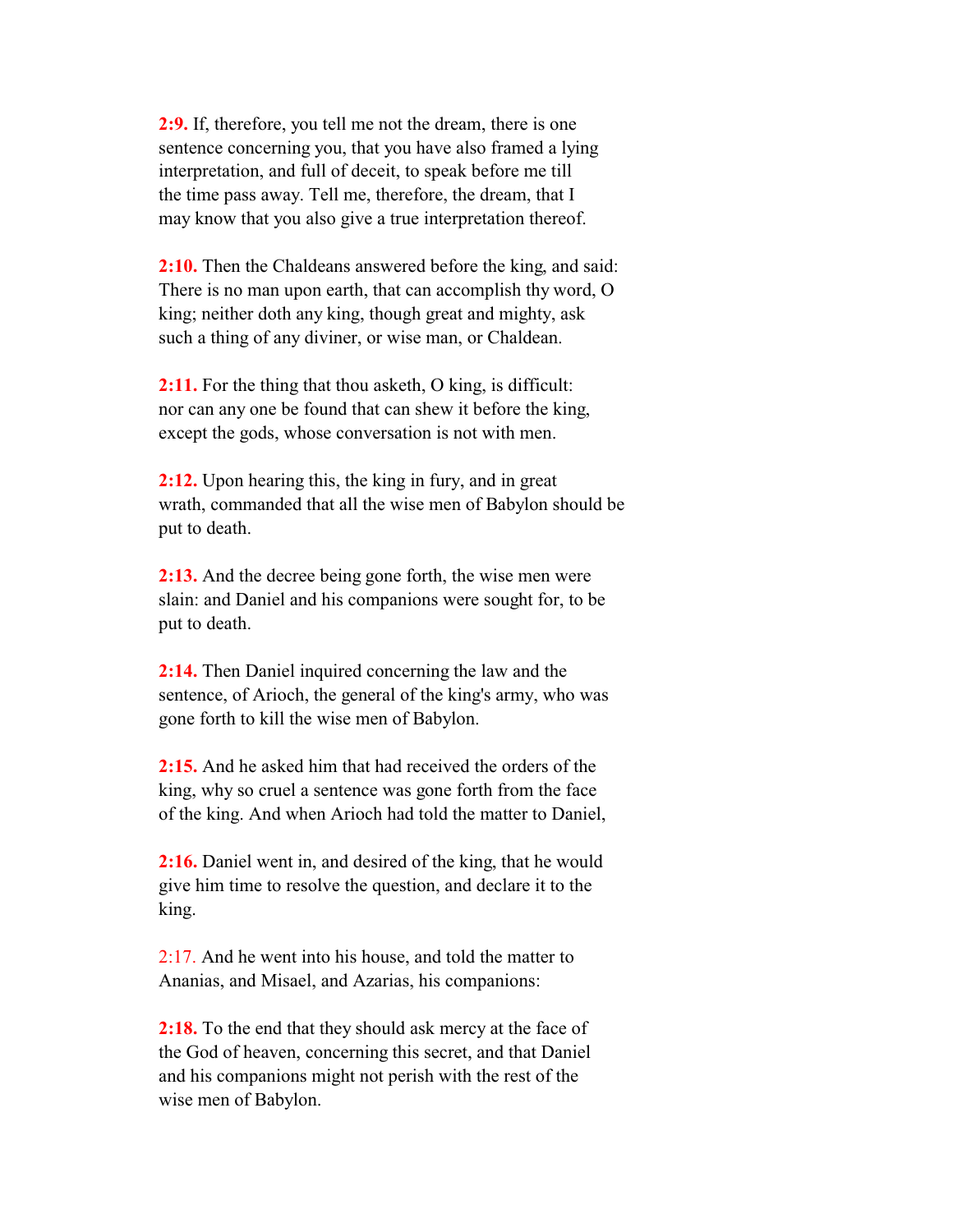**2:9.** If, therefore, you tell me not the dream, there is one sentence concerning you, that you have also framed a lying interpretation, and full of deceit, to speak before me till the time pass away. Tell me, therefore, the dream, that I may know that you also give a true interpretation thereof.

 **2:10.** Then the Chaldeans answered before the king, and said: There is no man upon earth, that can accomplish thy word, O king; neither doth any king, though great and mighty, ask such a thing of any diviner, or wise man, or Chaldean.

**2:11.** For the thing that thou asketh, O king, is difficult: nor can any one be found that can shew it before the king, except the gods, whose conversation is not with men.

 **2:12.** Upon hearing this, the king in fury, and in great wrath, commanded that all the wise men of Babylon should be put to death.

 **2:13.** And the decree being gone forth, the wise men were slain: and Daniel and his companions were sought for, to be put to death.

 **2:14.** Then Daniel inquired concerning the law and the sentence, of Arioch, the general of the king's army, who was gone forth to kill the wise men of Babylon.

 **2:15.** And he asked him that had received the orders of the king, why so cruel a sentence was gone forth from the face of the king. And when Arioch had told the matter to Daniel,

 **2:16.** Daniel went in, and desired of the king, that he would give him time to resolve the question, and declare it to the king.

2:17. And he went into his house, and told the matter to Ananias, and Misael, and Azarias, his companions:

**2:18.** To the end that they should ask mercy at the face of the God of heaven, concerning this secret, and that Daniel and his companions might not perish with the rest of the wise men of Babylon.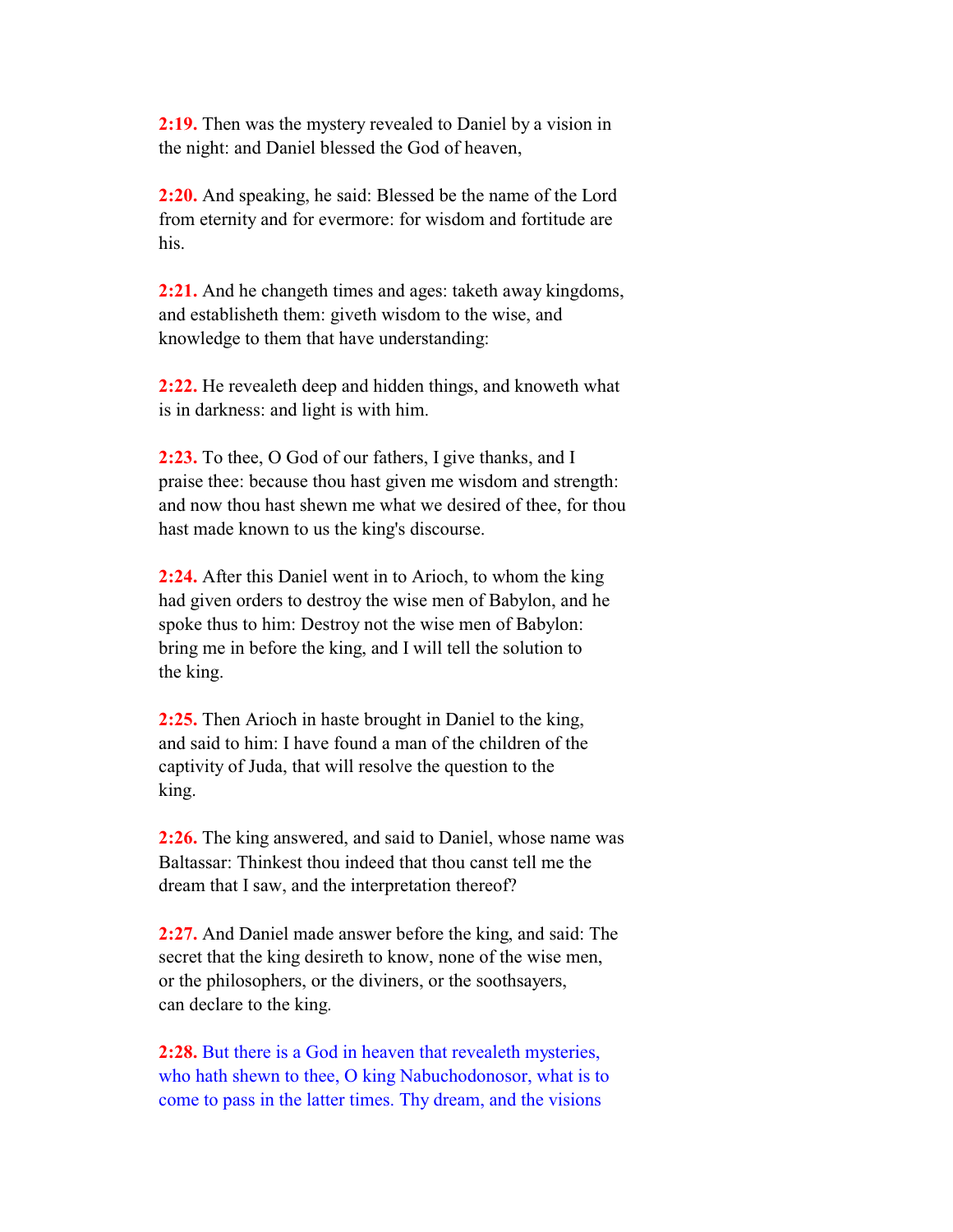**2:19.** Then was the mystery revealed to Daniel by a vision in the night: and Daniel blessed the God of heaven,

 **2:20.** And speaking, he said: Blessed be the name of the Lord from eternity and for evermore: for wisdom and fortitude are his.

 **2:21.** And he changeth times and ages: taketh away kingdoms, and establisheth them: giveth wisdom to the wise, and knowledge to them that have understanding:

 **2:22.** He revealeth deep and hidden things, and knoweth what is in darkness: and light is with him.

 **2:23.** To thee, O God of our fathers, I give thanks, and I praise thee: because thou hast given me wisdom and strength: and now thou hast shewn me what we desired of thee, for thou hast made known to us the king's discourse.

 **2:24.** After this Daniel went in to Arioch, to whom the king had given orders to destroy the wise men of Babylon, and he spoke thus to him: Destroy not the wise men of Babylon: bring me in before the king, and I will tell the solution to the king.

 **2:25.** Then Arioch in haste brought in Daniel to the king, and said to him: I have found a man of the children of the captivity of Juda, that will resolve the question to the king.

 **2:26.** The king answered, and said to Daniel, whose name was Baltassar: Thinkest thou indeed that thou canst tell me the dream that I saw, and the interpretation thereof?

 **2:27.** And Daniel made answer before the king, and said: The secret that the king desireth to know, none of the wise men, or the philosophers, or the diviners, or the soothsayers, can declare to the king.

 **2:28.** But there is a God in heaven that revealeth mysteries, who hath shewn to thee, O king Nabuchodonosor, what is to come to pass in the latter times. Thy dream, and the visions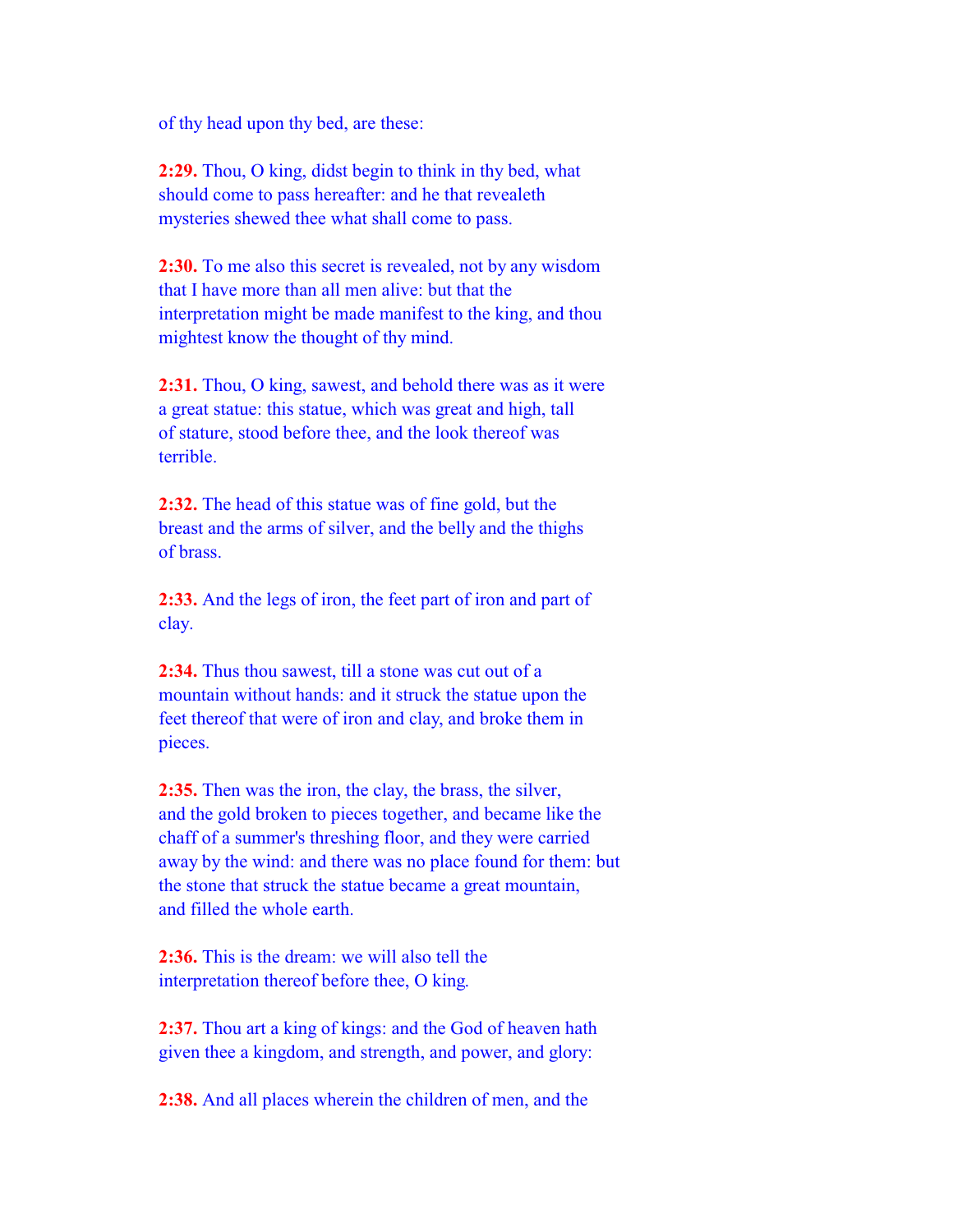of thy head upon thy bed, are these:

 **2:29.** Thou, O king, didst begin to think in thy bed, what should come to pass hereafter: and he that revealeth mysteries shewed thee what shall come to pass.

 **2:30.** To me also this secret is revealed, not by any wisdom that I have more than all men alive: but that the interpretation might be made manifest to the king, and thou mightest know the thought of thy mind.

 **2:31.** Thou, O king, sawest, and behold there was as it were a great statue: this statue, which was great and high, tall of stature, stood before thee, and the look thereof was terrible.

 **2:32.** The head of this statue was of fine gold, but the breast and the arms of silver, and the belly and the thighs of brass.

 **2:33.** And the legs of iron, the feet part of iron and part of clay.

 **2:34.** Thus thou sawest, till a stone was cut out of a mountain without hands: and it struck the statue upon the feet thereof that were of iron and clay, and broke them in pieces.

 **2:35.** Then was the iron, the clay, the brass, the silver, and the gold broken to pieces together, and became like the chaff of a summer's threshing floor, and they were carried away by the wind: and there was no place found for them: but the stone that struck the statue became a great mountain, and filled the whole earth.

 **2:36.** This is the dream: we will also tell the interpretation thereof before thee, O king.

 **2:37.** Thou art a king of kings: and the God of heaven hath given thee a kingdom, and strength, and power, and glory:

**2:38.** And all places wherein the children of men, and the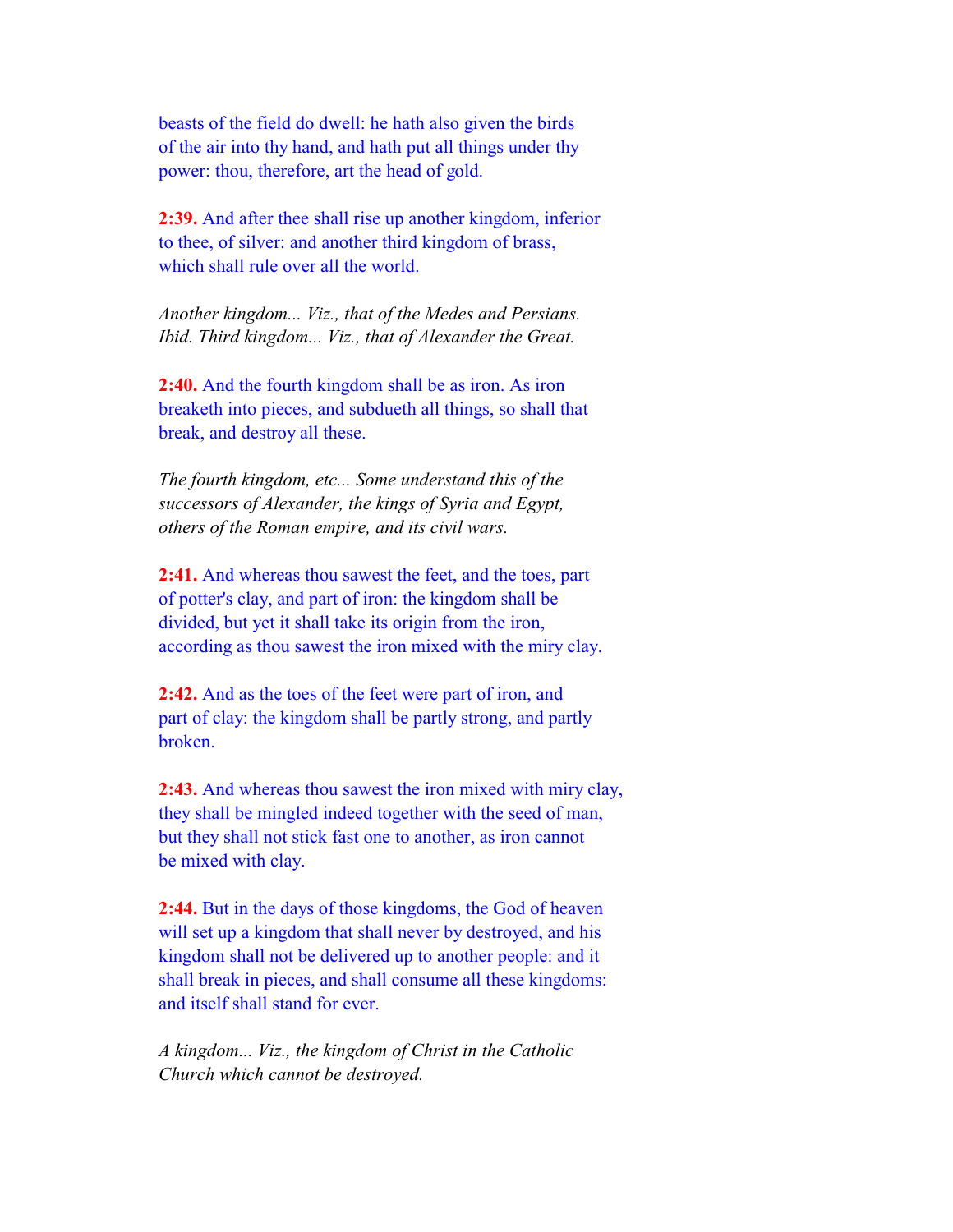beasts of the field do dwell: he hath also given the birds of the air into thy hand, and hath put all things under thy power: thou, therefore, art the head of gold.

 **2:39.** And after thee shall rise up another kingdom, inferior to thee, of silver: and another third kingdom of brass, which shall rule over all the world.

 *Another kingdom... Viz., that of the Medes and Persians. Ibid. Third kingdom... Viz., that of Alexander the Great.*

 **2:40.** And the fourth kingdom shall be as iron. As iron breaketh into pieces, and subdueth all things, so shall that break, and destroy all these.

 *The fourth kingdom, etc... Some understand this of the successors of Alexander, the kings of Syria and Egypt, others of the Roman empire, and its civil wars.*

 **2:41.** And whereas thou sawest the feet, and the toes, part of potter's clay, and part of iron: the kingdom shall be divided, but yet it shall take its origin from the iron, according as thou sawest the iron mixed with the miry clay.

 **2:42.** And as the toes of the feet were part of iron, and part of clay: the kingdom shall be partly strong, and partly broken.

 **2:43.** And whereas thou sawest the iron mixed with miry clay, they shall be mingled indeed together with the seed of man, but they shall not stick fast one to another, as iron cannot be mixed with clay.

 **2:44.** But in the days of those kingdoms, the God of heaven will set up a kingdom that shall never by destroyed, and his kingdom shall not be delivered up to another people: and it shall break in pieces, and shall consume all these kingdoms: and itself shall stand for ever.

 *A kingdom... Viz., the kingdom of Christ in the Catholic Church which cannot be destroyed.*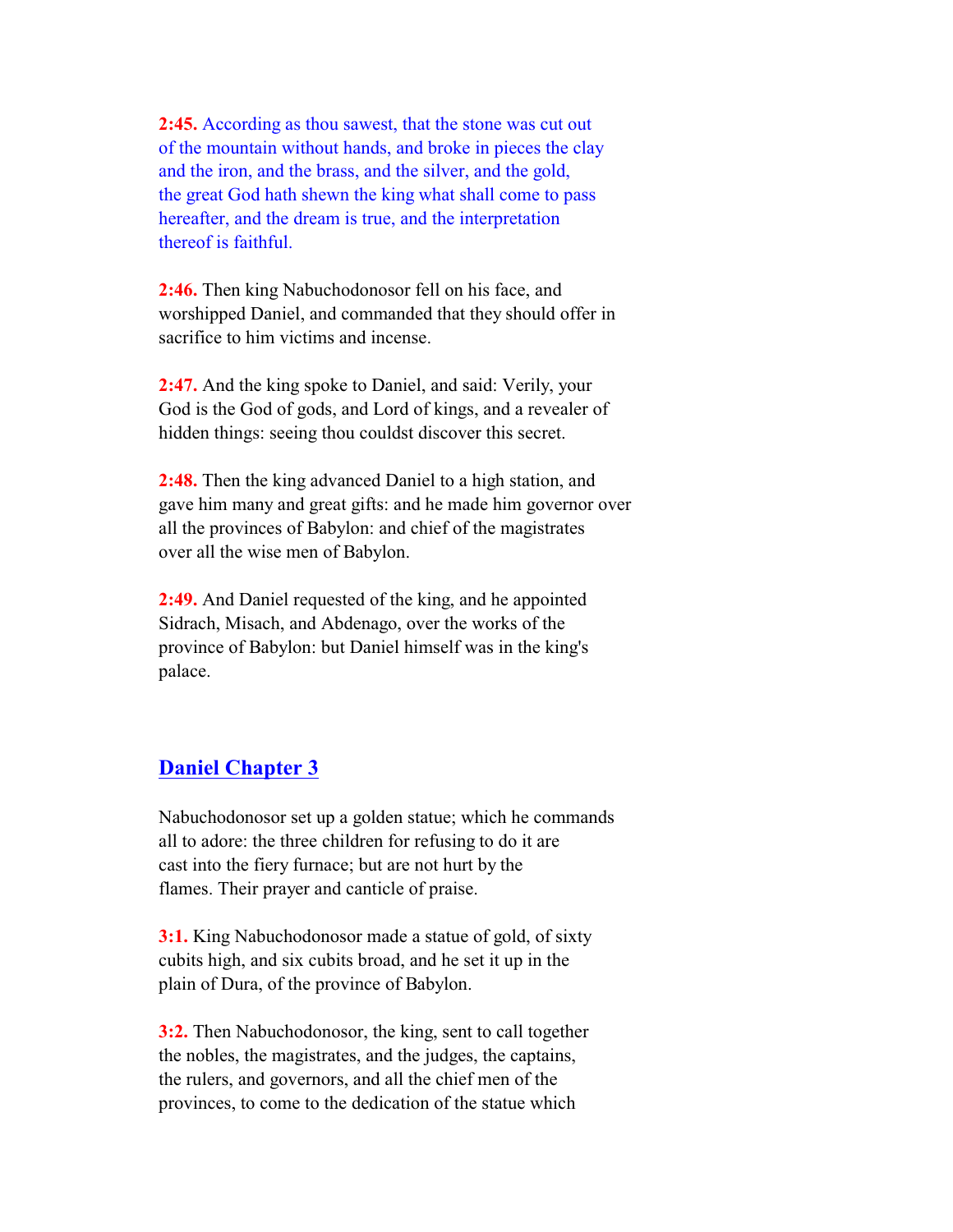**2:45.** According as thou sawest, that the stone was cut out of the mountain without hands, and broke in pieces the clay and the iron, and the brass, and the silver, and the gold, the great God hath shewn the king what shall come to pass hereafter, and the dream is true, and the interpretation thereof is faithful.

 **2:46.** Then king Nabuchodonosor fell on his face, and worshipped Daniel, and commanded that they should offer in sacrifice to him victims and incense.

 **2:47.** And the king spoke to Daniel, and said: Verily, your God is the God of gods, and Lord of kings, and a revealer of hidden things: seeing thou couldst discover this secret.

 **2:48.** Then the king advanced Daniel to a high station, and gave him many and great gifts: and he made him governor over all the provinces of Babylon: and chief of the magistrates over all the wise men of Babylon.

 **2:49.** And Daniel requested of the king, and he appointed Sidrach, Misach, and Abdenago, over the works of the province of Babylon: but Daniel himself was in the king's palace.

# **Daniel Chapter 3**

 Nabuchodonosor set up a golden statue; which he commands all to adore: the three children for refusing to do it are cast into the fiery furnace; but are not hurt by the flames. Their prayer and canticle of praise.

 **3:1.** King Nabuchodonosor made a statue of gold, of sixty cubits high, and six cubits broad, and he set it up in the plain of Dura, of the province of Babylon.

 **3:2.** Then Nabuchodonosor, the king, sent to call together the nobles, the magistrates, and the judges, the captains, the rulers, and governors, and all the chief men of the provinces, to come to the dedication of the statue which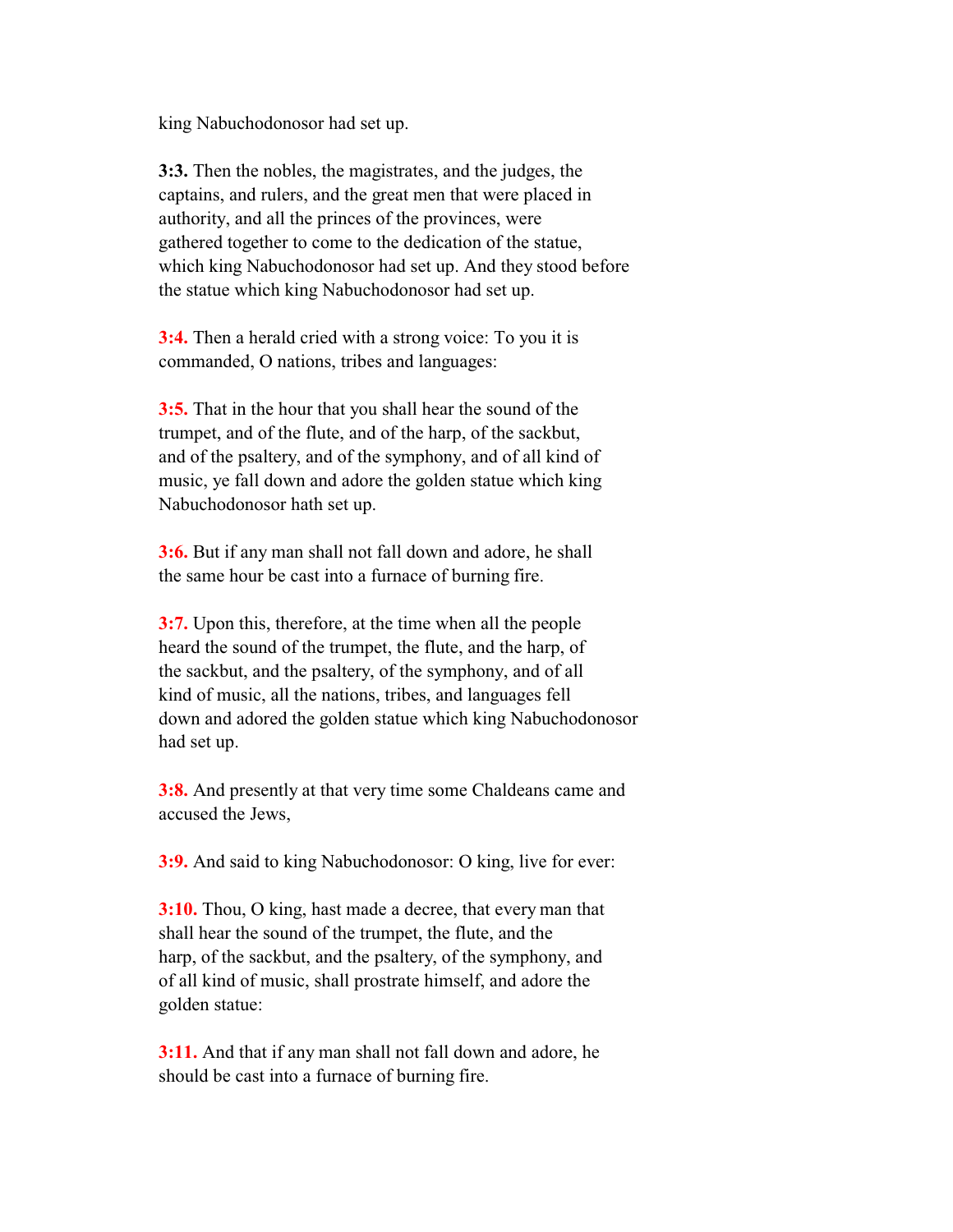king Nabuchodonosor had set up.

 **3:3.** Then the nobles, the magistrates, and the judges, the captains, and rulers, and the great men that were placed in authority, and all the princes of the provinces, were gathered together to come to the dedication of the statue, which king Nabuchodonosor had set up. And they stood before the statue which king Nabuchodonosor had set up.

 **3:4.** Then a herald cried with a strong voice: To you it is commanded, O nations, tribes and languages:

 **3:5.** That in the hour that you shall hear the sound of the trumpet, and of the flute, and of the harp, of the sackbut, and of the psaltery, and of the symphony, and of all kind of music, ye fall down and adore the golden statue which king Nabuchodonosor hath set up.

 **3:6.** But if any man shall not fall down and adore, he shall the same hour be cast into a furnace of burning fire.

 **3:7.** Upon this, therefore, at the time when all the people heard the sound of the trumpet, the flute, and the harp, of the sackbut, and the psaltery, of the symphony, and of all kind of music, all the nations, tribes, and languages fell down and adored the golden statue which king Nabuchodonosor had set up.

 **3:8.** And presently at that very time some Chaldeans came and accused the Jews,

**3:9.** And said to king Nabuchodonosor: O king, live for ever:

 **3:10.** Thou, O king, hast made a decree, that every man that shall hear the sound of the trumpet, the flute, and the harp, of the sackbut, and the psaltery, of the symphony, and of all kind of music, shall prostrate himself, and adore the golden statue:

 **3:11.** And that if any man shall not fall down and adore, he should be cast into a furnace of burning fire.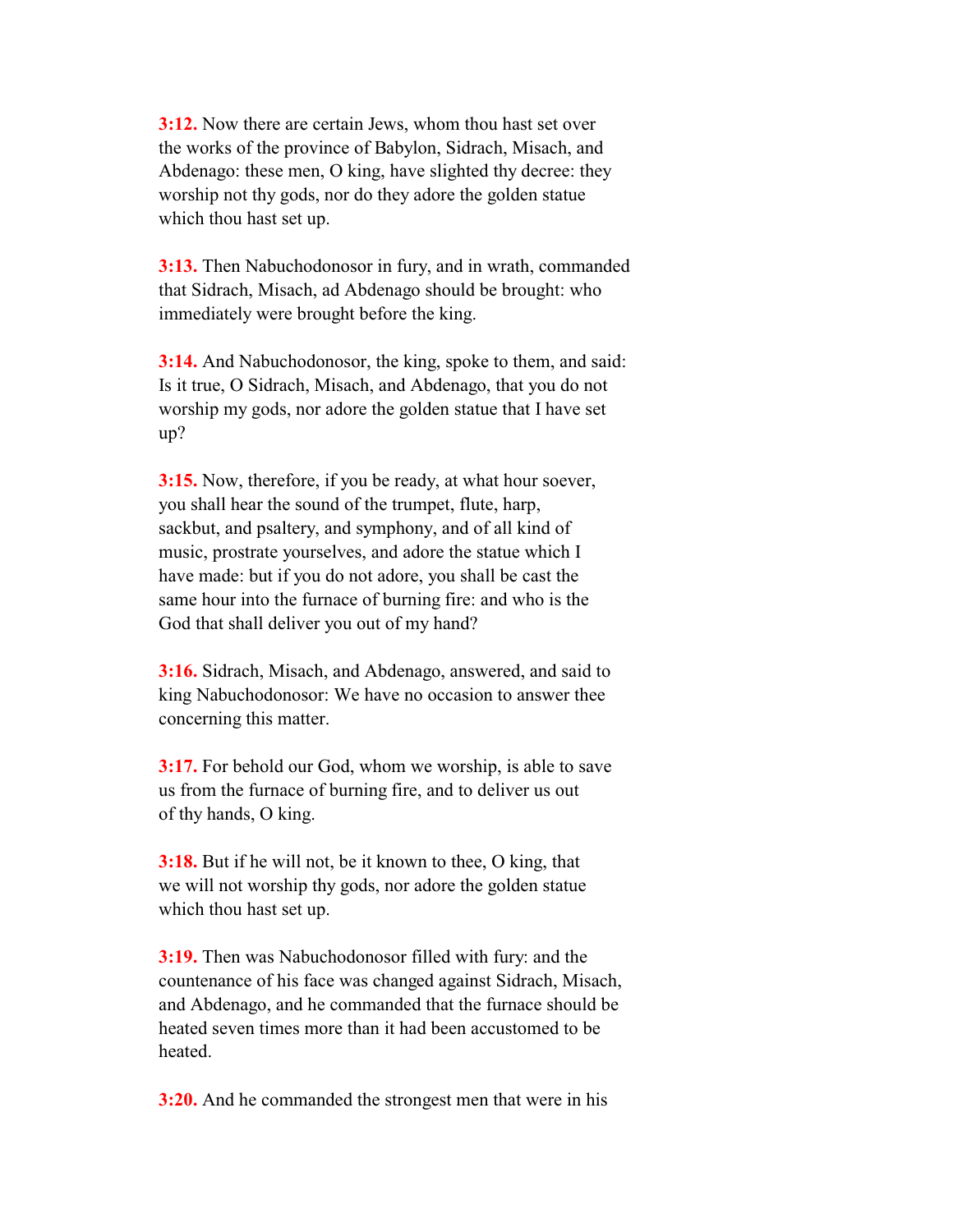**3:12.** Now there are certain Jews, whom thou hast set over the works of the province of Babylon, Sidrach, Misach, and Abdenago: these men, O king, have slighted thy decree: they worship not thy gods, nor do they adore the golden statue which thou hast set up.

 **3:13.** Then Nabuchodonosor in fury, and in wrath, commanded that Sidrach, Misach, ad Abdenago should be brought: who immediately were brought before the king.

 **3:14.** And Nabuchodonosor, the king, spoke to them, and said: Is it true, O Sidrach, Misach, and Abdenago, that you do not worship my gods, nor adore the golden statue that I have set up?

 **3:15.** Now, therefore, if you be ready, at what hour soever, you shall hear the sound of the trumpet, flute, harp, sackbut, and psaltery, and symphony, and of all kind of music, prostrate yourselves, and adore the statue which I have made: but if you do not adore, you shall be cast the same hour into the furnace of burning fire: and who is the God that shall deliver you out of my hand?

 **3:16.** Sidrach, Misach, and Abdenago, answered, and said to king Nabuchodonosor: We have no occasion to answer thee concerning this matter.

 **3:17.** For behold our God, whom we worship, is able to save us from the furnace of burning fire, and to deliver us out of thy hands, O king.

 **3:18.** But if he will not, be it known to thee, O king, that we will not worship thy gods, nor adore the golden statue which thou hast set up.

 **3:19.** Then was Nabuchodonosor filled with fury: and the countenance of his face was changed against Sidrach, Misach, and Abdenago, and he commanded that the furnace should be heated seven times more than it had been accustomed to be heated.

**3:20.** And he commanded the strongest men that were in his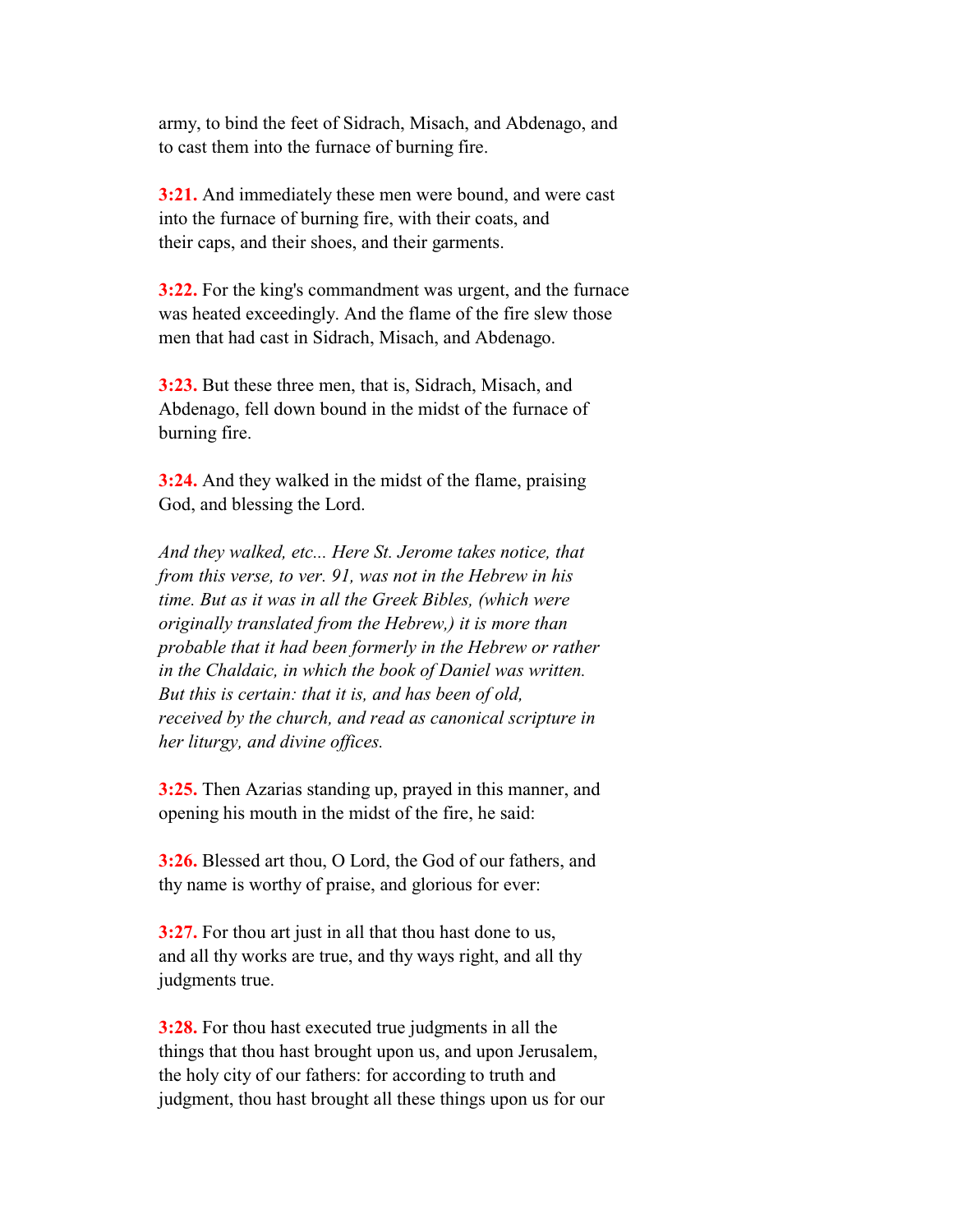army, to bind the feet of Sidrach, Misach, and Abdenago, and to cast them into the furnace of burning fire.

 **3:21.** And immediately these men were bound, and were cast into the furnace of burning fire, with their coats, and their caps, and their shoes, and their garments.

 **3:22.** For the king's commandment was urgent, and the furnace was heated exceedingly. And the flame of the fire slew those men that had cast in Sidrach, Misach, and Abdenago.

 **3:23.** But these three men, that is, Sidrach, Misach, and Abdenago, fell down bound in the midst of the furnace of burning fire.

 **3:24.** And they walked in the midst of the flame, praising God, and blessing the Lord.

 *And they walked, etc... Here St. Jerome takes notice, that from this verse, to ver. 91, was not in the Hebrew in his time. But as it was in all the Greek Bibles, (which were originally translated from the Hebrew,) it is more than probable that it had been formerly in the Hebrew or rather in the Chaldaic, in which the book of Daniel was written. But this is certain: that it is, and has been of old, received by the church, and read as canonical scripture in her liturgy, and divine offices.*

 **3:25.** Then Azarias standing up, prayed in this manner, and opening his mouth in the midst of the fire, he said:

 **3:26.** Blessed art thou, O Lord, the God of our fathers, and thy name is worthy of praise, and glorious for ever:

 **3:27.** For thou art just in all that thou hast done to us, and all thy works are true, and thy ways right, and all thy judgments true.

 **3:28.** For thou hast executed true judgments in all the things that thou hast brought upon us, and upon Jerusalem, the holy city of our fathers: for according to truth and judgment, thou hast brought all these things upon us for our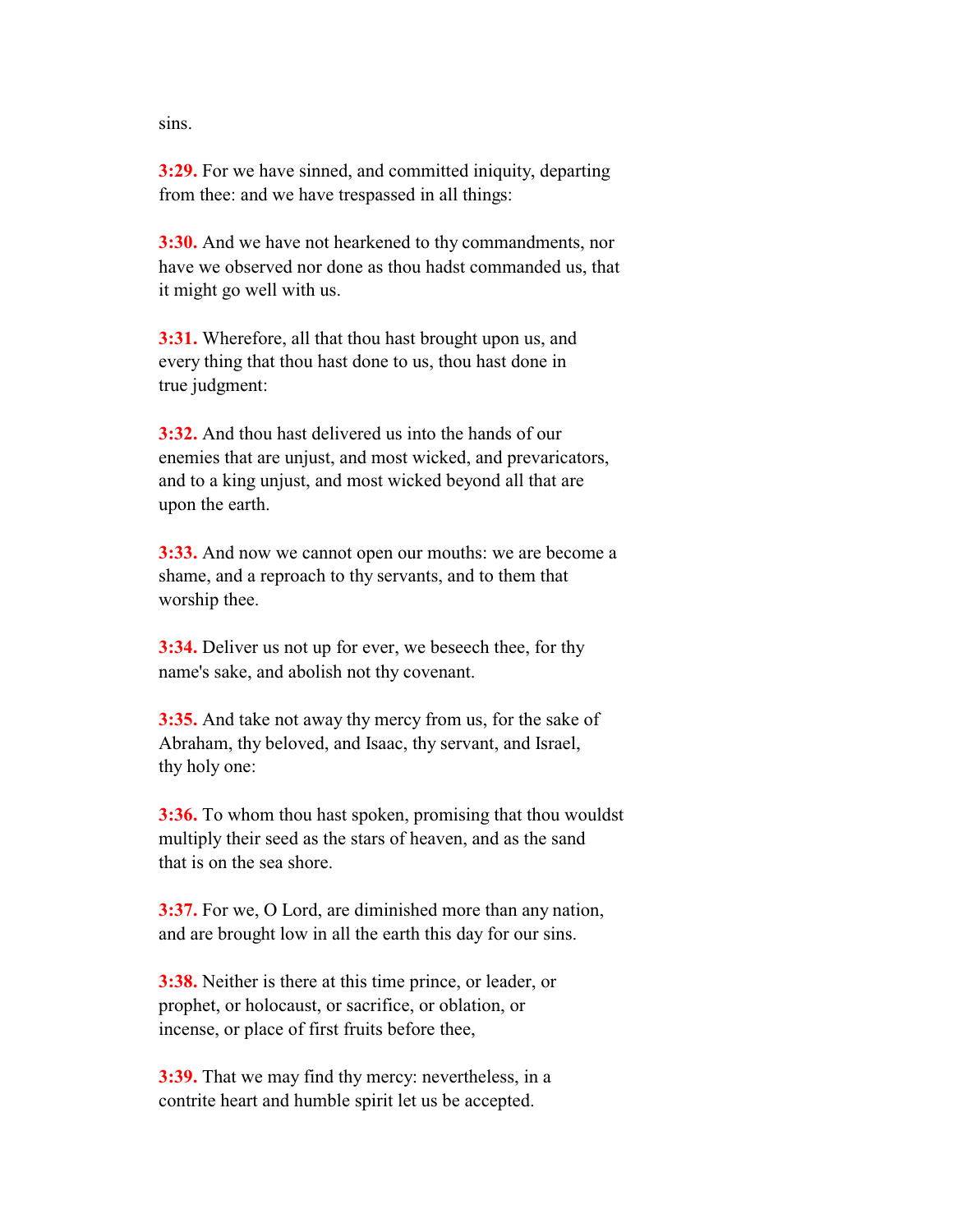sins.

 **3:29.** For we have sinned, and committed iniquity, departing from thee: and we have trespassed in all things:

 **3:30.** And we have not hearkened to thy commandments, nor have we observed nor done as thou hadst commanded us, that it might go well with us.

 **3:31.** Wherefore, all that thou hast brought upon us, and every thing that thou hast done to us, thou hast done in true judgment:

 **3:32.** And thou hast delivered us into the hands of our enemies that are unjust, and most wicked, and prevaricators, and to a king unjust, and most wicked beyond all that are upon the earth.

 **3:33.** And now we cannot open our mouths: we are become a shame, and a reproach to thy servants, and to them that worship thee.

 **3:34.** Deliver us not up for ever, we beseech thee, for thy name's sake, and abolish not thy covenant.

 **3:35.** And take not away thy mercy from us, for the sake of Abraham, thy beloved, and Isaac, thy servant, and Israel, thy holy one:

 **3:36.** To whom thou hast spoken, promising that thou wouldst multiply their seed as the stars of heaven, and as the sand that is on the sea shore.

 **3:37.** For we, O Lord, are diminished more than any nation, and are brought low in all the earth this day for our sins.

 **3:38.** Neither is there at this time prince, or leader, or prophet, or holocaust, or sacrifice, or oblation, or incense, or place of first fruits before thee,

 **3:39.** That we may find thy mercy: nevertheless, in a contrite heart and humble spirit let us be accepted.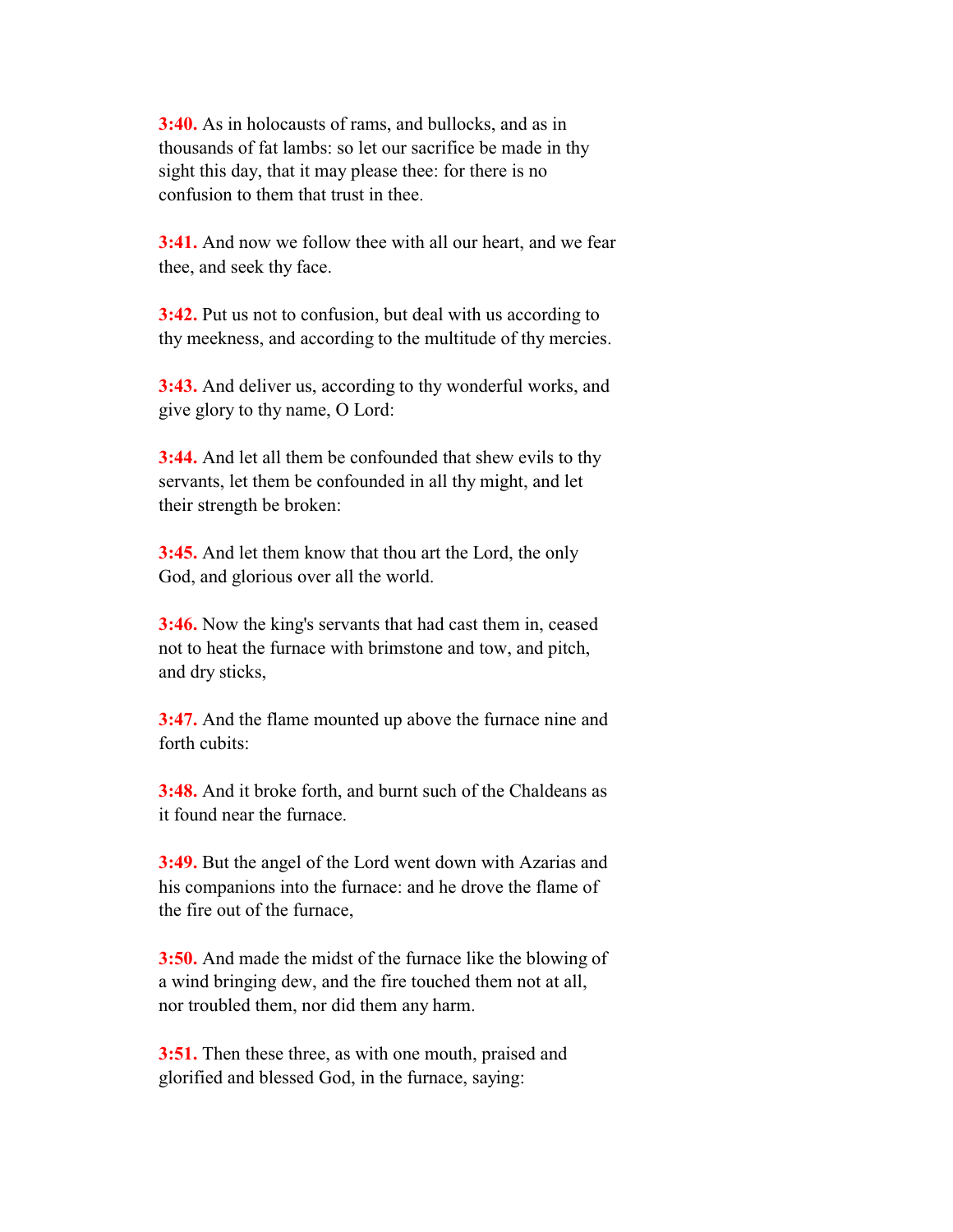**3:40.** As in holocausts of rams, and bullocks, and as in thousands of fat lambs: so let our sacrifice be made in thy sight this day, that it may please thee: for there is no confusion to them that trust in thee.

 **3:41.** And now we follow thee with all our heart, and we fear thee, and seek thy face.

**3:42.** Put us not to confusion, but deal with us according to thy meekness, and according to the multitude of thy mercies.

 **3:43.** And deliver us, according to thy wonderful works, and give glory to thy name, O Lord:

 **3:44.** And let all them be confounded that shew evils to thy servants, let them be confounded in all thy might, and let their strength be broken:

 **3:45.** And let them know that thou art the Lord, the only God, and glorious over all the world.

 **3:46.** Now the king's servants that had cast them in, ceased not to heat the furnace with brimstone and tow, and pitch, and dry sticks,

 **3:47.** And the flame mounted up above the furnace nine and forth cubits:

 **3:48.** And it broke forth, and burnt such of the Chaldeans as it found near the furnace.

 **3:49.** But the angel of the Lord went down with Azarias and his companions into the furnace: and he drove the flame of the fire out of the furnace,

 **3:50.** And made the midst of the furnace like the blowing of a wind bringing dew, and the fire touched them not at all, nor troubled them, nor did them any harm.

 **3:51.** Then these three, as with one mouth, praised and glorified and blessed God, in the furnace, saying: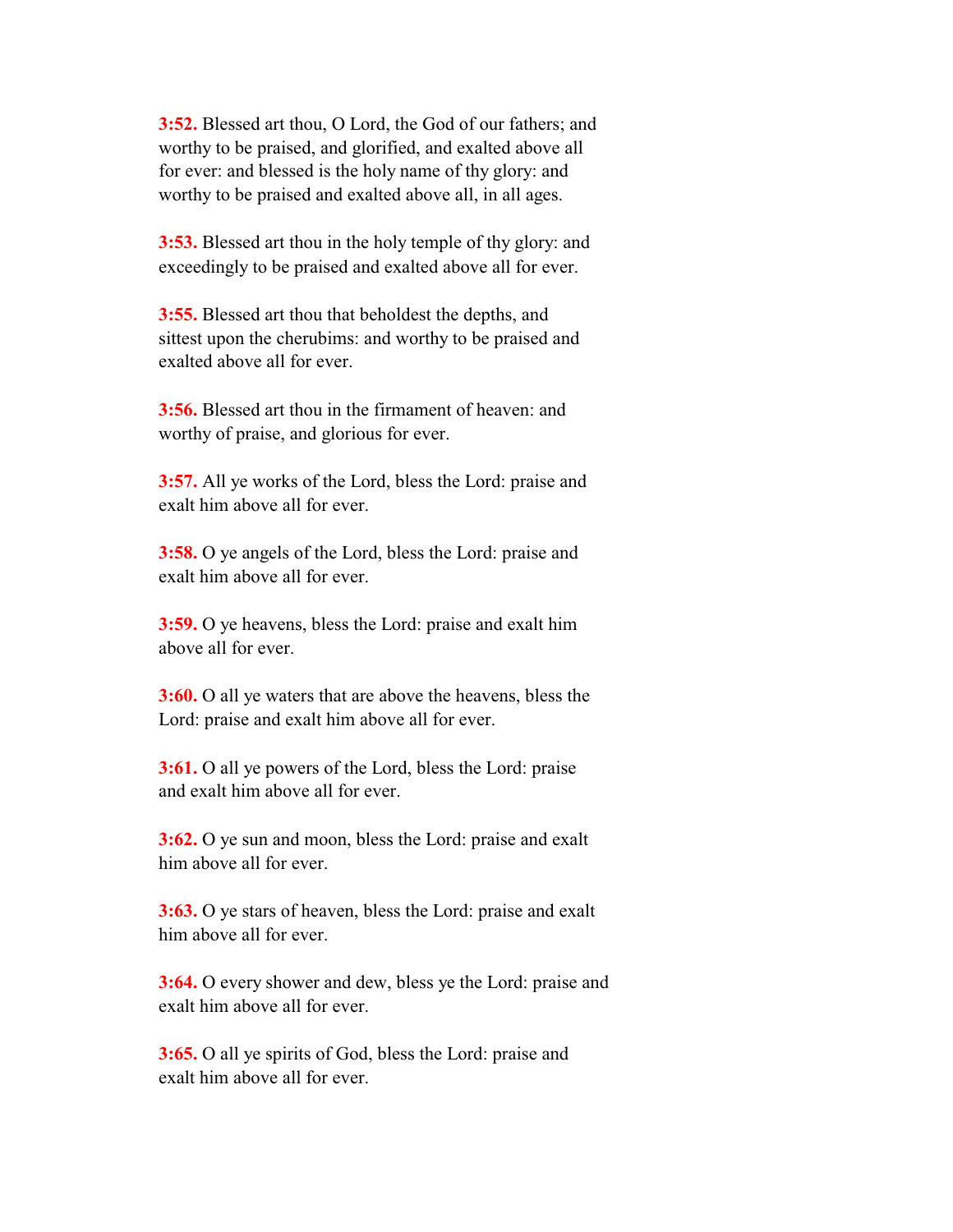**3:52.** Blessed art thou, O Lord, the God of our fathers; and worthy to be praised, and glorified, and exalted above all for ever: and blessed is the holy name of thy glory: and worthy to be praised and exalted above all, in all ages.

 **3:53.** Blessed art thou in the holy temple of thy glory: and exceedingly to be praised and exalted above all for ever.

 **3:55.** Blessed art thou that beholdest the depths, and sittest upon the cherubims: and worthy to be praised and exalted above all for ever.

 **3:56.** Blessed art thou in the firmament of heaven: and worthy of praise, and glorious for ever.

 **3:57.** All ye works of the Lord, bless the Lord: praise and exalt him above all for ever.

 **3:58.** O ye angels of the Lord, bless the Lord: praise and exalt him above all for ever.

 **3:59.** O ye heavens, bless the Lord: praise and exalt him above all for ever.

 **3:60.** O all ye waters that are above the heavens, bless the Lord: praise and exalt him above all for ever.

 **3:61.** O all ye powers of the Lord, bless the Lord: praise and exalt him above all for ever.

 **3:62.** O ye sun and moon, bless the Lord: praise and exalt him above all for ever.

 **3:63.** O ye stars of heaven, bless the Lord: praise and exalt him above all for ever.

 **3:64.** O every shower and dew, bless ye the Lord: praise and exalt him above all for ever.

 **3:65.** O all ye spirits of God, bless the Lord: praise and exalt him above all for ever.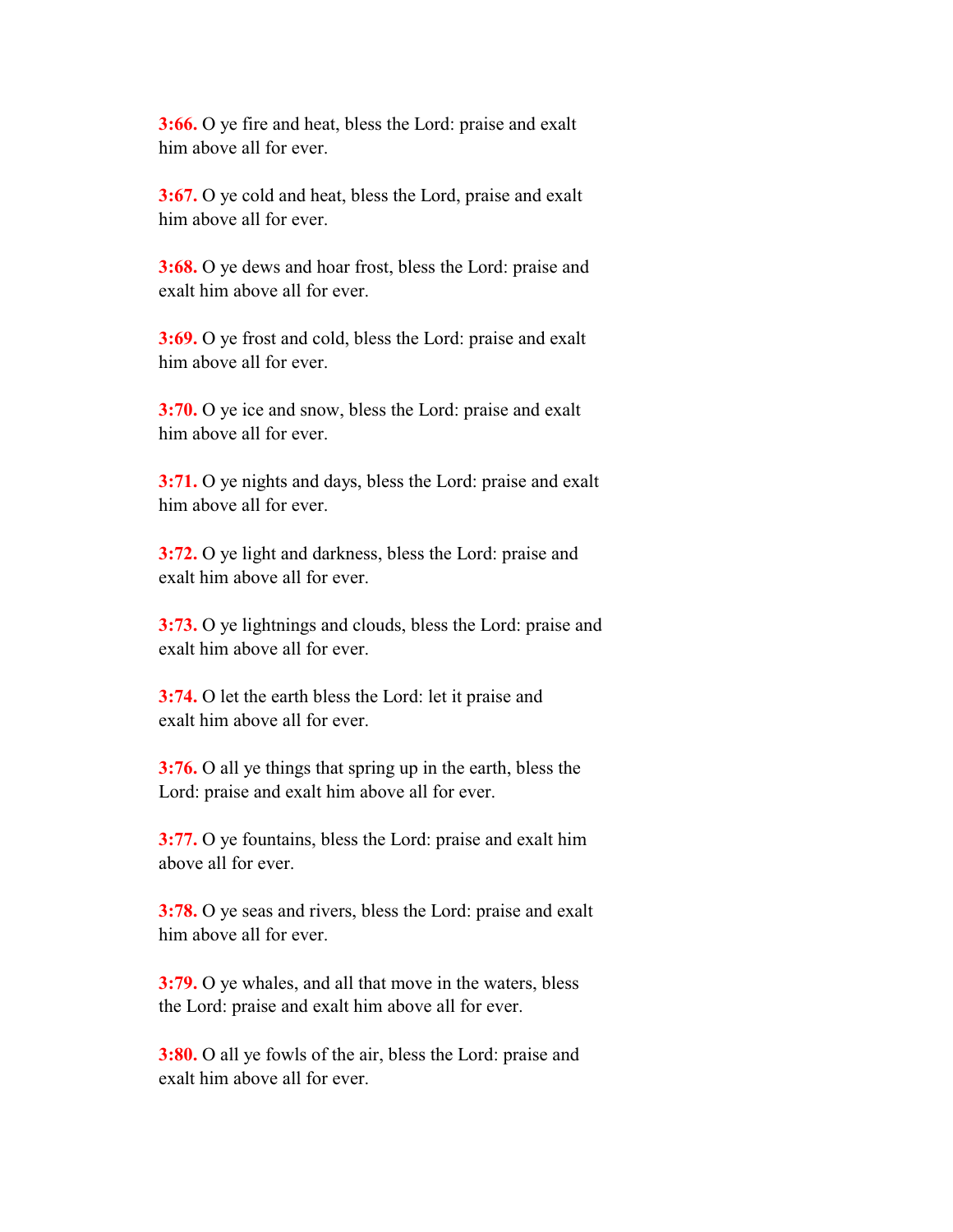**3:66.** O ye fire and heat, bless the Lord: praise and exalt him above all for ever.

 **3:67.** O ye cold and heat, bless the Lord, praise and exalt him above all for ever.

 **3:68.** O ye dews and hoar frost, bless the Lord: praise and exalt him above all for ever.

 **3:69.** O ye frost and cold, bless the Lord: praise and exalt him above all for ever.

 **3:70.** O ye ice and snow, bless the Lord: praise and exalt him above all for ever.

 **3:71.** O ye nights and days, bless the Lord: praise and exalt him above all for ever.

 **3:72.** O ye light and darkness, bless the Lord: praise and exalt him above all for ever.

 **3:73.** O ye lightnings and clouds, bless the Lord: praise and exalt him above all for ever.

 **3:74.** O let the earth bless the Lord: let it praise and exalt him above all for ever.

 **3:76.** O all ye things that spring up in the earth, bless the Lord: praise and exalt him above all for ever.

 **3:77.** O ye fountains, bless the Lord: praise and exalt him above all for ever.

 **3:78.** O ye seas and rivers, bless the Lord: praise and exalt him above all for ever.

 **3:79.** O ye whales, and all that move in the waters, bless the Lord: praise and exalt him above all for ever.

 **3:80.** O all ye fowls of the air, bless the Lord: praise and exalt him above all for ever.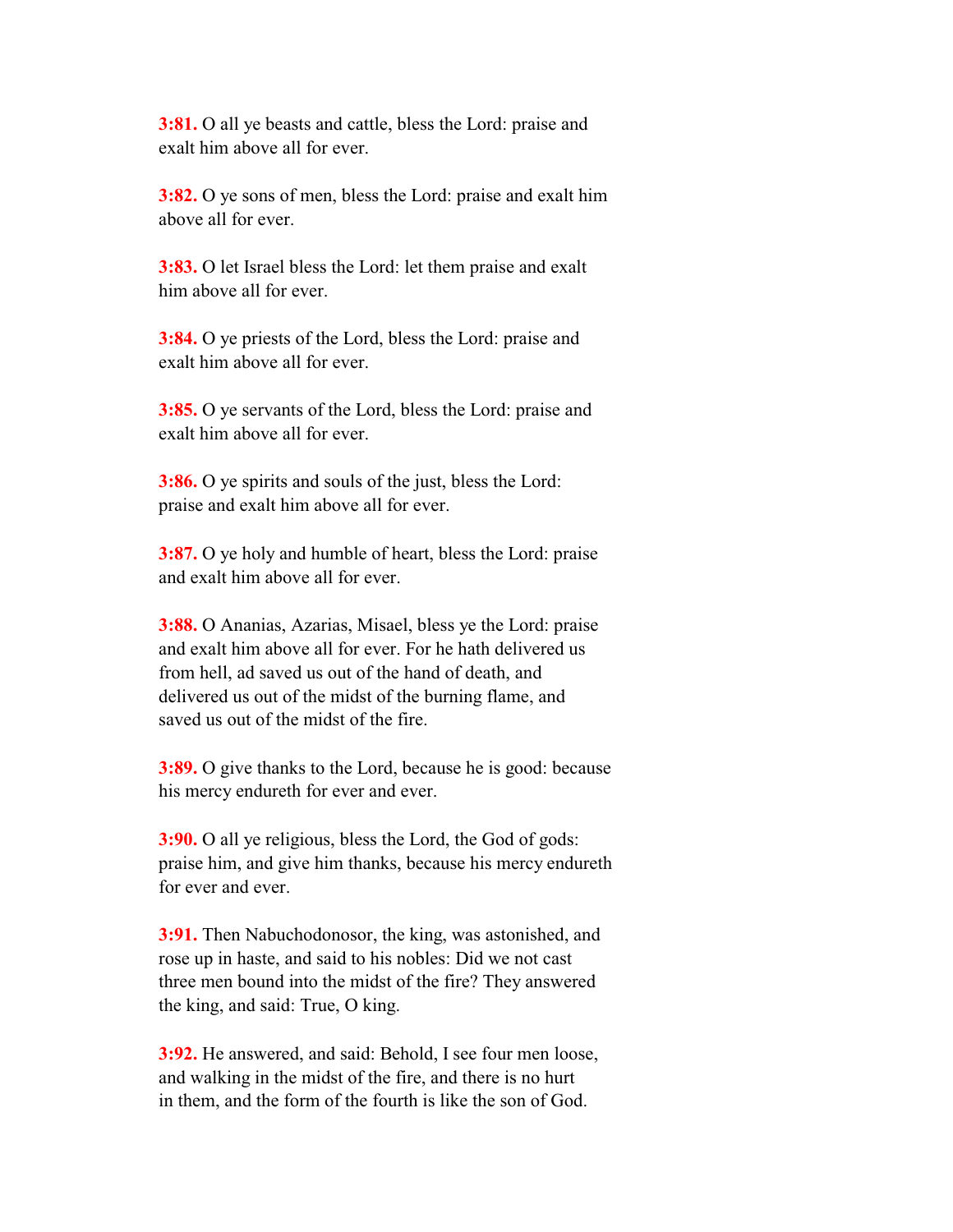**3:81.** O all ye beasts and cattle, bless the Lord: praise and exalt him above all for ever.

 **3:82.** O ye sons of men, bless the Lord: praise and exalt him above all for ever.

 **3:83.** O let Israel bless the Lord: let them praise and exalt him above all for ever.

 **3:84.** O ye priests of the Lord, bless the Lord: praise and exalt him above all for ever.

 **3:85.** O ye servants of the Lord, bless the Lord: praise and exalt him above all for ever.

 **3:86.** O ye spirits and souls of the just, bless the Lord: praise and exalt him above all for ever.

 **3:87.** O ye holy and humble of heart, bless the Lord: praise and exalt him above all for ever.

 **3:88.** O Ananias, Azarias, Misael, bless ye the Lord: praise and exalt him above all for ever. For he hath delivered us from hell, ad saved us out of the hand of death, and delivered us out of the midst of the burning flame, and saved us out of the midst of the fire.

 **3:89.** O give thanks to the Lord, because he is good: because his mercy endureth for ever and ever.

 **3:90.** O all ye religious, bless the Lord, the God of gods: praise him, and give him thanks, because his mercy endureth for ever and ever.

 **3:91.** Then Nabuchodonosor, the king, was astonished, and rose up in haste, and said to his nobles: Did we not cast three men bound into the midst of the fire? They answered the king, and said: True, O king.

 **3:92.** He answered, and said: Behold, I see four men loose, and walking in the midst of the fire, and there is no hurt in them, and the form of the fourth is like the son of God.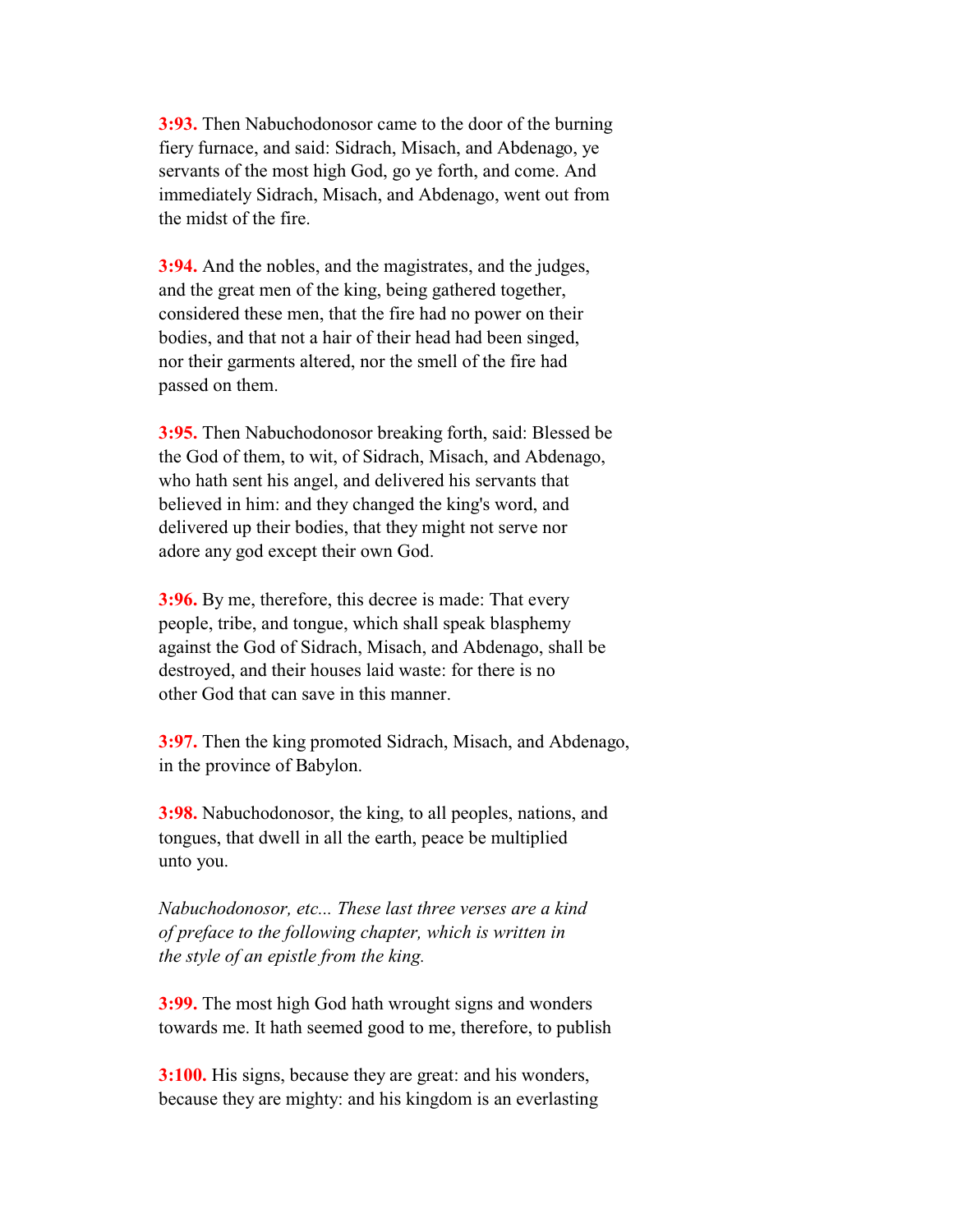**3:93.** Then Nabuchodonosor came to the door of the burning fiery furnace, and said: Sidrach, Misach, and Abdenago, ye servants of the most high God, go ye forth, and come. And immediately Sidrach, Misach, and Abdenago, went out from the midst of the fire.

 **3:94.** And the nobles, and the magistrates, and the judges, and the great men of the king, being gathered together, considered these men, that the fire had no power on their bodies, and that not a hair of their head had been singed, nor their garments altered, nor the smell of the fire had passed on them.

 **3:95.** Then Nabuchodonosor breaking forth, said: Blessed be the God of them, to wit, of Sidrach, Misach, and Abdenago, who hath sent his angel, and delivered his servants that believed in him: and they changed the king's word, and delivered up their bodies, that they might not serve nor adore any god except their own God.

 **3:96.** By me, therefore, this decree is made: That every people, tribe, and tongue, which shall speak blasphemy against the God of Sidrach, Misach, and Abdenago, shall be destroyed, and their houses laid waste: for there is no other God that can save in this manner.

 **3:97.** Then the king promoted Sidrach, Misach, and Abdenago, in the province of Babylon.

 **3:98.** Nabuchodonosor, the king, to all peoples, nations, and tongues, that dwell in all the earth, peace be multiplied unto you.

 *Nabuchodonosor, etc... These last three verses are a kind of preface to the following chapter, which is written in the style of an epistle from the king.*

 **3:99.** The most high God hath wrought signs and wonders towards me. It hath seemed good to me, therefore, to publish

 **3:100.** His signs, because they are great: and his wonders, because they are mighty: and his kingdom is an everlasting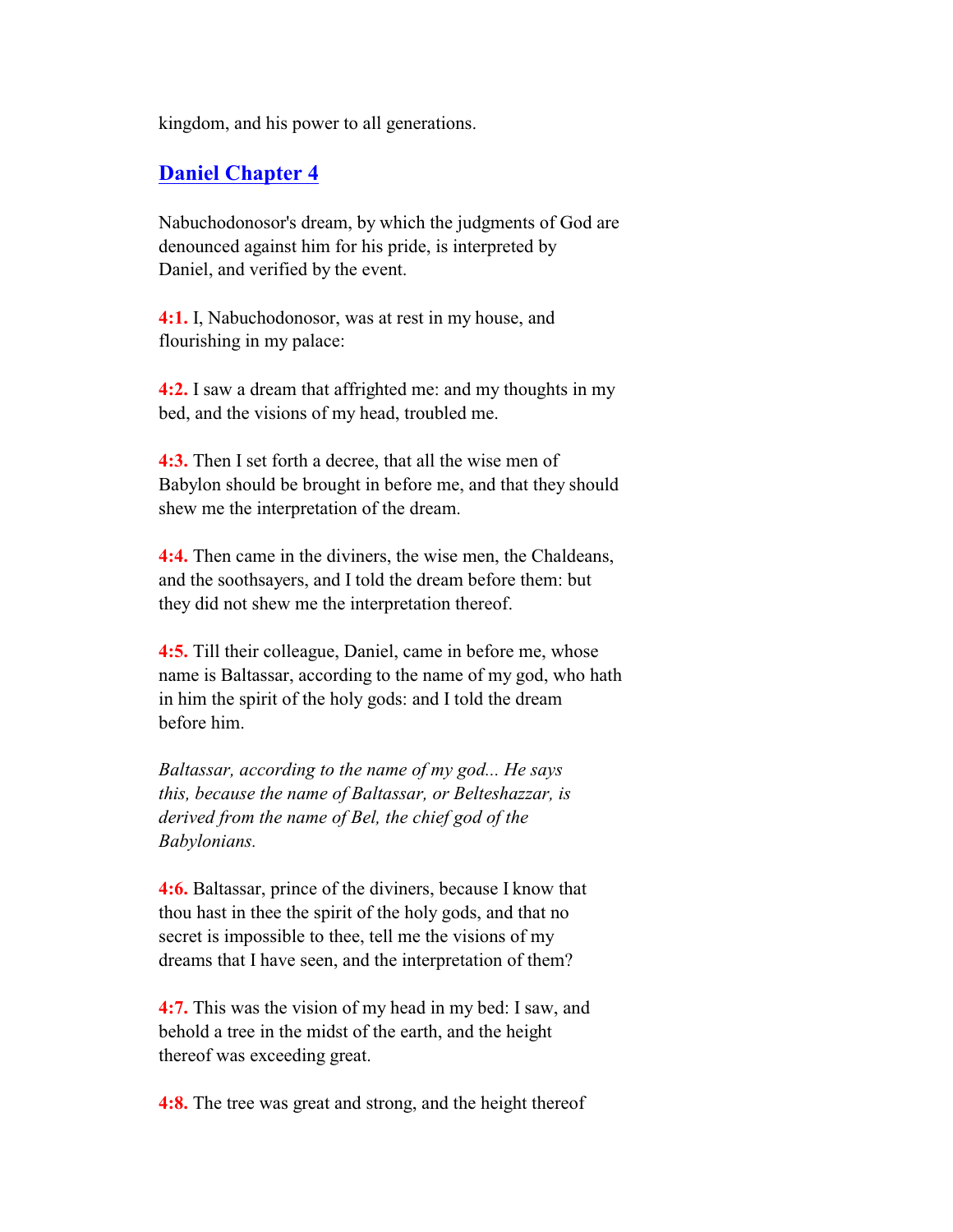kingdom, and his power to all generations.

## **Daniel Chapter 4**

 Nabuchodonosor's dream, by which the judgments of God are denounced against him for his pride, is interpreted by Daniel, and verified by the event.

 **4:1.** I, Nabuchodonosor, was at rest in my house, and flourishing in my palace:

 **4:2.** I saw a dream that affrighted me: and my thoughts in my bed, and the visions of my head, troubled me.

 **4:3.** Then I set forth a decree, that all the wise men of Babylon should be brought in before me, and that they should shew me the interpretation of the dream.

 **4:4.** Then came in the diviners, the wise men, the Chaldeans, and the soothsayers, and I told the dream before them: but they did not shew me the interpretation thereof.

 **4:5.** Till their colleague, Daniel, came in before me, whose name is Baltassar, according to the name of my god, who hath in him the spirit of the holy gods: and I told the dream before him.

 *Baltassar, according to the name of my god... He says this, because the name of Baltassar, or Belteshazzar, is derived from the name of Bel, the chief god of the Babylonians.*

 **4:6.** Baltassar, prince of the diviners, because I know that thou hast in thee the spirit of the holy gods, and that no secret is impossible to thee, tell me the visions of my dreams that I have seen, and the interpretation of them?

 **4:7.** This was the vision of my head in my bed: I saw, and behold a tree in the midst of the earth, and the height thereof was exceeding great.

**4:8.** The tree was great and strong, and the height thereof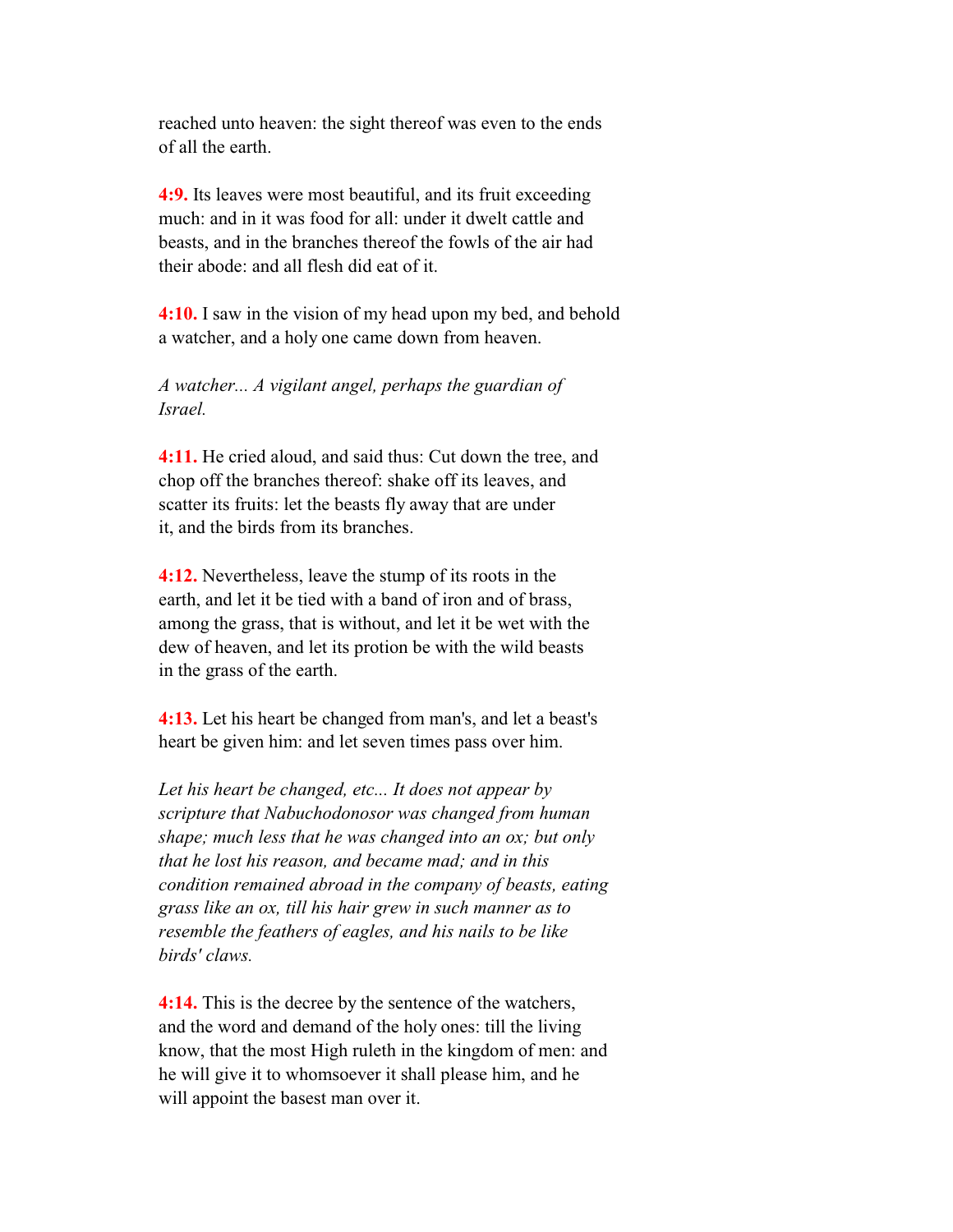reached unto heaven: the sight thereof was even to the ends of all the earth.

 **4:9.** Its leaves were most beautiful, and its fruit exceeding much: and in it was food for all: under it dwelt cattle and beasts, and in the branches thereof the fowls of the air had their abode: and all flesh did eat of it.

 **4:10.** I saw in the vision of my head upon my bed, and behold a watcher, and a holy one came down from heaven.

 *A watcher... A vigilant angel, perhaps the guardian of Israel.*

 **4:11.** He cried aloud, and said thus: Cut down the tree, and chop off the branches thereof: shake off its leaves, and scatter its fruits: let the beasts fly away that are under it, and the birds from its branches.

 **4:12.** Nevertheless, leave the stump of its roots in the earth, and let it be tied with a band of iron and of brass, among the grass, that is without, and let it be wet with the dew of heaven, and let its protion be with the wild beasts in the grass of the earth.

 **4:13.** Let his heart be changed from man's, and let a beast's heart be given him: and let seven times pass over him.

 *Let his heart be changed, etc... It does not appear by scripture that Nabuchodonosor was changed from human shape; much less that he was changed into an ox; but only that he lost his reason, and became mad; and in this condition remained abroad in the company of beasts, eating grass like an ox, till his hair grew in such manner as to resemble the feathers of eagles, and his nails to be like birds' claws.*

 **4:14.** This is the decree by the sentence of the watchers, and the word and demand of the holy ones: till the living know, that the most High ruleth in the kingdom of men: and he will give it to whomsoever it shall please him, and he will appoint the basest man over it.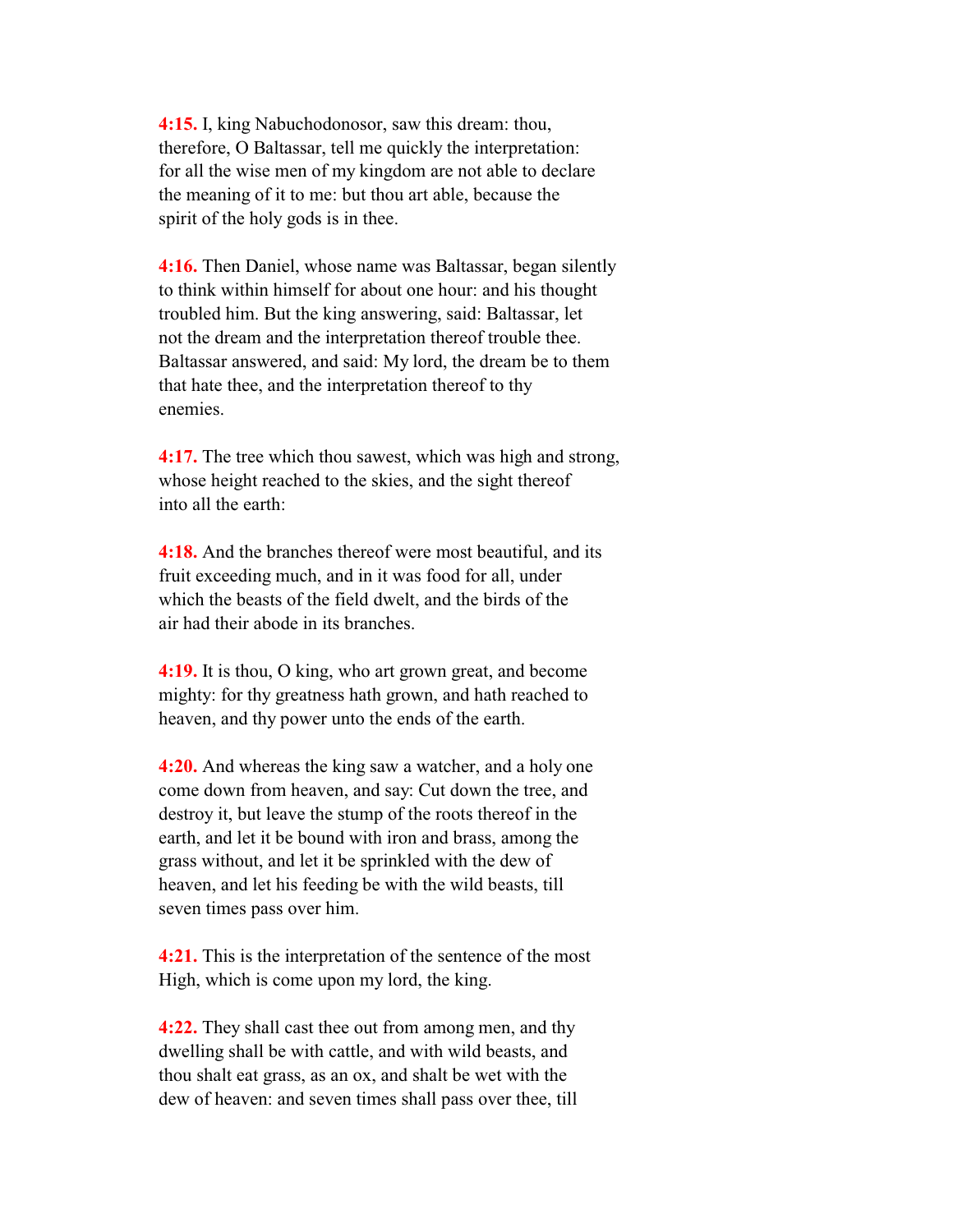**4:15.** I, king Nabuchodonosor, saw this dream: thou, therefore, O Baltassar, tell me quickly the interpretation: for all the wise men of my kingdom are not able to declare the meaning of it to me: but thou art able, because the spirit of the holy gods is in thee.

**4:16.** Then Daniel, whose name was Baltassar, began silently to think within himself for about one hour: and his thought troubled him. But the king answering, said: Baltassar, let not the dream and the interpretation thereof trouble thee. Baltassar answered, and said: My lord, the dream be to them that hate thee, and the interpretation thereof to thy enemies.

 **4:17.** The tree which thou sawest, which was high and strong, whose height reached to the skies, and the sight thereof into all the earth:

 **4:18.** And the branches thereof were most beautiful, and its fruit exceeding much, and in it was food for all, under which the beasts of the field dwelt, and the birds of the air had their abode in its branches.

 **4:19.** It is thou, O king, who art grown great, and become mighty: for thy greatness hath grown, and hath reached to heaven, and thy power unto the ends of the earth.

 **4:20.** And whereas the king saw a watcher, and a holy one come down from heaven, and say: Cut down the tree, and destroy it, but leave the stump of the roots thereof in the earth, and let it be bound with iron and brass, among the grass without, and let it be sprinkled with the dew of heaven, and let his feeding be with the wild beasts, till seven times pass over him.

 **4:21.** This is the interpretation of the sentence of the most High, which is come upon my lord, the king.

 **4:22.** They shall cast thee out from among men, and thy dwelling shall be with cattle, and with wild beasts, and thou shalt eat grass, as an ox, and shalt be wet with the dew of heaven: and seven times shall pass over thee, till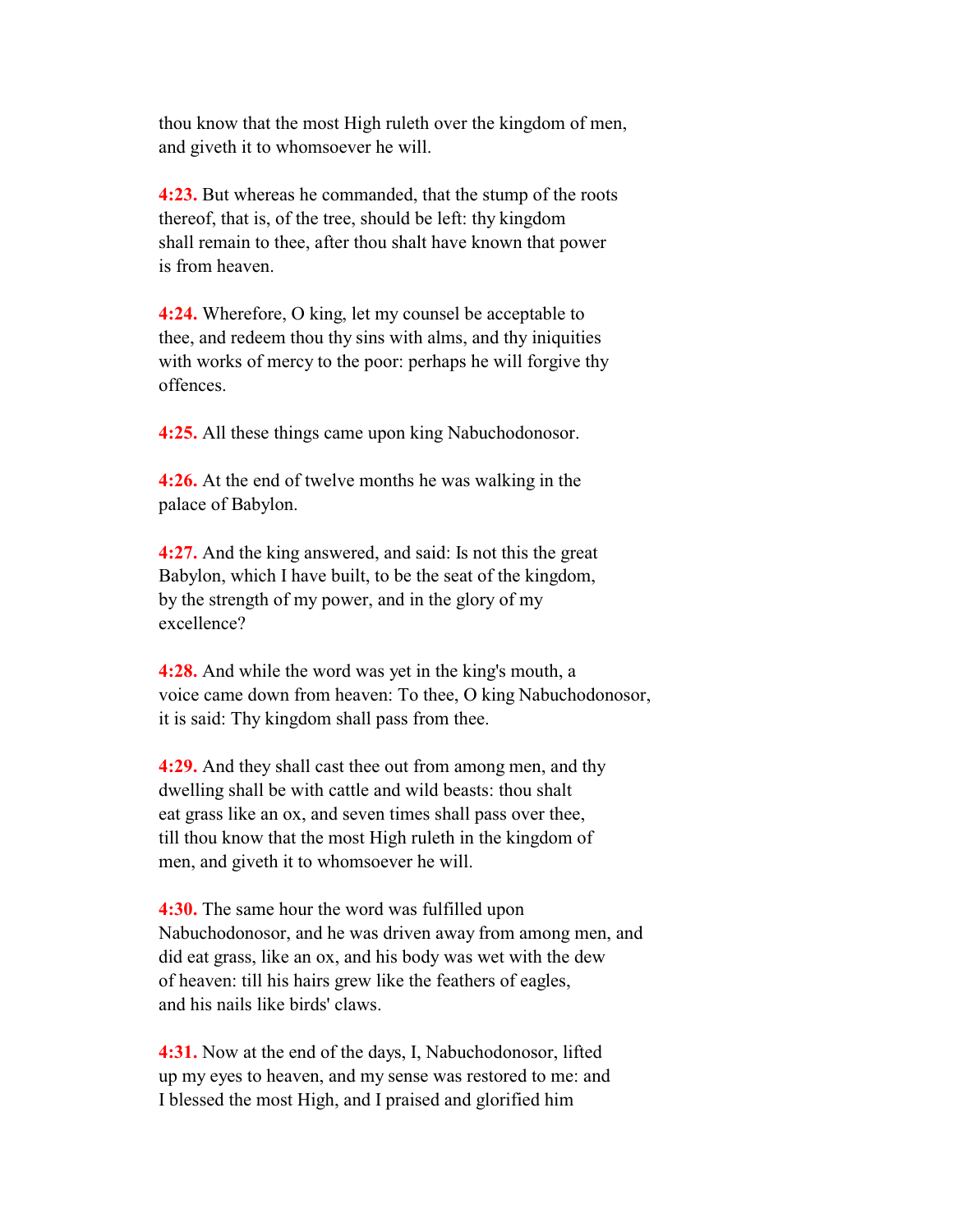thou know that the most High ruleth over the kingdom of men, and giveth it to whomsoever he will.

 **4:23.** But whereas he commanded, that the stump of the roots thereof, that is, of the tree, should be left: thy kingdom shall remain to thee, after thou shalt have known that power is from heaven.

 **4:24.** Wherefore, O king, let my counsel be acceptable to thee, and redeem thou thy sins with alms, and thy iniquities with works of mercy to the poor: perhaps he will forgive thy offences.

**4:25.** All these things came upon king Nabuchodonosor.

 **4:26.** At the end of twelve months he was walking in the palace of Babylon.

 **4:27.** And the king answered, and said: Is not this the great Babylon, which I have built, to be the seat of the kingdom, by the strength of my power, and in the glory of my excellence?

 **4:28.** And while the word was yet in the king's mouth, a voice came down from heaven: To thee, O king Nabuchodonosor, it is said: Thy kingdom shall pass from thee.

 **4:29.** And they shall cast thee out from among men, and thy dwelling shall be with cattle and wild beasts: thou shalt eat grass like an ox, and seven times shall pass over thee, till thou know that the most High ruleth in the kingdom of men, and giveth it to whomsoever he will.

 **4:30.** The same hour the word was fulfilled upon Nabuchodonosor, and he was driven away from among men, and did eat grass, like an ox, and his body was wet with the dew of heaven: till his hairs grew like the feathers of eagles, and his nails like birds' claws.

 **4:31.** Now at the end of the days, I, Nabuchodonosor, lifted up my eyes to heaven, and my sense was restored to me: and I blessed the most High, and I praised and glorified him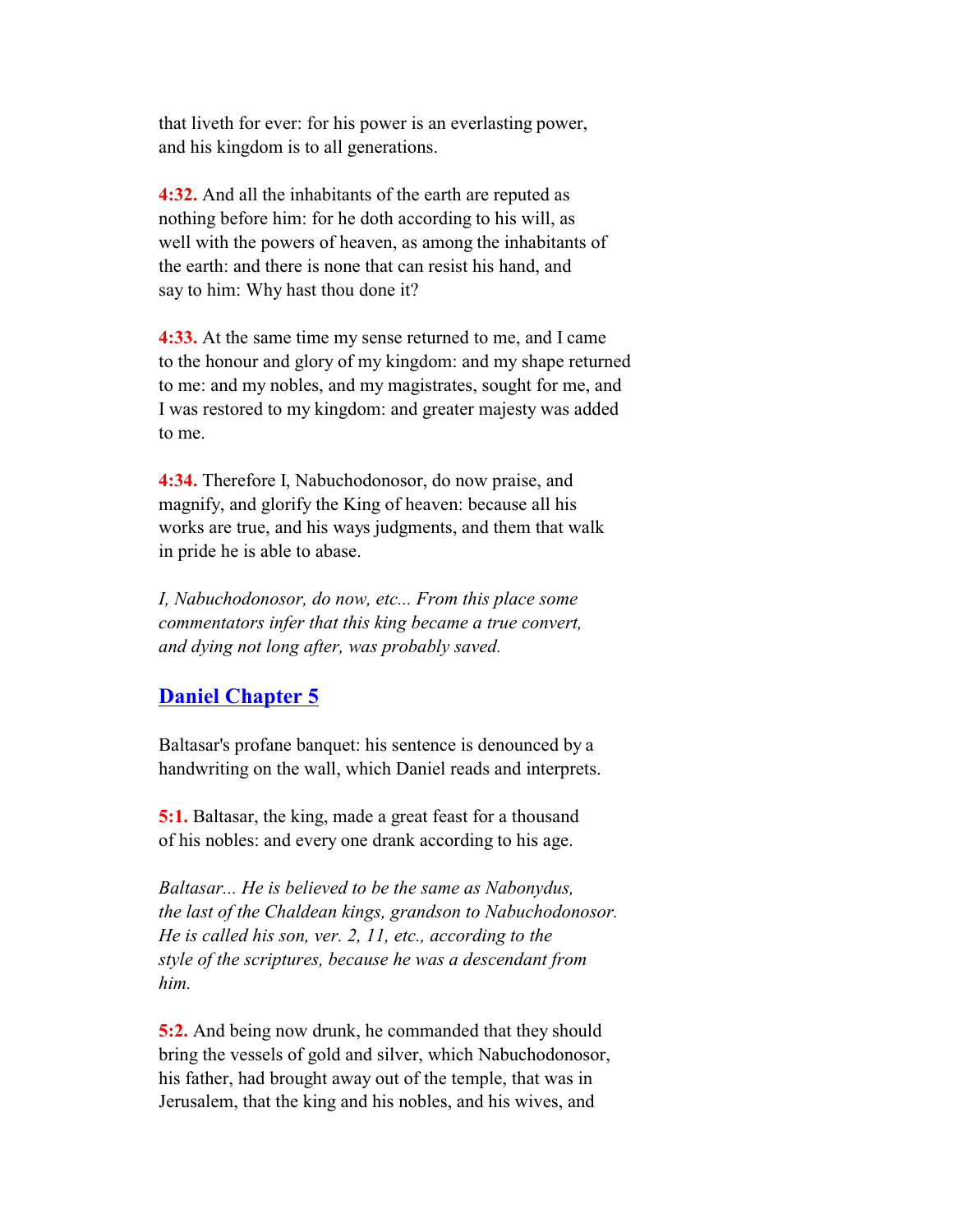that liveth for ever: for his power is an everlasting power, and his kingdom is to all generations.

 **4:32.** And all the inhabitants of the earth are reputed as nothing before him: for he doth according to his will, as well with the powers of heaven, as among the inhabitants of the earth: and there is none that can resist his hand, and say to him: Why hast thou done it?

 **4:33.** At the same time my sense returned to me, and I came to the honour and glory of my kingdom: and my shape returned to me: and my nobles, and my magistrates, sought for me, and I was restored to my kingdom: and greater majesty was added to me.

 **4:34.** Therefore I, Nabuchodonosor, do now praise, and magnify, and glorify the King of heaven: because all his works are true, and his ways judgments, and them that walk in pride he is able to abase.

 *I, Nabuchodonosor, do now, etc... From this place some commentators infer that this king became a true convert, and dying not long after, was probably saved.*

# **Daniel Chapter 5**

 Baltasar's profane banquet: his sentence is denounced by a handwriting on the wall, which Daniel reads and interprets.

 **5:1.** Baltasar, the king, made a great feast for a thousand of his nobles: and every one drank according to his age.

 *Baltasar... He is believed to be the same as Nabonydus, the last of the Chaldean kings, grandson to Nabuchodonosor. He is called his son, ver. 2, 11, etc., according to the style of the scriptures, because he was a descendant from him.*

 **5:2.** And being now drunk, he commanded that they should bring the vessels of gold and silver, which Nabuchodonosor, his father, had brought away out of the temple, that was in Jerusalem, that the king and his nobles, and his wives, and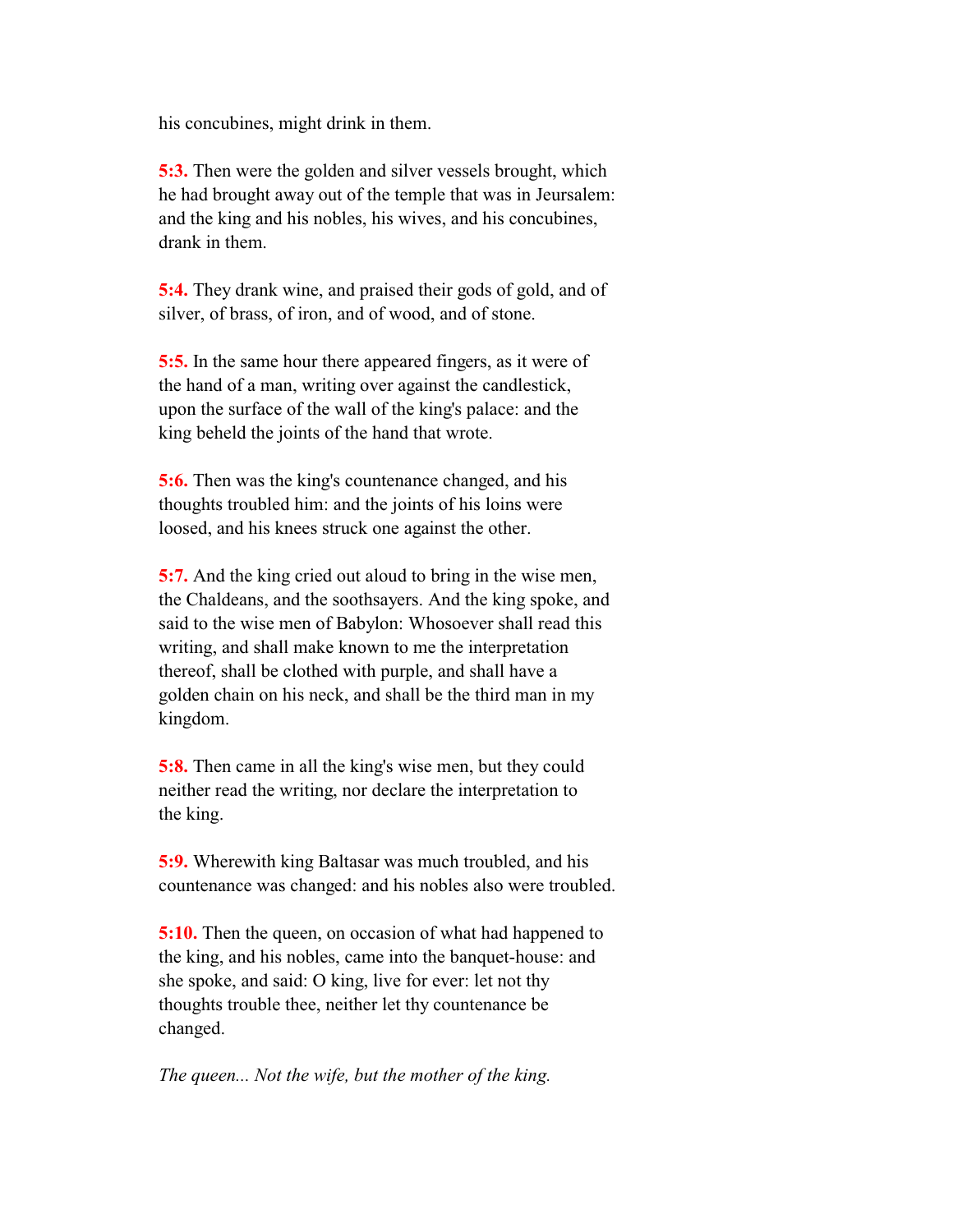his concubines, might drink in them.

 **5:3.** Then were the golden and silver vessels brought, which he had brought away out of the temple that was in Jeursalem: and the king and his nobles, his wives, and his concubines, drank in them.

 **5:4.** They drank wine, and praised their gods of gold, and of silver, of brass, of iron, and of wood, and of stone.

 **5:5.** In the same hour there appeared fingers, as it were of the hand of a man, writing over against the candlestick, upon the surface of the wall of the king's palace: and the king beheld the joints of the hand that wrote.

**5:6.** Then was the king's countenance changed, and his thoughts troubled him: and the joints of his loins were loosed, and his knees struck one against the other.

 **5:7.** And the king cried out aloud to bring in the wise men, the Chaldeans, and the soothsayers. And the king spoke, and said to the wise men of Babylon: Whosoever shall read this writing, and shall make known to me the interpretation thereof, shall be clothed with purple, and shall have a golden chain on his neck, and shall be the third man in my kingdom.

 **5:8.** Then came in all the king's wise men, but they could neither read the writing, nor declare the interpretation to the king.

 **5:9.** Wherewith king Baltasar was much troubled, and his countenance was changed: and his nobles also were troubled.

**5:10.** Then the queen, on occasion of what had happened to the king, and his nobles, came into the banquet-house: and she spoke, and said: O king, live for ever: let not thy thoughts trouble thee, neither let thy countenance be changed.

 *The queen... Not the wife, but the mother of the king.*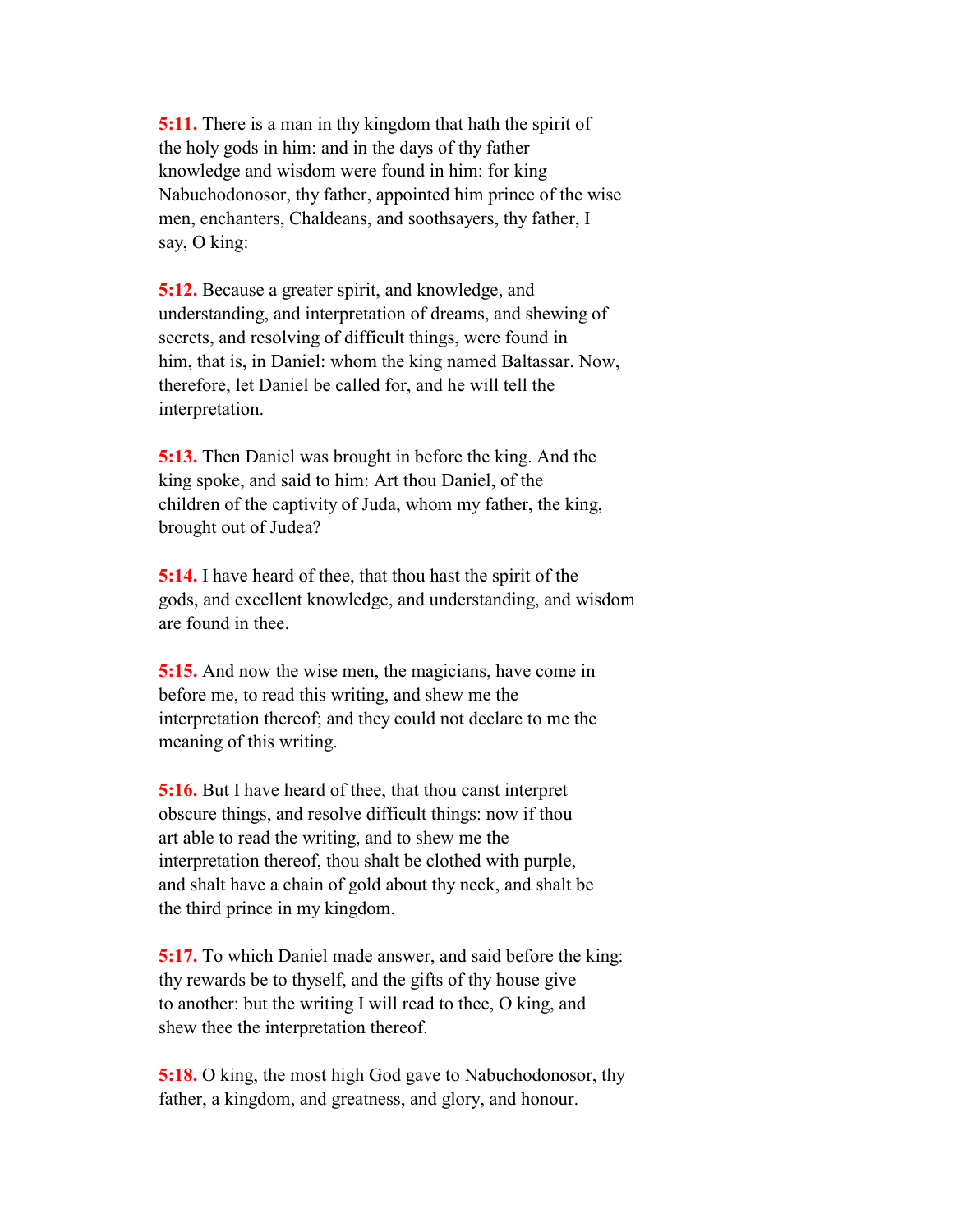**5:11.** There is a man in thy kingdom that hath the spirit of the holy gods in him: and in the days of thy father knowledge and wisdom were found in him: for king Nabuchodonosor, thy father, appointed him prince of the wise men, enchanters, Chaldeans, and soothsayers, thy father, I say, O king:

 **5:12.** Because a greater spirit, and knowledge, and understanding, and interpretation of dreams, and shewing of secrets, and resolving of difficult things, were found in him, that is, in Daniel: whom the king named Baltassar. Now, therefore, let Daniel be called for, and he will tell the interpretation.

 **5:13.** Then Daniel was brought in before the king. And the king spoke, and said to him: Art thou Daniel, of the children of the captivity of Juda, whom my father, the king, brought out of Judea?

 **5:14.** I have heard of thee, that thou hast the spirit of the gods, and excellent knowledge, and understanding, and wisdom are found in thee.

 **5:15.** And now the wise men, the magicians, have come in before me, to read this writing, and shew me the interpretation thereof; and they could not declare to me the meaning of this writing.

 **5:16.** But I have heard of thee, that thou canst interpret obscure things, and resolve difficult things: now if thou art able to read the writing, and to shew me the interpretation thereof, thou shalt be clothed with purple, and shalt have a chain of gold about thy neck, and shalt be the third prince in my kingdom.

 **5:17.** To which Daniel made answer, and said before the king: thy rewards be to thyself, and the gifts of thy house give to another: but the writing I will read to thee, O king, and shew thee the interpretation thereof.

 **5:18.** O king, the most high God gave to Nabuchodonosor, thy father, a kingdom, and greatness, and glory, and honour.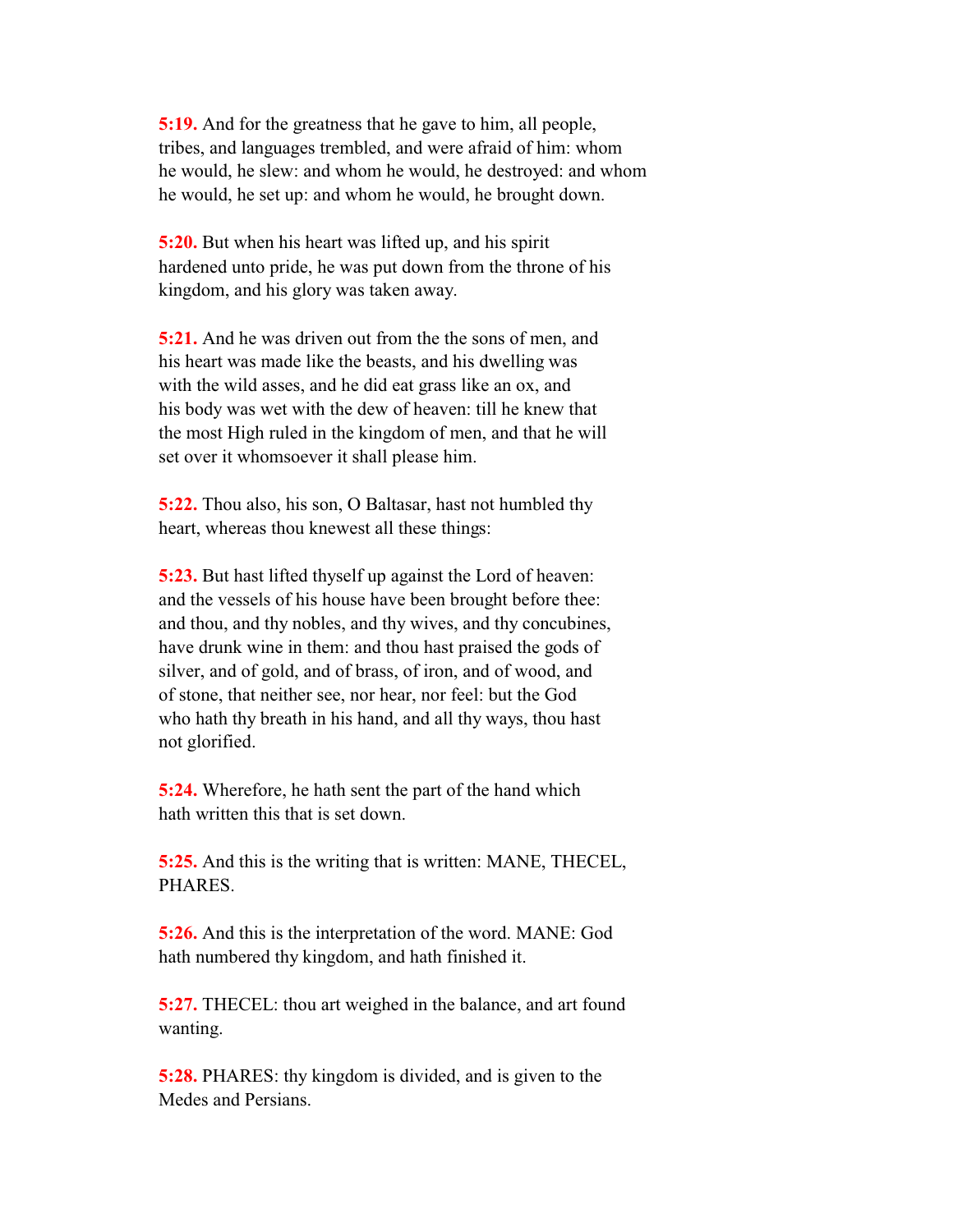**5:19.** And for the greatness that he gave to him, all people, tribes, and languages trembled, and were afraid of him: whom he would, he slew: and whom he would, he destroyed: and whom he would, he set up: and whom he would, he brought down.

 **5:20.** But when his heart was lifted up, and his spirit hardened unto pride, he was put down from the throne of his kingdom, and his glory was taken away.

 **5:21.** And he was driven out from the the sons of men, and his heart was made like the beasts, and his dwelling was with the wild asses, and he did eat grass like an ox, and his body was wet with the dew of heaven: till he knew that the most High ruled in the kingdom of men, and that he will set over it whomsoever it shall please him.

 **5:22.** Thou also, his son, O Baltasar, hast not humbled thy heart, whereas thou knewest all these things:

**5:23.** But hast lifted thyself up against the Lord of heaven: and the vessels of his house have been brought before thee: and thou, and thy nobles, and thy wives, and thy concubines, have drunk wine in them: and thou hast praised the gods of silver, and of gold, and of brass, of iron, and of wood, and of stone, that neither see, nor hear, nor feel: but the God who hath thy breath in his hand, and all thy ways, thou hast not glorified.

 **5:24.** Wherefore, he hath sent the part of the hand which hath written this that is set down.

 **5:25.** And this is the writing that is written: MANE, THECEL, PHARES.

 **5:26.** And this is the interpretation of the word. MANE: God hath numbered thy kingdom, and hath finished it.

**5:27.** THECEL: thou art weighed in the balance, and art found wanting.

 **5:28.** PHARES: thy kingdom is divided, and is given to the Medes and Persians.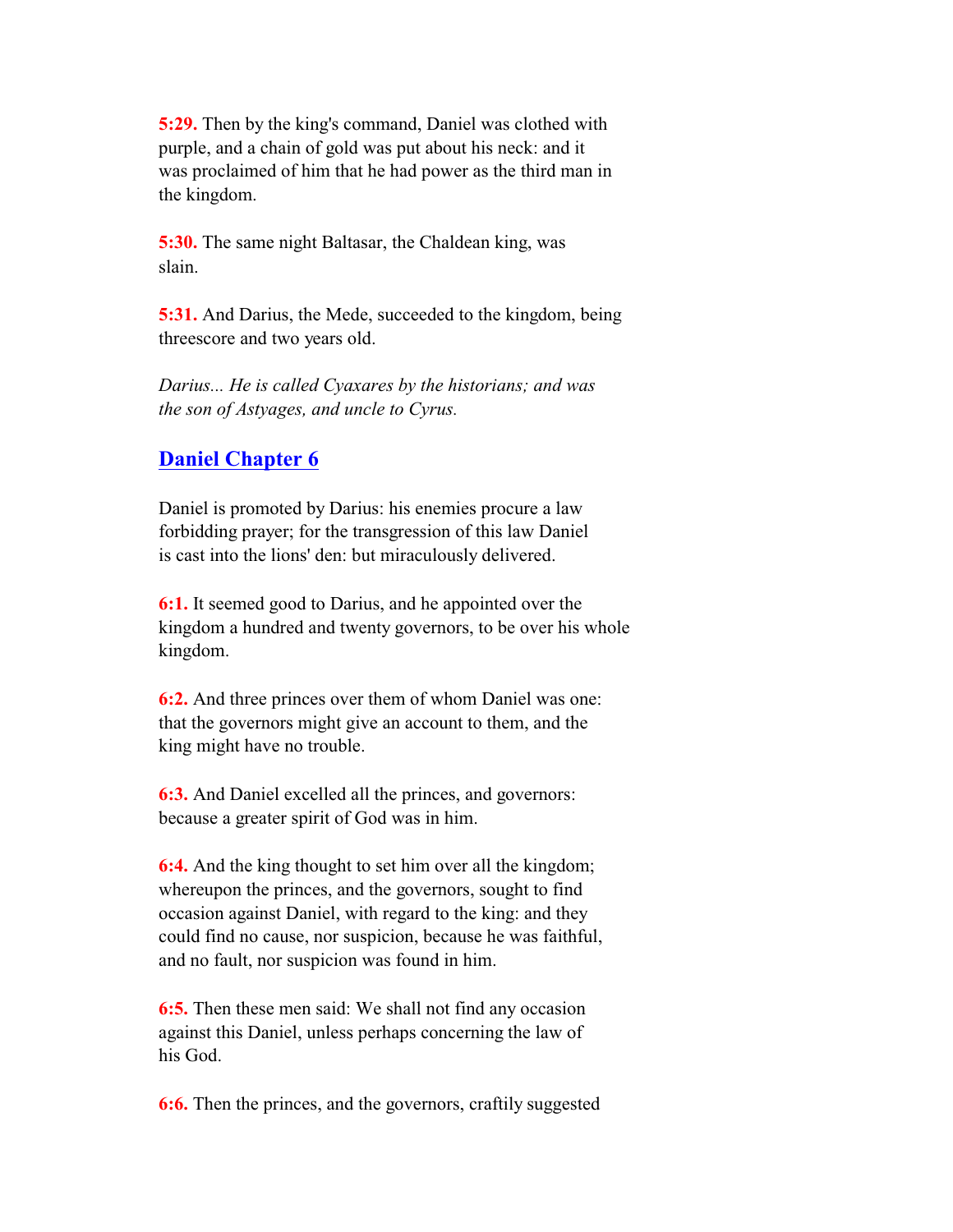**5:29.** Then by the king's command, Daniel was clothed with purple, and a chain of gold was put about his neck: and it was proclaimed of him that he had power as the third man in the kingdom.

 **5:30.** The same night Baltasar, the Chaldean king, was slain.

 **5:31.** And Darius, the Mede, succeeded to the kingdom, being threescore and two years old.

 *Darius... He is called Cyaxares by the historians; and was the son of Astyages, and uncle to Cyrus.*

# **Daniel Chapter 6**

 Daniel is promoted by Darius: his enemies procure a law forbidding prayer; for the transgression of this law Daniel is cast into the lions' den: but miraculously delivered.

 **6:1.** It seemed good to Darius, and he appointed over the kingdom a hundred and twenty governors, to be over his whole kingdom.

 **6:2.** And three princes over them of whom Daniel was one: that the governors might give an account to them, and the king might have no trouble.

 **6:3.** And Daniel excelled all the princes, and governors: because a greater spirit of God was in him.

**6:4.** And the king thought to set him over all the kingdom; whereupon the princes, and the governors, sought to find occasion against Daniel, with regard to the king: and they could find no cause, nor suspicion, because he was faithful, and no fault, nor suspicion was found in him.

 **6:5.** Then these men said: We shall not find any occasion against this Daniel, unless perhaps concerning the law of his God.

**6:6.** Then the princes, and the governors, craftily suggested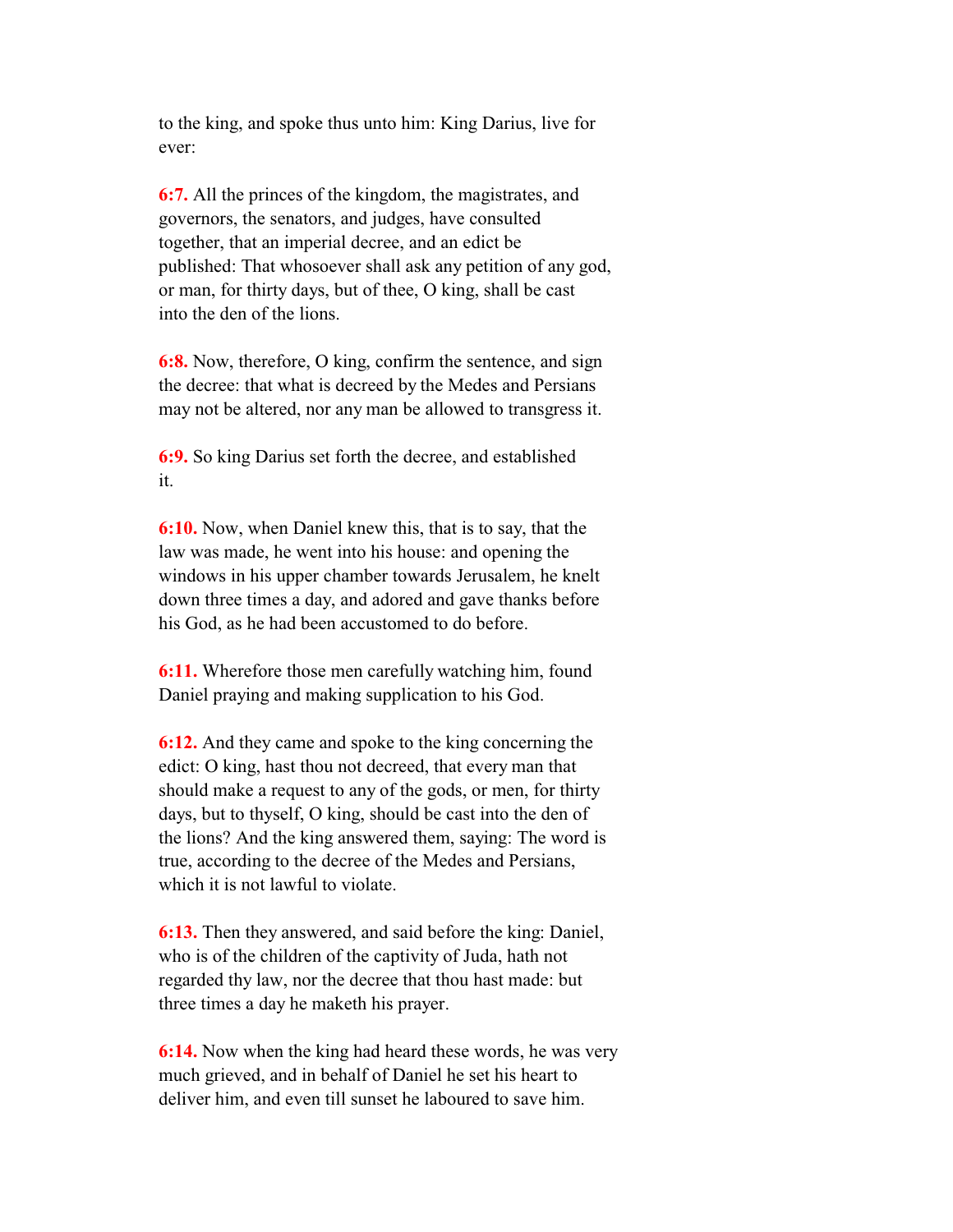to the king, and spoke thus unto him: King Darius, live for ever:

 **6:7.** All the princes of the kingdom, the magistrates, and governors, the senators, and judges, have consulted together, that an imperial decree, and an edict be published: That whosoever shall ask any petition of any god, or man, for thirty days, but of thee, O king, shall be cast into the den of the lions.

 **6:8.** Now, therefore, O king, confirm the sentence, and sign the decree: that what is decreed by the Medes and Persians may not be altered, nor any man be allowed to transgress it.

 **6:9.** So king Darius set forth the decree, and established it.

 **6:10.** Now, when Daniel knew this, that is to say, that the law was made, he went into his house: and opening the windows in his upper chamber towards Jerusalem, he knelt down three times a day, and adored and gave thanks before his God, as he had been accustomed to do before.

 **6:11.** Wherefore those men carefully watching him, found Daniel praying and making supplication to his God.

 **6:12.** And they came and spoke to the king concerning the edict: O king, hast thou not decreed, that every man that should make a request to any of the gods, or men, for thirty days, but to thyself, O king, should be cast into the den of the lions? And the king answered them, saying: The word is true, according to the decree of the Medes and Persians, which it is not lawful to violate.

 **6:13.** Then they answered, and said before the king: Daniel, who is of the children of the captivity of Juda, hath not regarded thy law, nor the decree that thou hast made: but three times a day he maketh his prayer.

 **6:14.** Now when the king had heard these words, he was very much grieved, and in behalf of Daniel he set his heart to deliver him, and even till sunset he laboured to save him.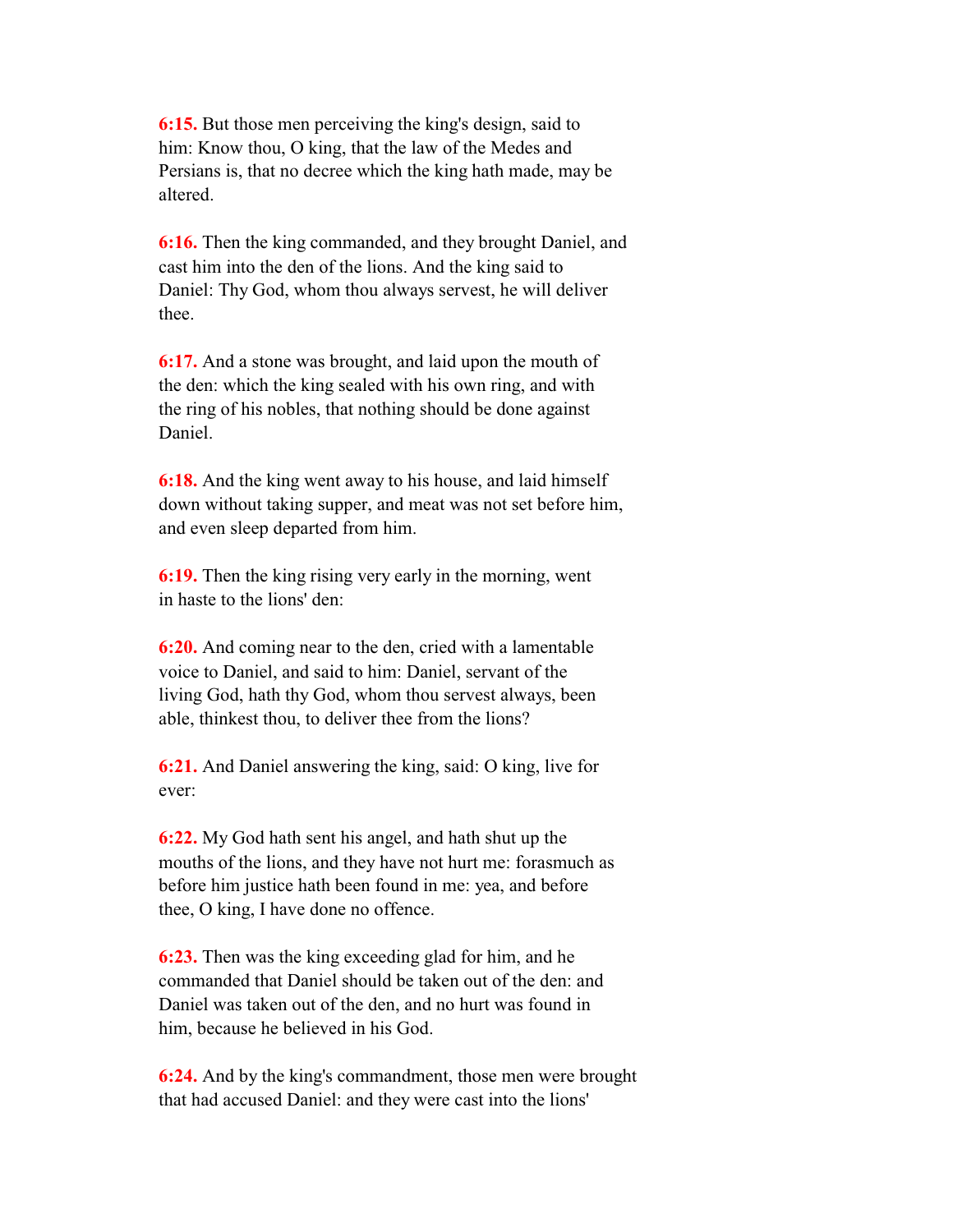**6:15.** But those men perceiving the king's design, said to him: Know thou, O king, that the law of the Medes and Persians is, that no decree which the king hath made, may be altered.

 **6:16.** Then the king commanded, and they brought Daniel, and cast him into the den of the lions. And the king said to Daniel: Thy God, whom thou always servest, he will deliver thee.

 **6:17.** And a stone was brought, and laid upon the mouth of the den: which the king sealed with his own ring, and with the ring of his nobles, that nothing should be done against Daniel.

 **6:18.** And the king went away to his house, and laid himself down without taking supper, and meat was not set before him, and even sleep departed from him.

 **6:19.** Then the king rising very early in the morning, went in haste to the lions' den:

 **6:20.** And coming near to the den, cried with a lamentable voice to Daniel, and said to him: Daniel, servant of the living God, hath thy God, whom thou servest always, been able, thinkest thou, to deliver thee from the lions?

 **6:21.** And Daniel answering the king, said: O king, live for ever:

 **6:22.** My God hath sent his angel, and hath shut up the mouths of the lions, and they have not hurt me: forasmuch as before him justice hath been found in me: yea, and before thee, O king, I have done no offence.

 **6:23.** Then was the king exceeding glad for him, and he commanded that Daniel should be taken out of the den: and Daniel was taken out of the den, and no hurt was found in him, because he believed in his God.

 **6:24.** And by the king's commandment, those men were brought that had accused Daniel: and they were cast into the lions'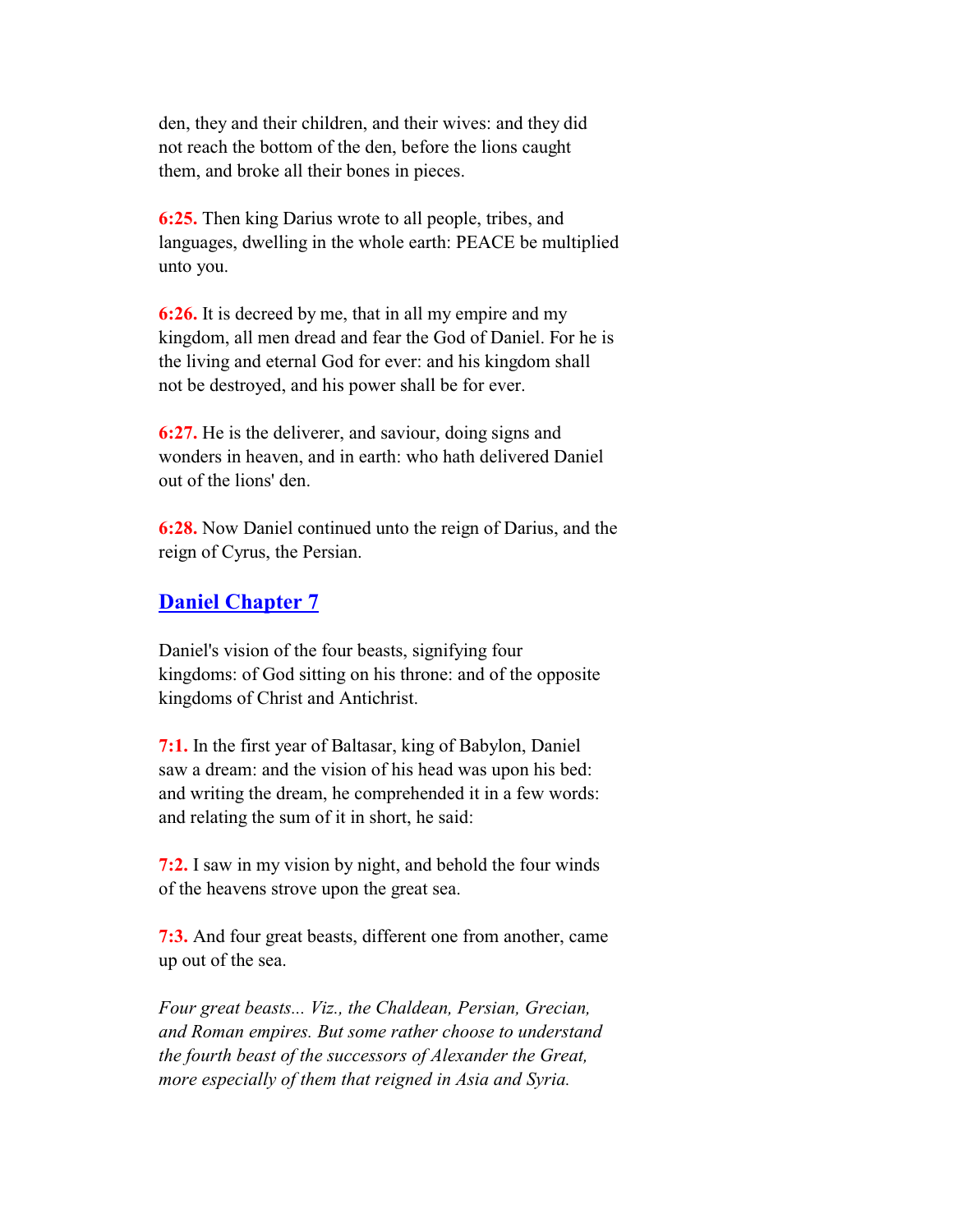den, they and their children, and their wives: and they did not reach the bottom of the den, before the lions caught them, and broke all their bones in pieces.

 **6:25.** Then king Darius wrote to all people, tribes, and languages, dwelling in the whole earth: PEACE be multiplied unto you.

 **6:26.** It is decreed by me, that in all my empire and my kingdom, all men dread and fear the God of Daniel. For he is the living and eternal God for ever: and his kingdom shall not be destroyed, and his power shall be for ever.

 **6:27.** He is the deliverer, and saviour, doing signs and wonders in heaven, and in earth: who hath delivered Daniel out of the lions' den.

 **6:28.** Now Daniel continued unto the reign of Darius, and the reign of Cyrus, the Persian.

## **Daniel Chapter 7**

 Daniel's vision of the four beasts, signifying four kingdoms: of God sitting on his throne: and of the opposite kingdoms of Christ and Antichrist.

 **7:1.** In the first year of Baltasar, king of Babylon, Daniel saw a dream: and the vision of his head was upon his bed: and writing the dream, he comprehended it in a few words: and relating the sum of it in short, he said:

 **7:2.** I saw in my vision by night, and behold the four winds of the heavens strove upon the great sea.

 **7:3.** And four great beasts, different one from another, came up out of the sea.

 *Four great beasts... Viz., the Chaldean, Persian, Grecian, and Roman empires. But some rather choose to understand the fourth beast of the successors of Alexander the Great, more especially of them that reigned in Asia and Syria.*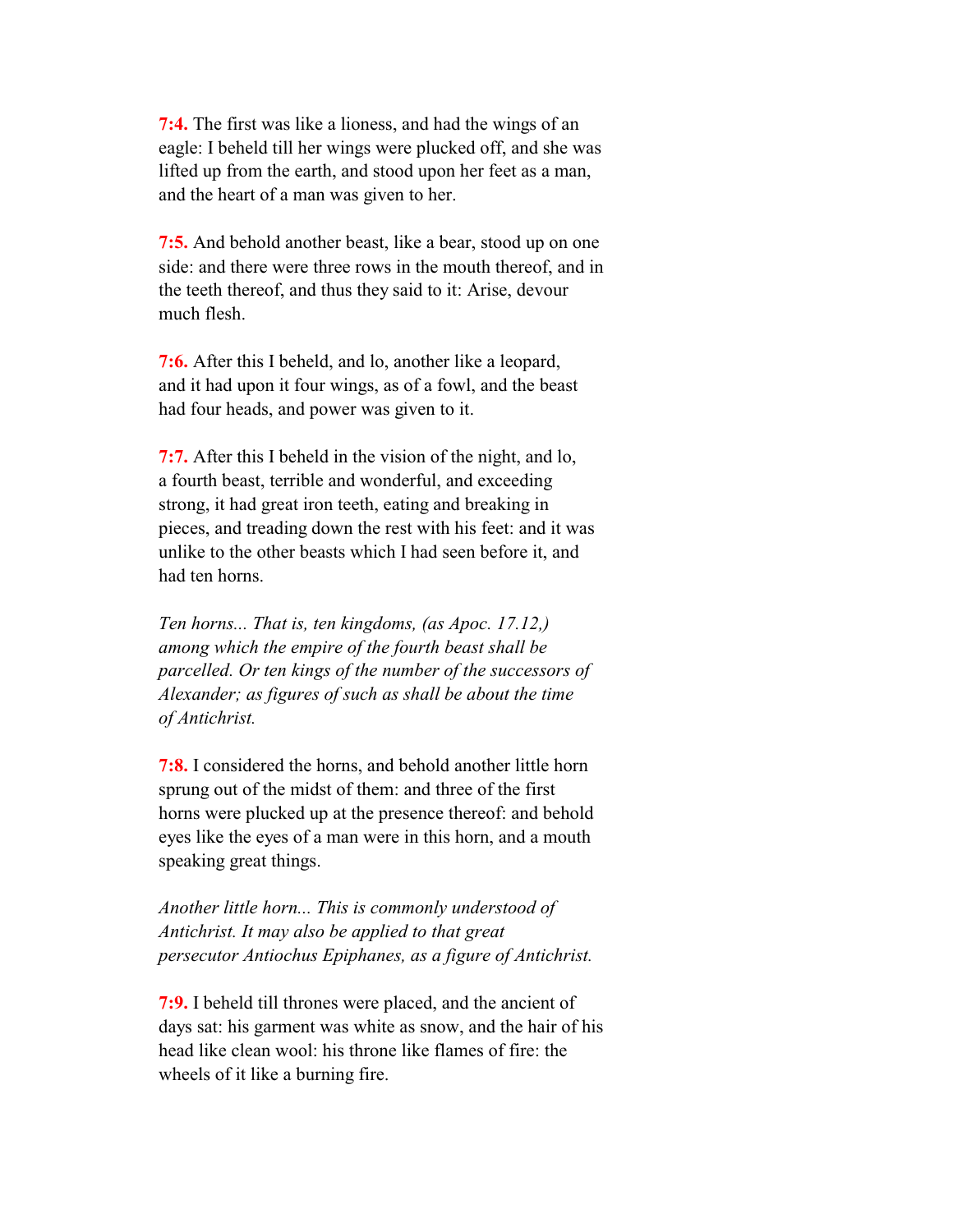**7:4.** The first was like a lioness, and had the wings of an eagle: I beheld till her wings were plucked off, and she was lifted up from the earth, and stood upon her feet as a man, and the heart of a man was given to her.

 **7:5.** And behold another beast, like a bear, stood up on one side: and there were three rows in the mouth thereof, and in the teeth thereof, and thus they said to it: Arise, devour much flesh.

 **7:6.** After this I beheld, and lo, another like a leopard, and it had upon it four wings, as of a fowl, and the beast had four heads, and power was given to it.

 **7:7.** After this I beheld in the vision of the night, and lo, a fourth beast, terrible and wonderful, and exceeding strong, it had great iron teeth, eating and breaking in pieces, and treading down the rest with his feet: and it was unlike to the other beasts which I had seen before it, and had ten horns.

 *Ten horns... That is, ten kingdoms, (as Apoc. 17.12,) among which the empire of the fourth beast shall be parcelled. Or ten kings of the number of the successors of Alexander; as figures of such as shall be about the time of Antichrist.*

 **7:8.** I considered the horns, and behold another little horn sprung out of the midst of them: and three of the first horns were plucked up at the presence thereof: and behold eyes like the eyes of a man were in this horn, and a mouth speaking great things.

 *Another little horn... This is commonly understood of Antichrist. It may also be applied to that great persecutor Antiochus Epiphanes, as a figure of Antichrist.*

 **7:9.** I beheld till thrones were placed, and the ancient of days sat: his garment was white as snow, and the hair of his head like clean wool: his throne like flames of fire: the wheels of it like a burning fire.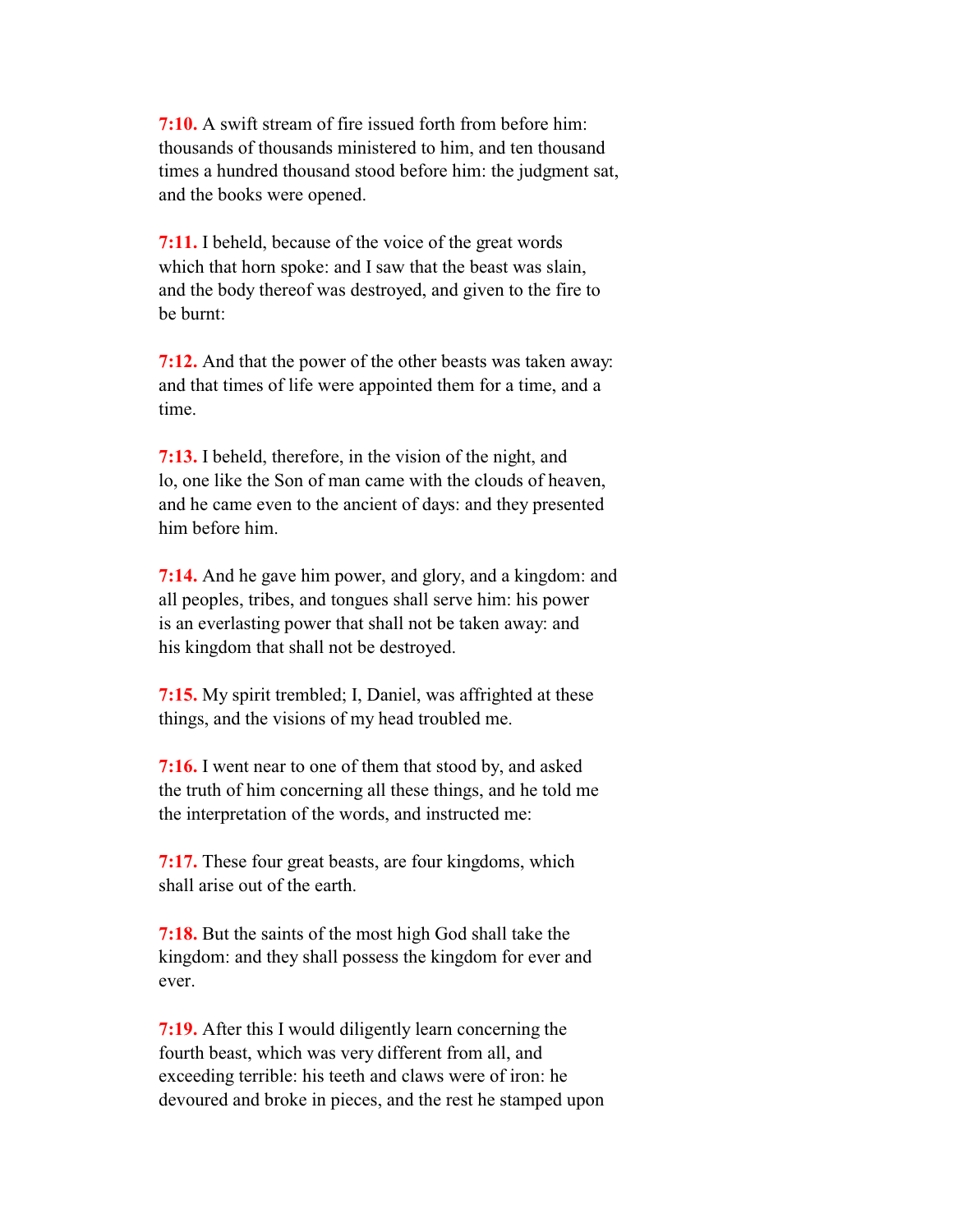**7:10.** A swift stream of fire issued forth from before him: thousands of thousands ministered to him, and ten thousand times a hundred thousand stood before him: the judgment sat, and the books were opened.

 **7:11.** I beheld, because of the voice of the great words which that horn spoke: and I saw that the beast was slain, and the body thereof was destroyed, and given to the fire to be burnt:

 **7:12.** And that the power of the other beasts was taken away: and that times of life were appointed them for a time, and a time.

 **7:13.** I beheld, therefore, in the vision of the night, and lo, one like the Son of man came with the clouds of heaven, and he came even to the ancient of days: and they presented him before him.

 **7:14.** And he gave him power, and glory, and a kingdom: and all peoples, tribes, and tongues shall serve him: his power is an everlasting power that shall not be taken away: and his kingdom that shall not be destroyed.

 **7:15.** My spirit trembled; I, Daniel, was affrighted at these things, and the visions of my head troubled me.

 **7:16.** I went near to one of them that stood by, and asked the truth of him concerning all these things, and he told me the interpretation of the words, and instructed me:

 **7:17.** These four great beasts, are four kingdoms, which shall arise out of the earth.

 **7:18.** But the saints of the most high God shall take the kingdom: and they shall possess the kingdom for ever and ever.

 **7:19.** After this I would diligently learn concerning the fourth beast, which was very different from all, and exceeding terrible: his teeth and claws were of iron: he devoured and broke in pieces, and the rest he stamped upon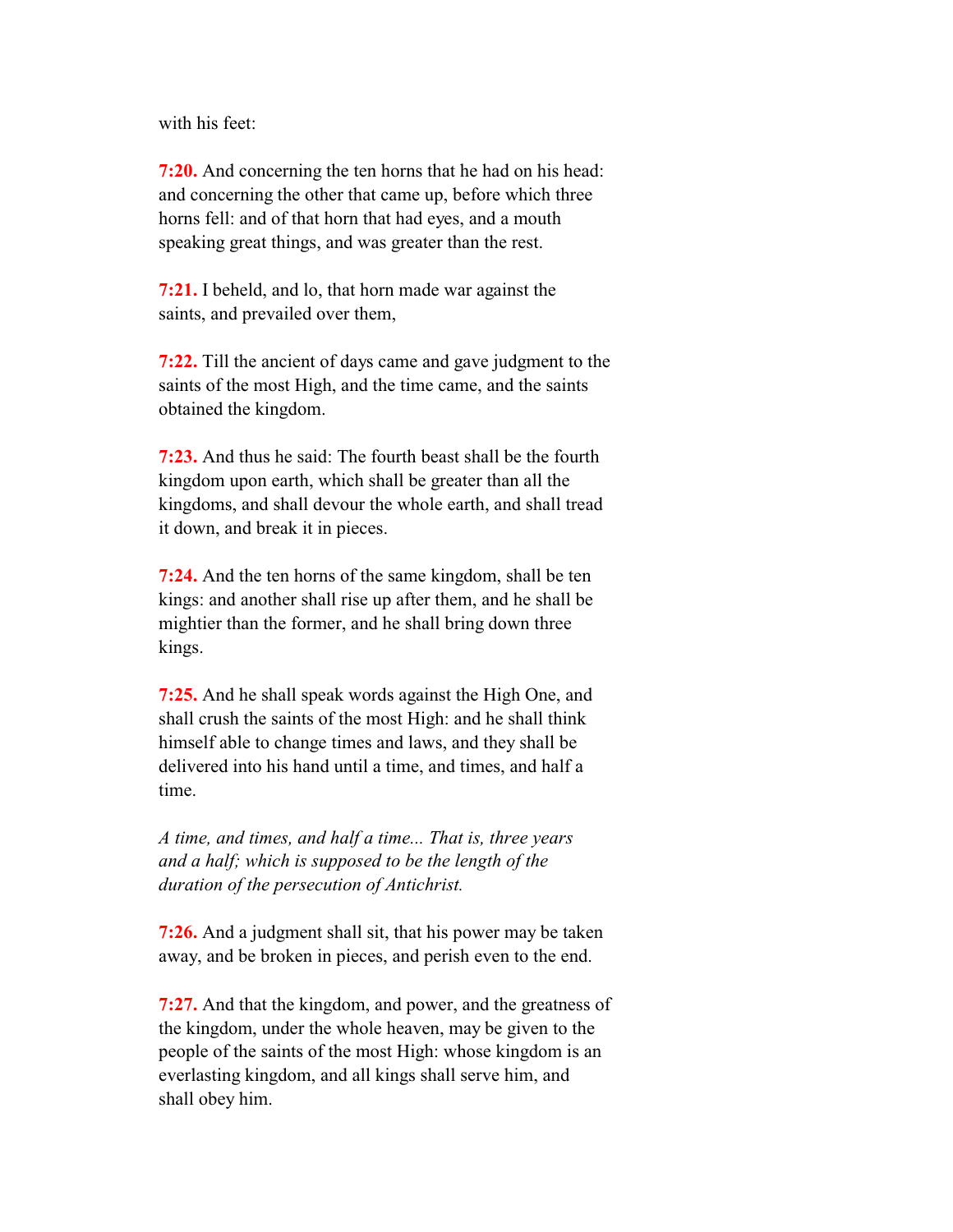with his feet:

 **7:20.** And concerning the ten horns that he had on his head: and concerning the other that came up, before which three horns fell: and of that horn that had eyes, and a mouth speaking great things, and was greater than the rest.

 **7:21.** I beheld, and lo, that horn made war against the saints, and prevailed over them,

 **7:22.** Till the ancient of days came and gave judgment to the saints of the most High, and the time came, and the saints obtained the kingdom.

 **7:23.** And thus he said: The fourth beast shall be the fourth kingdom upon earth, which shall be greater than all the kingdoms, and shall devour the whole earth, and shall tread it down, and break it in pieces.

 **7:24.** And the ten horns of the same kingdom, shall be ten kings: and another shall rise up after them, and he shall be mightier than the former, and he shall bring down three kings.

 **7:25.** And he shall speak words against the High One, and shall crush the saints of the most High: and he shall think himself able to change times and laws, and they shall be delivered into his hand until a time, and times, and half a time.

 *A time, and times, and half a time... That is, three years and a half; which is supposed to be the length of the duration of the persecution of Antichrist.*

 **7:26.** And a judgment shall sit, that his power may be taken away, and be broken in pieces, and perish even to the end.

 **7:27.** And that the kingdom, and power, and the greatness of the kingdom, under the whole heaven, may be given to the people of the saints of the most High: whose kingdom is an everlasting kingdom, and all kings shall serve him, and shall obey him.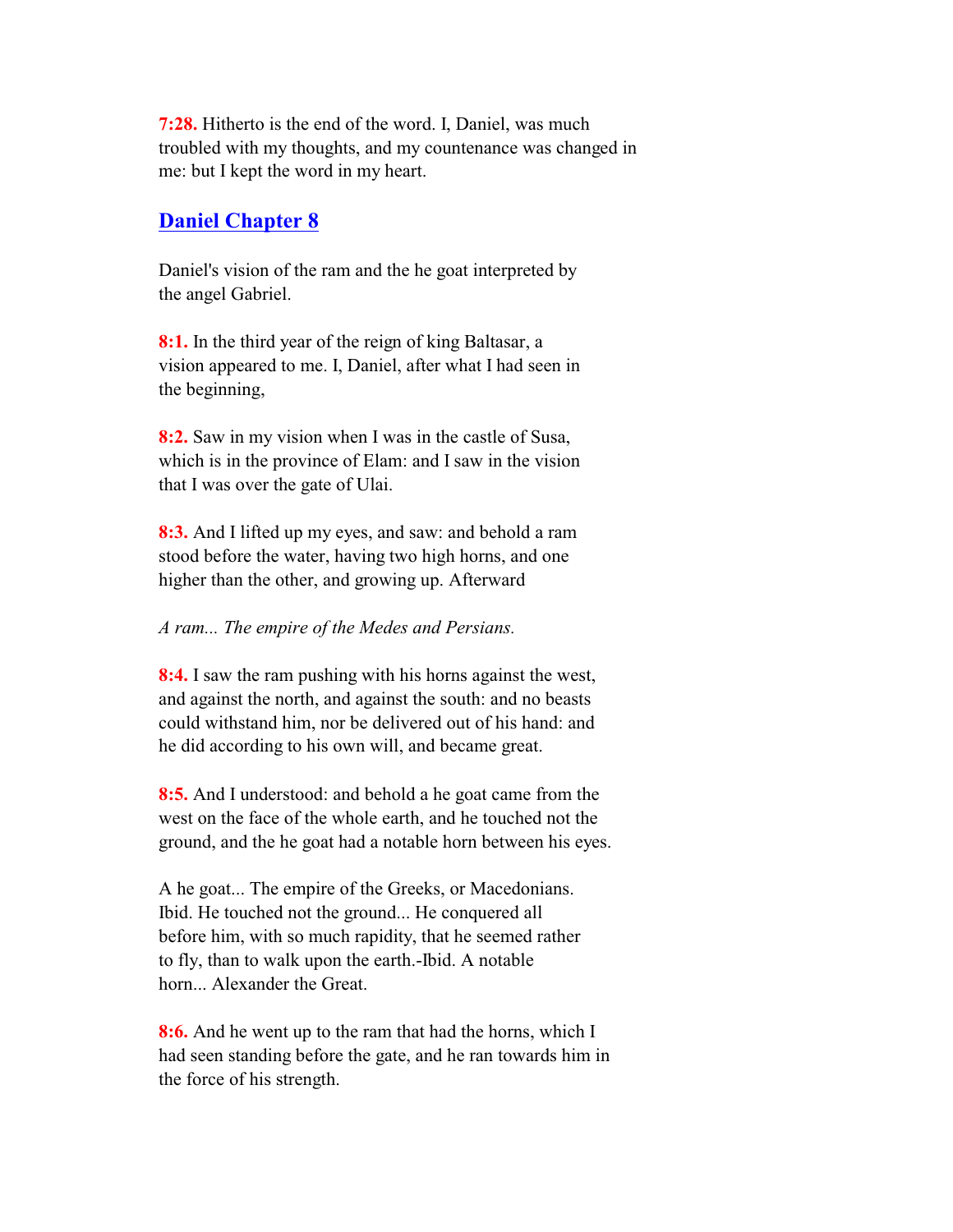**7:28.** Hitherto is the end of the word. I, Daniel, was much troubled with my thoughts, and my countenance was changed in me: but I kept the word in my heart.

### **Daniel Chapter 8**

 Daniel's vision of the ram and the he goat interpreted by the angel Gabriel.

 **8:1.** In the third year of the reign of king Baltasar, a vision appeared to me. I, Daniel, after what I had seen in the beginning,

 **8:2.** Saw in my vision when I was in the castle of Susa, which is in the province of Elam: and I saw in the vision that I was over the gate of Ulai.

 **8:3.** And I lifted up my eyes, and saw: and behold a ram stood before the water, having two high horns, and one higher than the other, and growing up. Afterward

#### *A ram... The empire of the Medes and Persians.*

 **8:4.** I saw the ram pushing with his horns against the west, and against the north, and against the south: and no beasts could withstand him, nor be delivered out of his hand: and he did according to his own will, and became great.

 **8:5.** And I understood: and behold a he goat came from the west on the face of the whole earth, and he touched not the ground, and the he goat had a notable horn between his eyes.

 A he goat... The empire of the Greeks, or Macedonians. Ibid. He touched not the ground... He conquered all before him, with so much rapidity, that he seemed rather to fly, than to walk upon the earth.-Ibid. A notable horn... Alexander the Great.

 **8:6.** And he went up to the ram that had the horns, which I had seen standing before the gate, and he ran towards him in the force of his strength.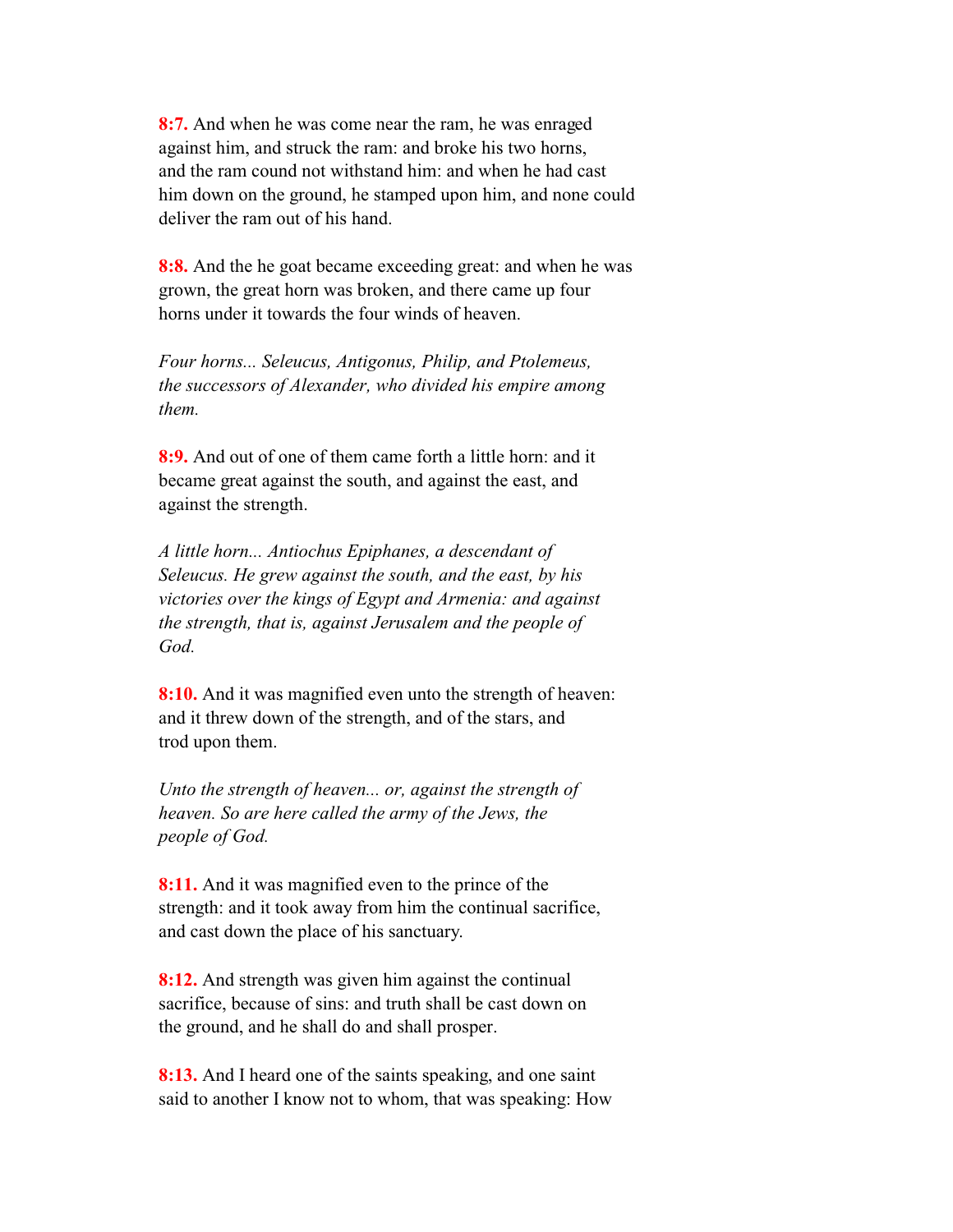**8:7.** And when he was come near the ram, he was enraged against him, and struck the ram: and broke his two horns, and the ram cound not withstand him: and when he had cast him down on the ground, he stamped upon him, and none could deliver the ram out of his hand.

 **8:8.** And the he goat became exceeding great: and when he was grown, the great horn was broken, and there came up four horns under it towards the four winds of heaven.

 *Four horns... Seleucus, Antigonus, Philip, and Ptolemeus, the successors of Alexander, who divided his empire among them.*

 **8:9.** And out of one of them came forth a little horn: and it became great against the south, and against the east, and against the strength.

 *A little horn... Antiochus Epiphanes, a descendant of Seleucus. He grew against the south, and the east, by his victories over the kings of Egypt and Armenia: and against the strength, that is, against Jerusalem and the people of God.*

 **8:10.** And it was magnified even unto the strength of heaven: and it threw down of the strength, and of the stars, and trod upon them.

 *Unto the strength of heaven... or, against the strength of heaven. So are here called the army of the Jews, the people of God.*

**8:11.** And it was magnified even to the prince of the strength: and it took away from him the continual sacrifice, and cast down the place of his sanctuary.

 **8:12.** And strength was given him against the continual sacrifice, because of sins: and truth shall be cast down on the ground, and he shall do and shall prosper.

 **8:13.** And I heard one of the saints speaking, and one saint said to another I know not to whom, that was speaking: How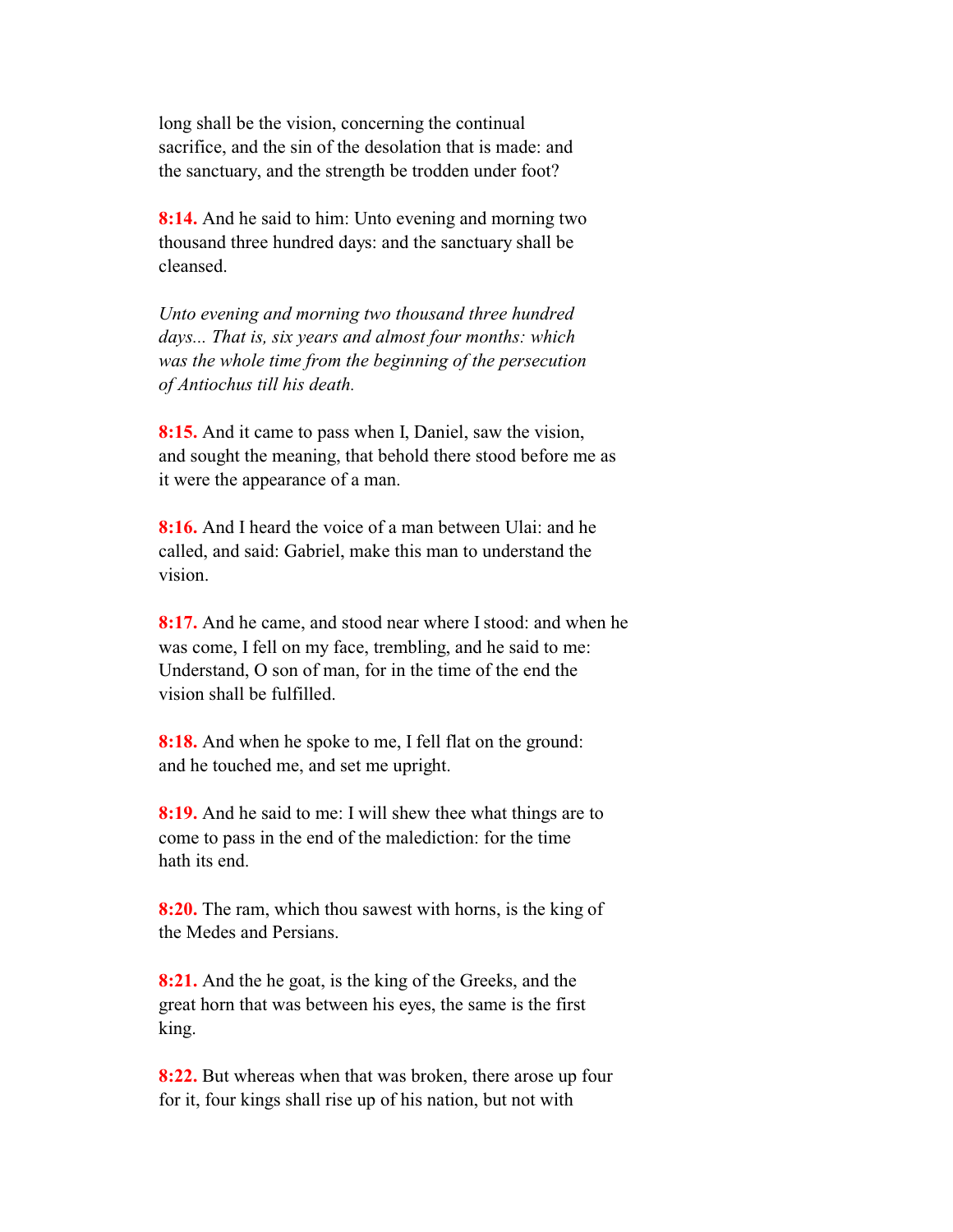long shall be the vision, concerning the continual sacrifice, and the sin of the desolation that is made: and the sanctuary, and the strength be trodden under foot?

 **8:14.** And he said to him: Unto evening and morning two thousand three hundred days: and the sanctuary shall be cleansed.

 *Unto evening and morning two thousand three hundred days... That is, six years and almost four months: which was the whole time from the beginning of the persecution of Antiochus till his death.*

 **8:15.** And it came to pass when I, Daniel, saw the vision, and sought the meaning, that behold there stood before me as it were the appearance of a man.

 **8:16.** And I heard the voice of a man between Ulai: and he called, and said: Gabriel, make this man to understand the vision.

 **8:17.** And he came, and stood near where I stood: and when he was come, I fell on my face, trembling, and he said to me: Understand, O son of man, for in the time of the end the vision shall be fulfilled.

 **8:18.** And when he spoke to me, I fell flat on the ground: and he touched me, and set me upright.

 **8:19.** And he said to me: I will shew thee what things are to come to pass in the end of the malediction: for the time hath its end.

 **8:20.** The ram, which thou sawest with horns, is the king of the Medes and Persians.

 **8:21.** And the he goat, is the king of the Greeks, and the great horn that was between his eyes, the same is the first king.

 **8:22.** But whereas when that was broken, there arose up four for it, four kings shall rise up of his nation, but not with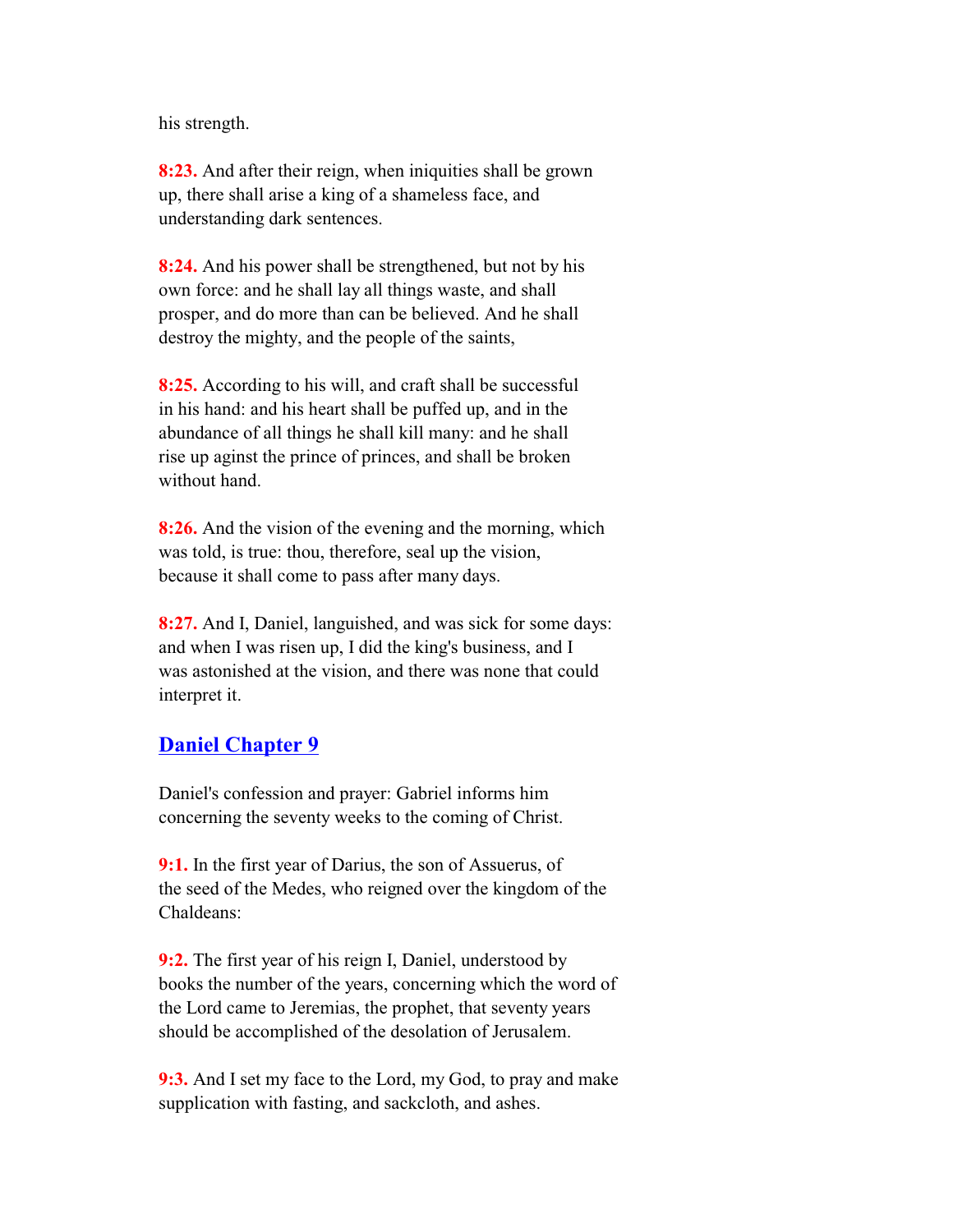his strength.

 **8:23.** And after their reign, when iniquities shall be grown up, there shall arise a king of a shameless face, and understanding dark sentences.

 **8:24.** And his power shall be strengthened, but not by his own force: and he shall lay all things waste, and shall prosper, and do more than can be believed. And he shall destroy the mighty, and the people of the saints,

 **8:25.** According to his will, and craft shall be successful in his hand: and his heart shall be puffed up, and in the abundance of all things he shall kill many: and he shall rise up aginst the prince of princes, and shall be broken without hand.

 **8:26.** And the vision of the evening and the morning, which was told, is true: thou, therefore, seal up the vision, because it shall come to pass after many days.

 **8:27.** And I, Daniel, languished, and was sick for some days: and when I was risen up, I did the king's business, and I was astonished at the vision, and there was none that could interpret it.

#### **Daniel Chapter 9**

 Daniel's confession and prayer: Gabriel informs him concerning the seventy weeks to the coming of Christ.

 **9:1.** In the first year of Darius, the son of Assuerus, of the seed of the Medes, who reigned over the kingdom of the Chaldeans:

 **9:2.** The first year of his reign I, Daniel, understood by books the number of the years, concerning which the word of the Lord came to Jeremias, the prophet, that seventy years should be accomplished of the desolation of Jerusalem.

 **9:3.** And I set my face to the Lord, my God, to pray and make supplication with fasting, and sackcloth, and ashes.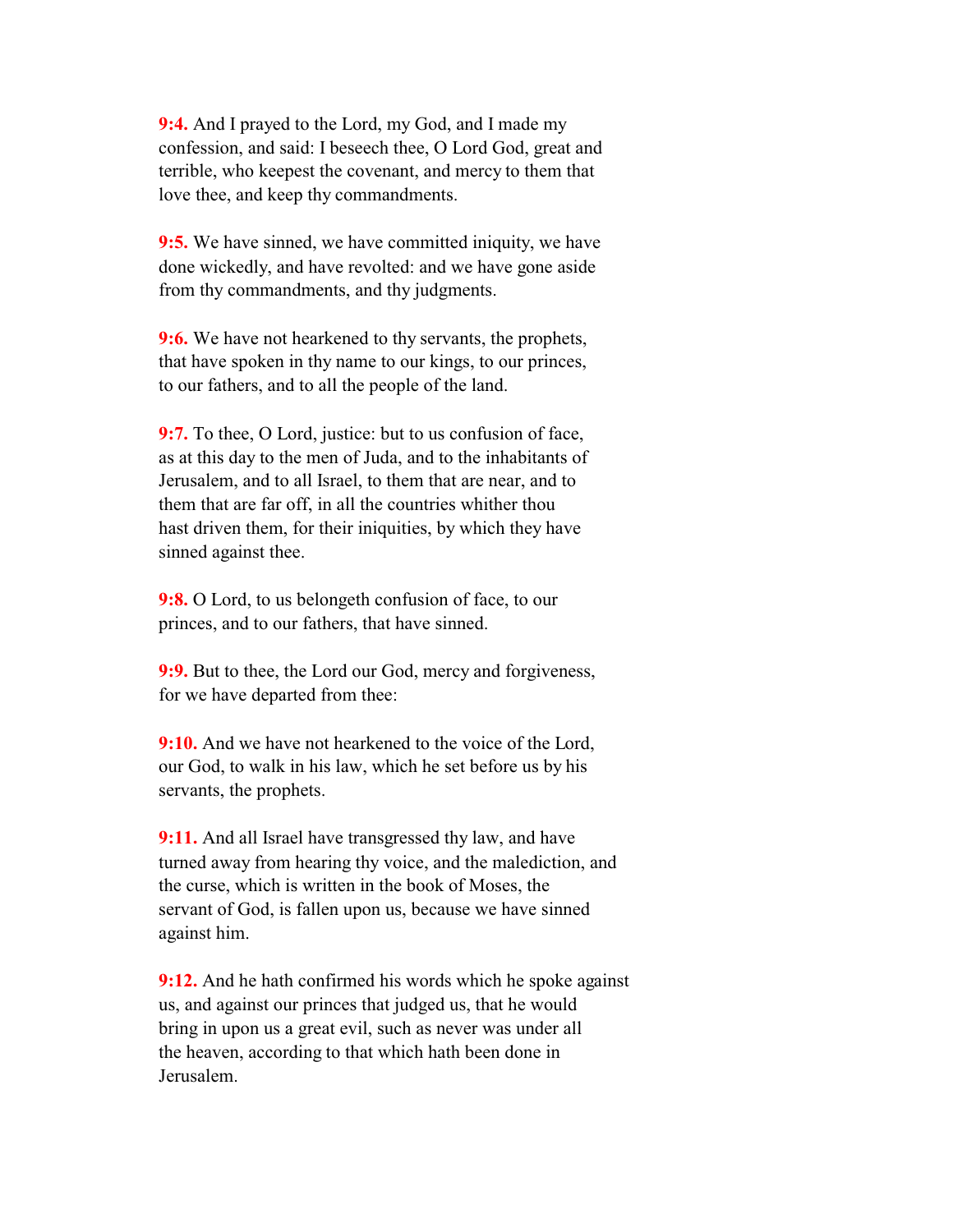**9:4.** And I prayed to the Lord, my God, and I made my confession, and said: I beseech thee, O Lord God, great and terrible, who keepest the covenant, and mercy to them that love thee, and keep thy commandments.

 **9:5.** We have sinned, we have committed iniquity, we have done wickedly, and have revolted: and we have gone aside from thy commandments, and thy judgments.

 **9:6.** We have not hearkened to thy servants, the prophets, that have spoken in thy name to our kings, to our princes, to our fathers, and to all the people of the land.

**9:7.** To thee, O Lord, justice: but to us confusion of face, as at this day to the men of Juda, and to the inhabitants of Jerusalem, and to all Israel, to them that are near, and to them that are far off, in all the countries whither thou hast driven them, for their iniquities, by which they have sinned against thee.

**9:8.** O Lord, to us belongeth confusion of face, to our princes, and to our fathers, that have sinned.

 **9:9.** But to thee, the Lord our God, mercy and forgiveness, for we have departed from thee:

**9:10.** And we have not hearkened to the voice of the Lord, our God, to walk in his law, which he set before us by his servants, the prophets.

 **9:11.** And all Israel have transgressed thy law, and have turned away from hearing thy voice, and the malediction, and the curse, which is written in the book of Moses, the servant of God, is fallen upon us, because we have sinned against him.

 **9:12.** And he hath confirmed his words which he spoke against us, and against our princes that judged us, that he would bring in upon us a great evil, such as never was under all the heaven, according to that which hath been done in Jerusalem.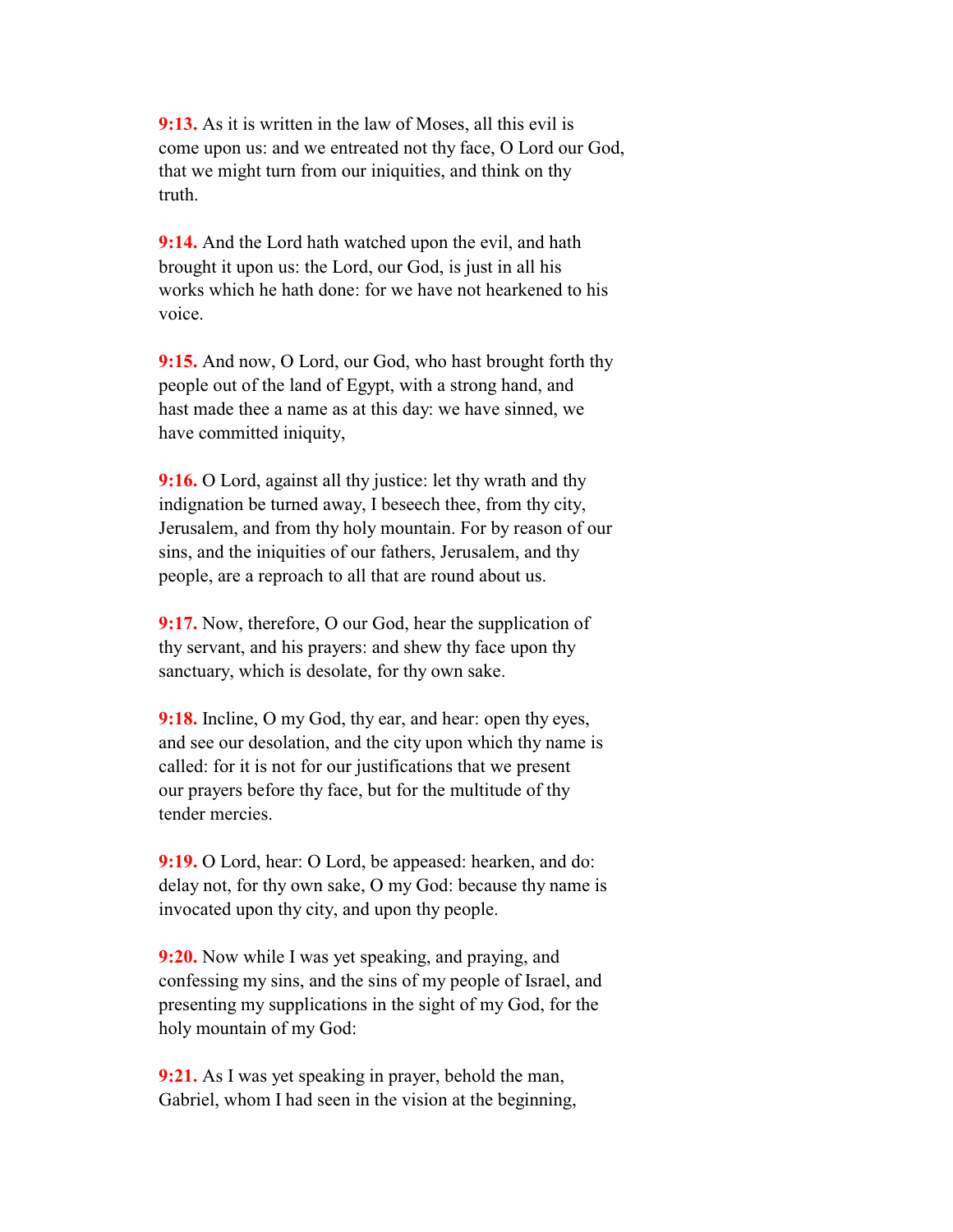**9:13.** As it is written in the law of Moses, all this evil is come upon us: and we entreated not thy face, O Lord our God, that we might turn from our iniquities, and think on thy truth.

 **9:14.** And the Lord hath watched upon the evil, and hath brought it upon us: the Lord, our God, is just in all his works which he hath done: for we have not hearkened to his voice.

 **9:15.** And now, O Lord, our God, who hast brought forth thy people out of the land of Egypt, with a strong hand, and hast made thee a name as at this day: we have sinned, we have committed iniquity,

**9:16.** O Lord, against all thy justice: let thy wrath and thy indignation be turned away, I beseech thee, from thy city, Jerusalem, and from thy holy mountain. For by reason of our sins, and the iniquities of our fathers, Jerusalem, and thy people, are a reproach to all that are round about us.

**9:17.** Now, therefore, O our God, hear the supplication of thy servant, and his prayers: and shew thy face upon thy sanctuary, which is desolate, for thy own sake.

 **9:18.** Incline, O my God, thy ear, and hear: open thy eyes, and see our desolation, and the city upon which thy name is called: for it is not for our justifications that we present our prayers before thy face, but for the multitude of thy tender mercies.

 **9:19.** O Lord, hear: O Lord, be appeased: hearken, and do: delay not, for thy own sake, O my God: because thy name is invocated upon thy city, and upon thy people.

 **9:20.** Now while I was yet speaking, and praying, and confessing my sins, and the sins of my people of Israel, and presenting my supplications in the sight of my God, for the holy mountain of my God:

 **9:21.** As I was yet speaking in prayer, behold the man, Gabriel, whom I had seen in the vision at the beginning,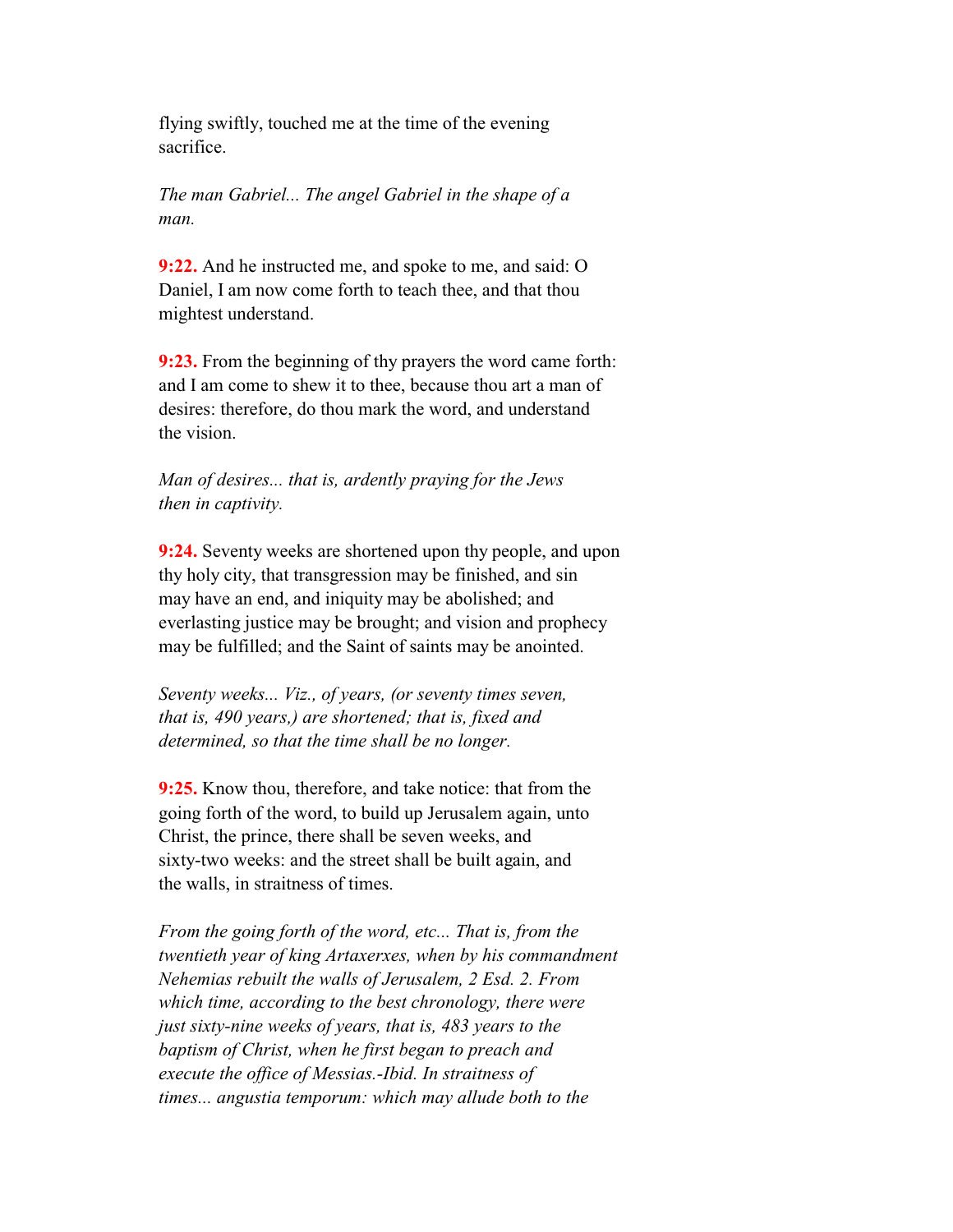flying swiftly, touched me at the time of the evening sacrifice.

 *The man Gabriel... The angel Gabriel in the shape of a man.*

 **9:22.** And he instructed me, and spoke to me, and said: O Daniel, I am now come forth to teach thee, and that thou mightest understand.

 **9:23.** From the beginning of thy prayers the word came forth: and I am come to shew it to thee, because thou art a man of desires: therefore, do thou mark the word, and understand the vision.

 *Man of desires... that is, ardently praying for the Jews then in captivity.*

 **9:24.** Seventy weeks are shortened upon thy people, and upon thy holy city, that transgression may be finished, and sin may have an end, and iniquity may be abolished; and everlasting justice may be brought; and vision and prophecy may be fulfilled; and the Saint of saints may be anointed.

 *Seventy weeks... Viz., of years, (or seventy times seven, that is, 490 years,) are shortened; that is, fixed and determined, so that the time shall be no longer.*

 **9:25.** Know thou, therefore, and take notice: that from the going forth of the word, to build up Jerusalem again, unto Christ, the prince, there shall be seven weeks, and sixty-two weeks: and the street shall be built again, and the walls, in straitness of times.

 *From the going forth of the word, etc... That is, from the twentieth year of king Artaxerxes, when by his commandment Nehemias rebuilt the walls of Jerusalem, 2 Esd. 2. From which time, according to the best chronology, there were just sixty-nine weeks of years, that is, 483 years to the baptism of Christ, when he first began to preach and execute the office of Messias.-Ibid. In straitness of times... angustia temporum: which may allude both to the*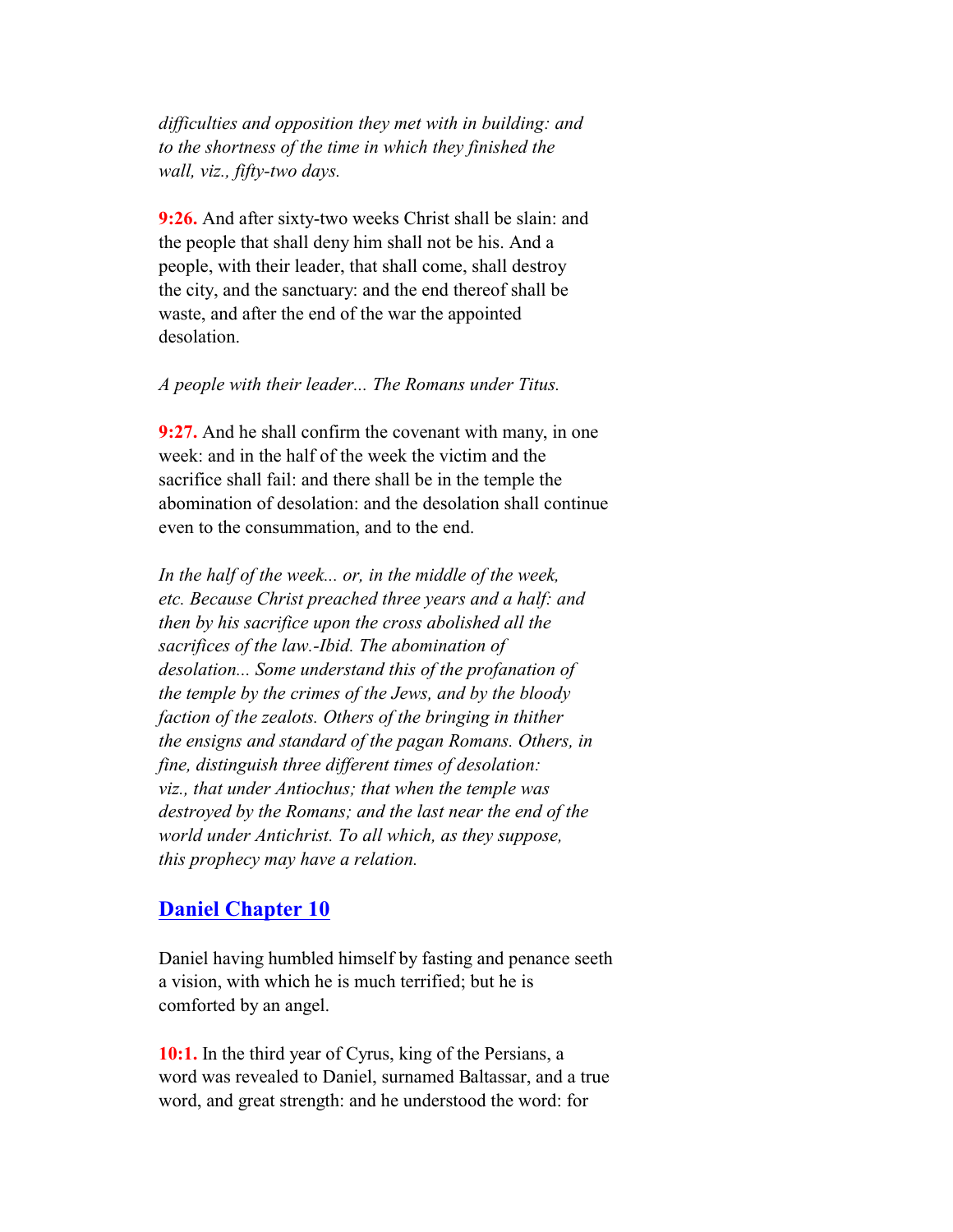*difficulties and opposition they met with in building: and to the shortness of the time in which they finished the wall, viz., fifty-two days.*

 **9:26.** And after sixty-two weeks Christ shall be slain: and the people that shall deny him shall not be his. And a people, with their leader, that shall come, shall destroy the city, and the sanctuary: and the end thereof shall be waste, and after the end of the war the appointed desolation.

#### *A people with their leader... The Romans under Titus.*

 **9:27.** And he shall confirm the covenant with many, in one week: and in the half of the week the victim and the sacrifice shall fail: and there shall be in the temple the abomination of desolation: and the desolation shall continue even to the consummation, and to the end.

 *In the half of the week... or, in the middle of the week, etc. Because Christ preached three years and a half: and then by his sacrifice upon the cross abolished all the sacrifices of the law.-Ibid. The abomination of desolation... Some understand this of the profanation of the temple by the crimes of the Jews, and by the bloody faction of the zealots. Others of the bringing in thither the ensigns and standard of the pagan Romans. Others, in fine, distinguish three different times of desolation: viz., that under Antiochus; that when the temple was destroyed by the Romans; and the last near the end of the world under Antichrist. To all which, as they suppose, this prophecy may have a relation.*

### **Daniel Chapter 10**

 Daniel having humbled himself by fasting and penance seeth a vision, with which he is much terrified; but he is comforted by an angel.

 **10:1.** In the third year of Cyrus, king of the Persians, a word was revealed to Daniel, surnamed Baltassar, and a true word, and great strength: and he understood the word: for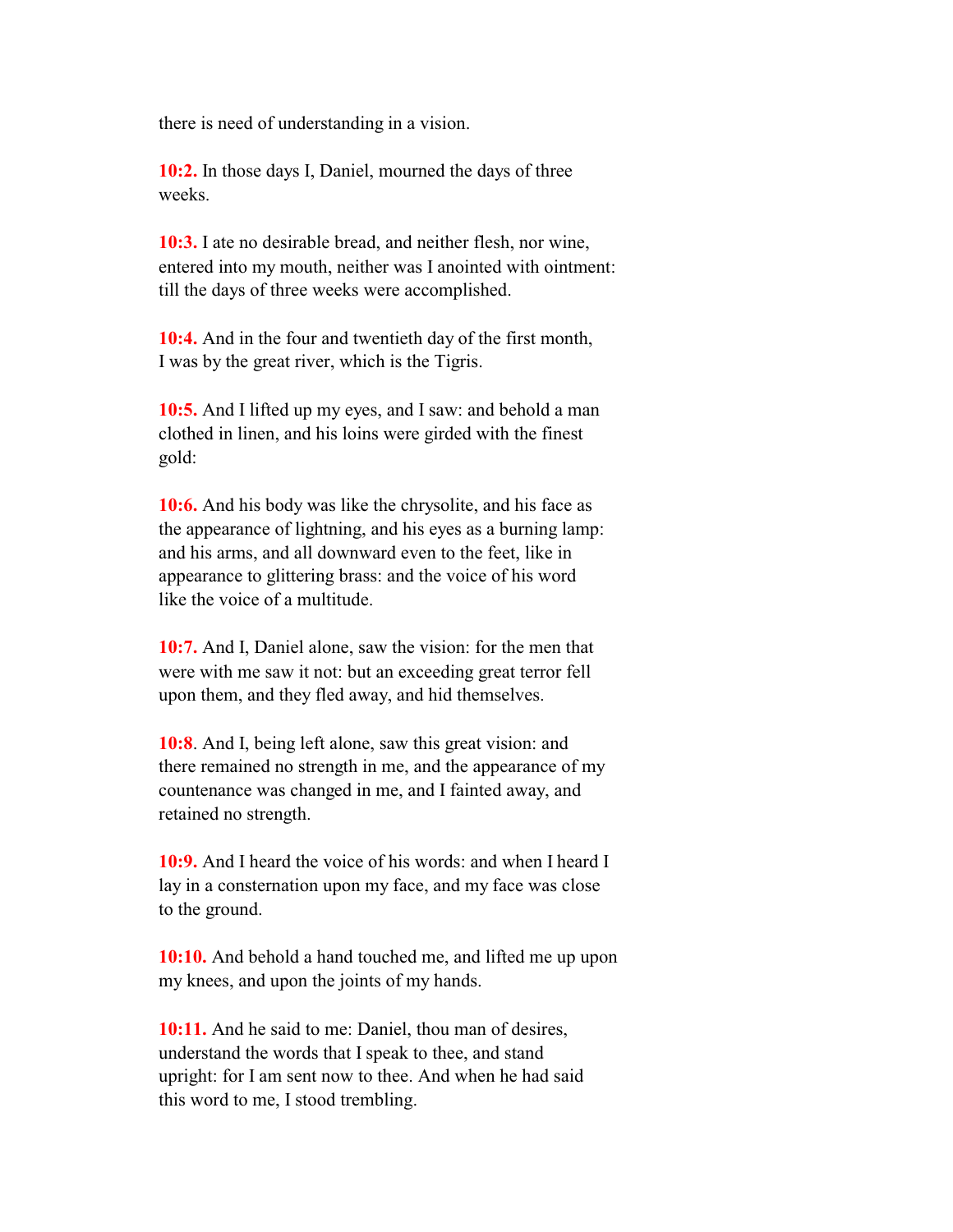there is need of understanding in a vision.

 **10:2.** In those days I, Daniel, mourned the days of three weeks.

 **10:3.** I ate no desirable bread, and neither flesh, nor wine, entered into my mouth, neither was I anointed with ointment: till the days of three weeks were accomplished.

 **10:4.** And in the four and twentieth day of the first month, I was by the great river, which is the Tigris.

 **10:5.** And I lifted up my eyes, and I saw: and behold a man clothed in linen, and his loins were girded with the finest gold:

 **10:6.** And his body was like the chrysolite, and his face as the appearance of lightning, and his eyes as a burning lamp: and his arms, and all downward even to the feet, like in appearance to glittering brass: and the voice of his word like the voice of a multitude.

 **10:7.** And I, Daniel alone, saw the vision: for the men that were with me saw it not: but an exceeding great terror fell upon them, and they fled away, and hid themselves.

 **10:8**. And I, being left alone, saw this great vision: and there remained no strength in me, and the appearance of my countenance was changed in me, and I fainted away, and retained no strength.

 **10:9.** And I heard the voice of his words: and when I heard I lay in a consternation upon my face, and my face was close to the ground.

 **10:10.** And behold a hand touched me, and lifted me up upon my knees, and upon the joints of my hands.

 **10:11.** And he said to me: Daniel, thou man of desires, understand the words that I speak to thee, and stand upright: for I am sent now to thee. And when he had said this word to me, I stood trembling.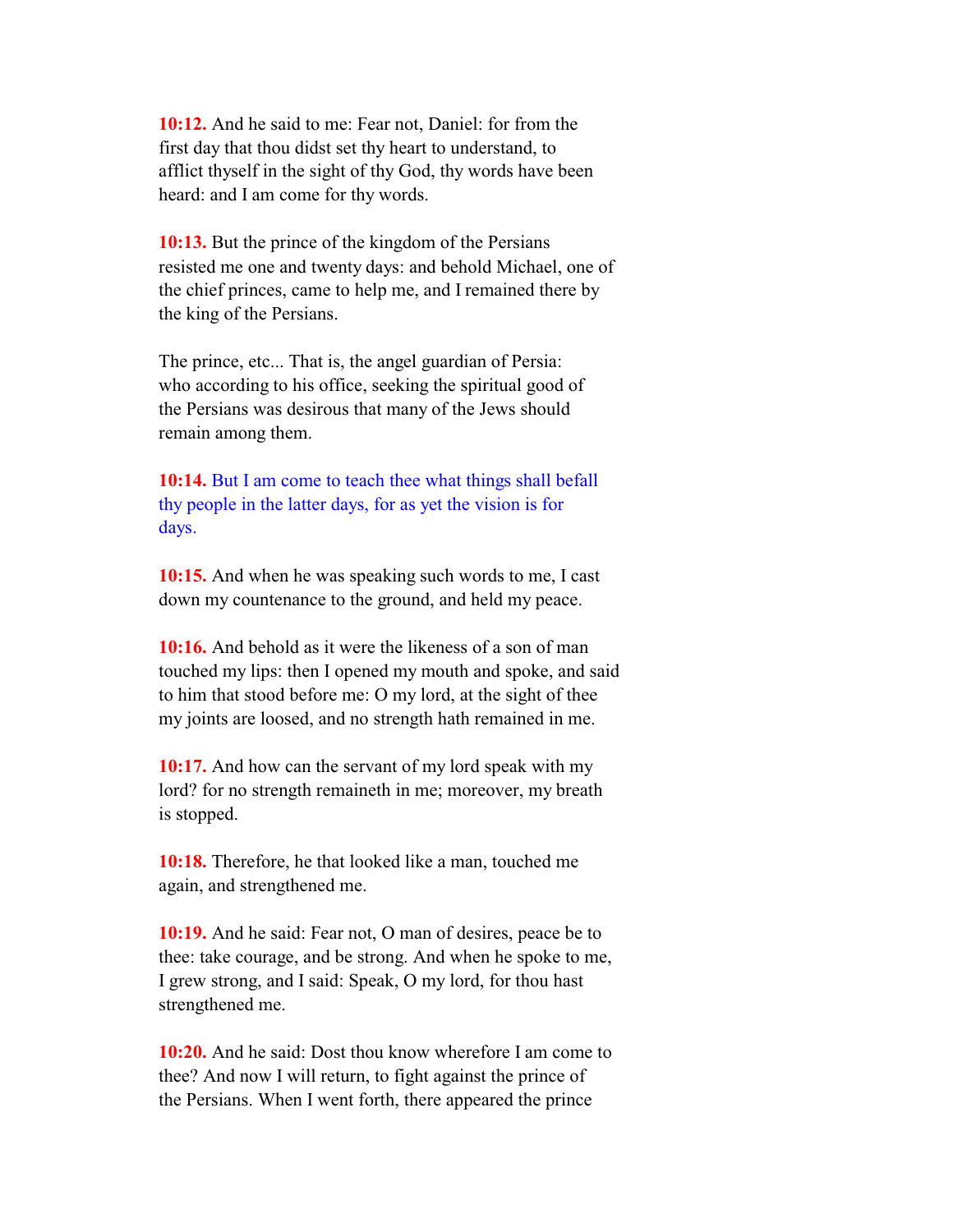**10:12.** And he said to me: Fear not, Daniel: for from the first day that thou didst set thy heart to understand, to afflict thyself in the sight of thy God, thy words have been heard: and I am come for thy words.

 **10:13.** But the prince of the kingdom of the Persians resisted me one and twenty days: and behold Michael, one of the chief princes, came to help me, and I remained there by the king of the Persians.

 The prince, etc... That is, the angel guardian of Persia: who according to his office, seeking the spiritual good of the Persians was desirous that many of the Jews should remain among them.

 **10:14.** But I am come to teach thee what things shall befall thy people in the latter days, for as yet the vision is for days.

 **10:15.** And when he was speaking such words to me, I cast down my countenance to the ground, and held my peace.

 **10:16.** And behold as it were the likeness of a son of man touched my lips: then I opened my mouth and spoke, and said to him that stood before me: O my lord, at the sight of thee my joints are loosed, and no strength hath remained in me.

 **10:17.** And how can the servant of my lord speak with my lord? for no strength remaineth in me; moreover, my breath is stopped.

 **10:18.** Therefore, he that looked like a man, touched me again, and strengthened me.

 **10:19.** And he said: Fear not, O man of desires, peace be to thee: take courage, and be strong. And when he spoke to me, I grew strong, and I said: Speak, O my lord, for thou hast strengthened me.

 **10:20.** And he said: Dost thou know wherefore I am come to thee? And now I will return, to fight against the prince of the Persians. When I went forth, there appeared the prince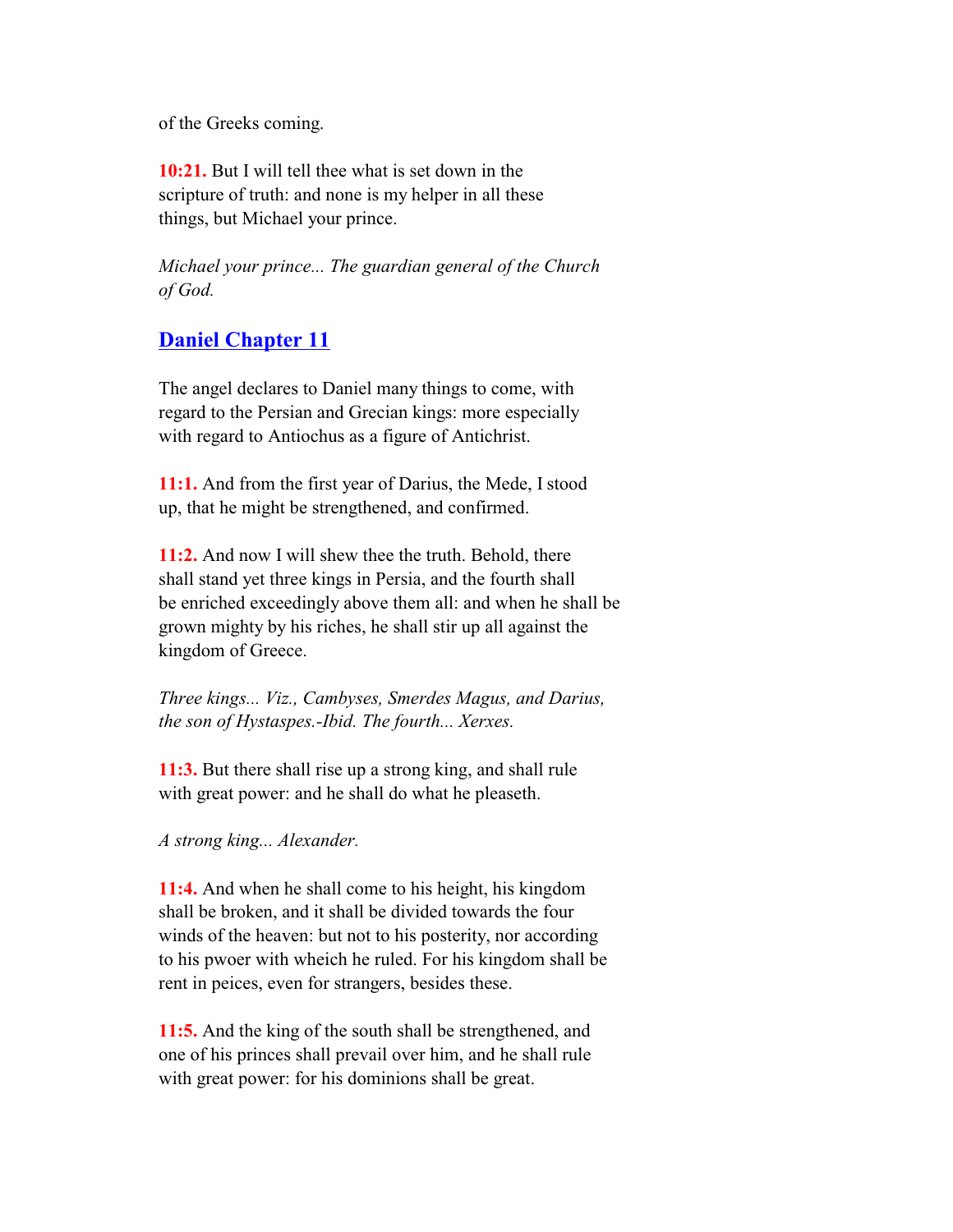of the Greeks coming.

 **10:21.** But I will tell thee what is set down in the scripture of truth: and none is my helper in all these things, but Michael your prince.

 *Michael your prince... The guardian general of the Church of God.*

# **Daniel Chapter 11**

 The angel declares to Daniel many things to come, with regard to the Persian and Grecian kings: more especially with regard to Antiochus as a figure of Antichrist.

 **11:1.** And from the first year of Darius, the Mede, I stood up, that he might be strengthened, and confirmed.

 **11:2.** And now I will shew thee the truth. Behold, there shall stand yet three kings in Persia, and the fourth shall be enriched exceedingly above them all: and when he shall be grown mighty by his riches, he shall stir up all against the kingdom of Greece.

 *Three kings... Viz., Cambyses, Smerdes Magus, and Darius, the son of Hystaspes.-Ibid. The fourth... Xerxes.*

 **11:3.** But there shall rise up a strong king, and shall rule with great power: and he shall do what he pleaseth.

*A strong king... Alexander.*

 **11:4.** And when he shall come to his height, his kingdom shall be broken, and it shall be divided towards the four winds of the heaven: but not to his posterity, nor according to his pwoer with wheich he ruled. For his kingdom shall be rent in peices, even for strangers, besides these.

 **11:5.** And the king of the south shall be strengthened, and one of his princes shall prevail over him, and he shall rule with great power: for his dominions shall be great.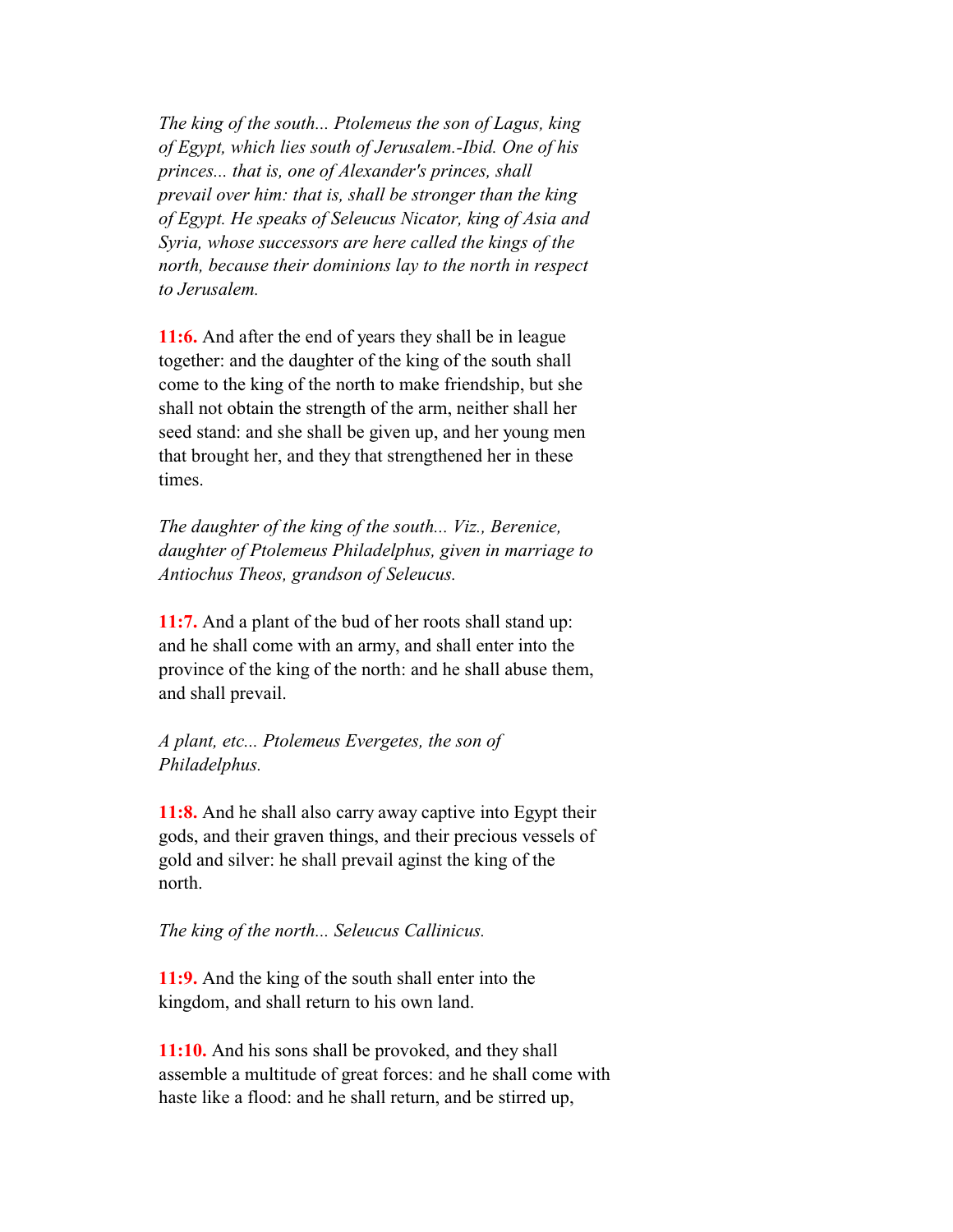*The king of the south... Ptolemeus the son of Lagus, king of Egypt, which lies south of Jerusalem.-Ibid. One of his princes... that is, one of Alexander's princes, shall prevail over him: that is, shall be stronger than the king of Egypt. He speaks of Seleucus Nicator, king of Asia and Syria, whose successors are here called the kings of the north, because their dominions lay to the north in respect to Jerusalem.*

 **11:6.** And after the end of years they shall be in league together: and the daughter of the king of the south shall come to the king of the north to make friendship, but she shall not obtain the strength of the arm, neither shall her seed stand: and she shall be given up, and her young men that brought her, and they that strengthened her in these times.

 *The daughter of the king of the south... Viz., Berenice, daughter of Ptolemeus Philadelphus, given in marriage to Antiochus Theos, grandson of Seleucus.*

 **11:7.** And a plant of the bud of her roots shall stand up: and he shall come with an army, and shall enter into the province of the king of the north: and he shall abuse them, and shall prevail.

 *A plant, etc... Ptolemeus Evergetes, the son of Philadelphus.*

 **11:8.** And he shall also carry away captive into Egypt their gods, and their graven things, and their precious vessels of gold and silver: he shall prevail aginst the king of the north.

 *The king of the north... Seleucus Callinicus.*

 **11:9.** And the king of the south shall enter into the kingdom, and shall return to his own land.

 **11:10.** And his sons shall be provoked, and they shall assemble a multitude of great forces: and he shall come with haste like a flood: and he shall return, and be stirred up,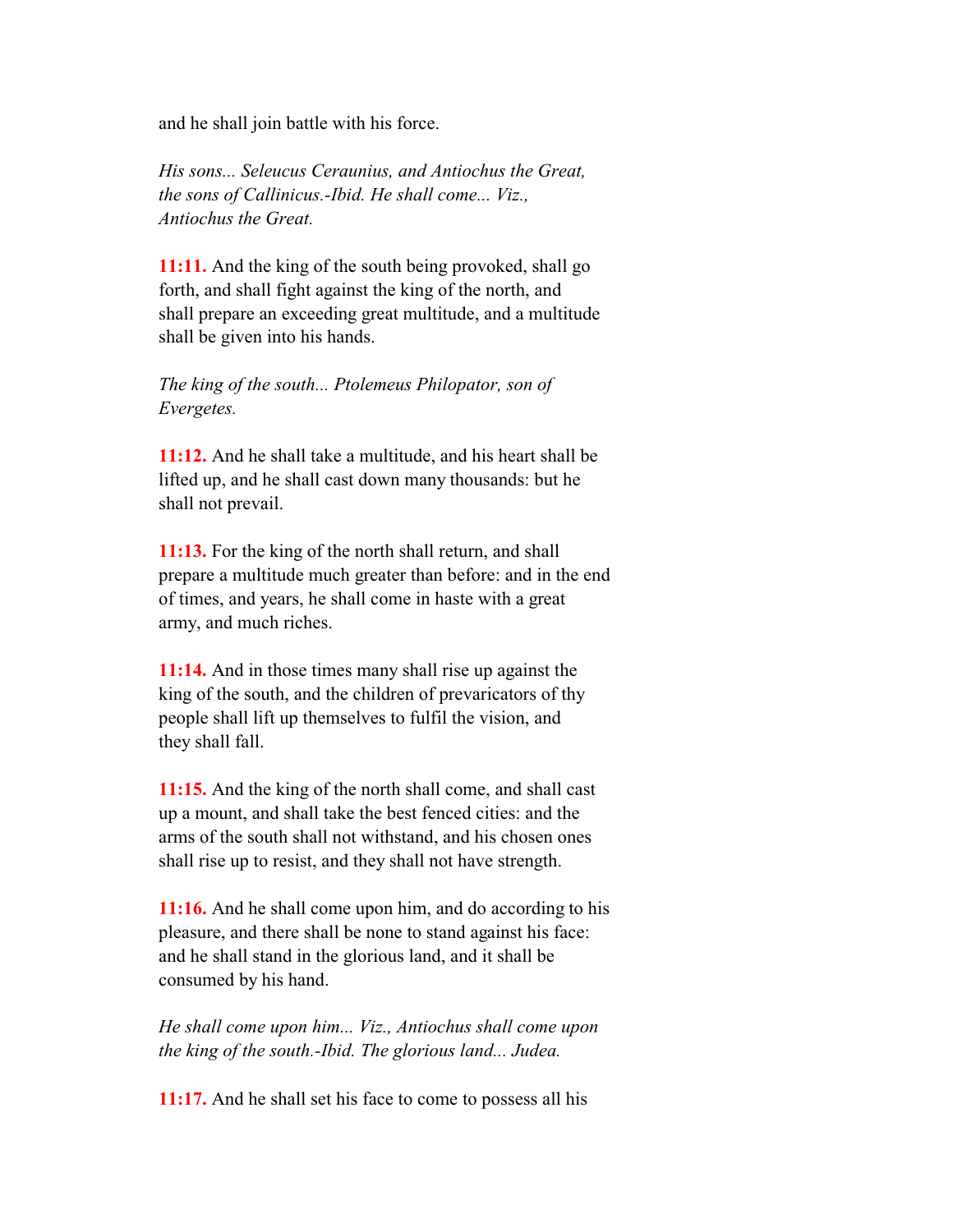and he shall join battle with his force.

 *His sons... Seleucus Ceraunius, and Antiochus the Great, the sons of Callinicus.-Ibid. He shall come... Viz., Antiochus the Great.*

 **11:11.** And the king of the south being provoked, shall go forth, and shall fight against the king of the north, and shall prepare an exceeding great multitude, and a multitude shall be given into his hands.

 *The king of the south... Ptolemeus Philopator, son of Evergetes.*

 **11:12.** And he shall take a multitude, and his heart shall be lifted up, and he shall cast down many thousands: but he shall not prevail.

 **11:13.** For the king of the north shall return, and shall prepare a multitude much greater than before: and in the end of times, and years, he shall come in haste with a great army, and much riches.

 **11:14.** And in those times many shall rise up against the king of the south, and the children of prevaricators of thy people shall lift up themselves to fulfil the vision, and they shall fall.

 **11:15.** And the king of the north shall come, and shall cast up a mount, and shall take the best fenced cities: and the arms of the south shall not withstand, and his chosen ones shall rise up to resist, and they shall not have strength.

 **11:16.** And he shall come upon him, and do according to his pleasure, and there shall be none to stand against his face: and he shall stand in the glorious land, and it shall be consumed by his hand.

 *He shall come upon him... Viz., Antiochus shall come upon the king of the south.-Ibid. The glorious land... Judea.*

**11:17.** And he shall set his face to come to possess all his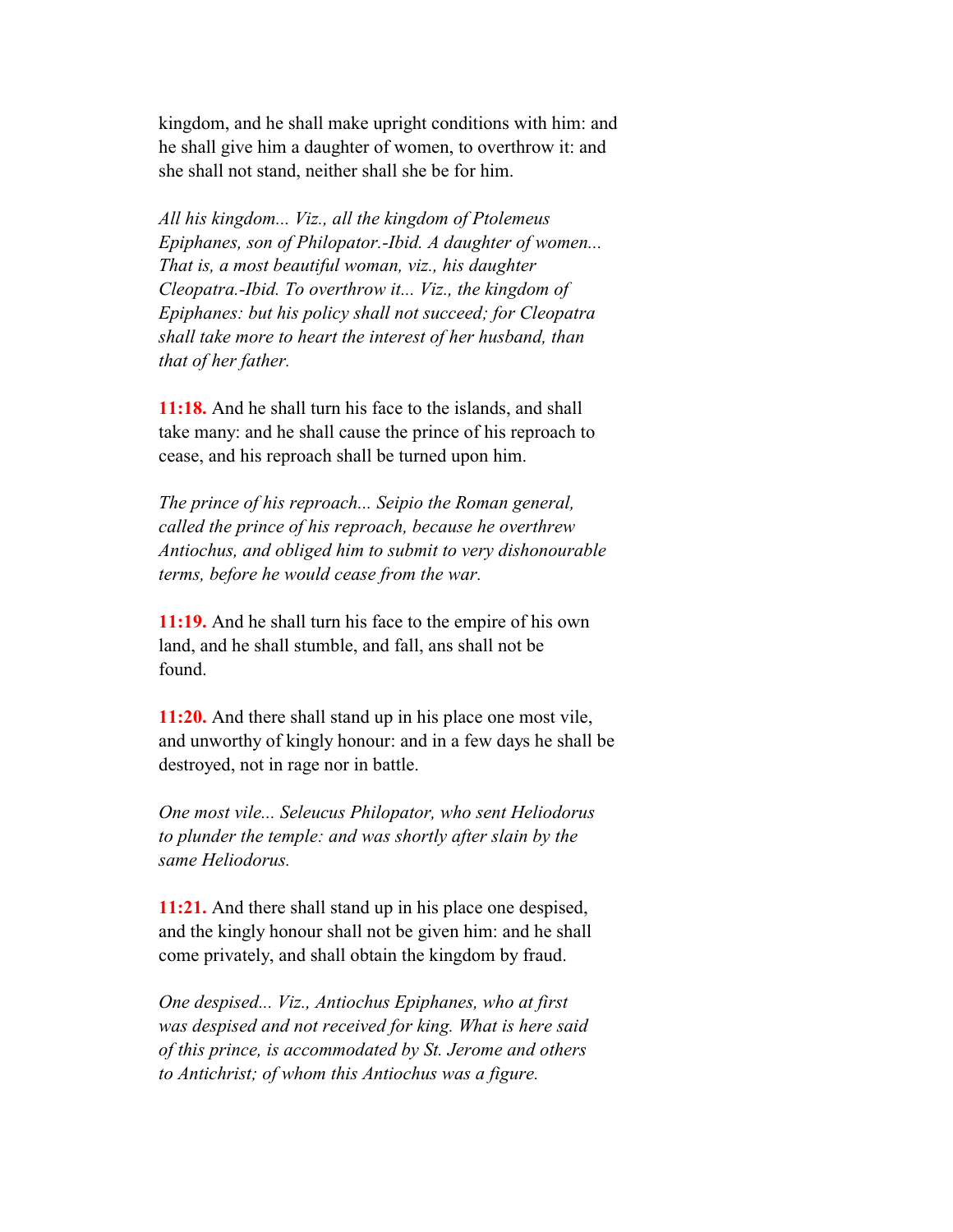kingdom, and he shall make upright conditions with him: and he shall give him a daughter of women, to overthrow it: and she shall not stand, neither shall she be for him.

 *All his kingdom... Viz., all the kingdom of Ptolemeus Epiphanes, son of Philopator.-Ibid. A daughter of women... That is, a most beautiful woman, viz., his daughter Cleopatra.-Ibid. To overthrow it... Viz., the kingdom of Epiphanes: but his policy shall not succeed; for Cleopatra shall take more to heart the interest of her husband, than that of her father.*

 **11:18.** And he shall turn his face to the islands, and shall take many: and he shall cause the prince of his reproach to cease, and his reproach shall be turned upon him.

 *The prince of his reproach... Seipio the Roman general, called the prince of his reproach, because he overthrew Antiochus, and obliged him to submit to very dishonourable terms, before he would cease from the war.*

 **11:19.** And he shall turn his face to the empire of his own land, and he shall stumble, and fall, ans shall not be found.

 **11:20.** And there shall stand up in his place one most vile, and unworthy of kingly honour: and in a few days he shall be destroyed, not in rage nor in battle.

 *One most vile... Seleucus Philopator, who sent Heliodorus to plunder the temple: and was shortly after slain by the same Heliodorus.*

 **11:21.** And there shall stand up in his place one despised, and the kingly honour shall not be given him: and he shall come privately, and shall obtain the kingdom by fraud.

 *One despised... Viz., Antiochus Epiphanes, who at first was despised and not received for king. What is here said of this prince, is accommodated by St. Jerome and others to Antichrist; of whom this Antiochus was a figure.*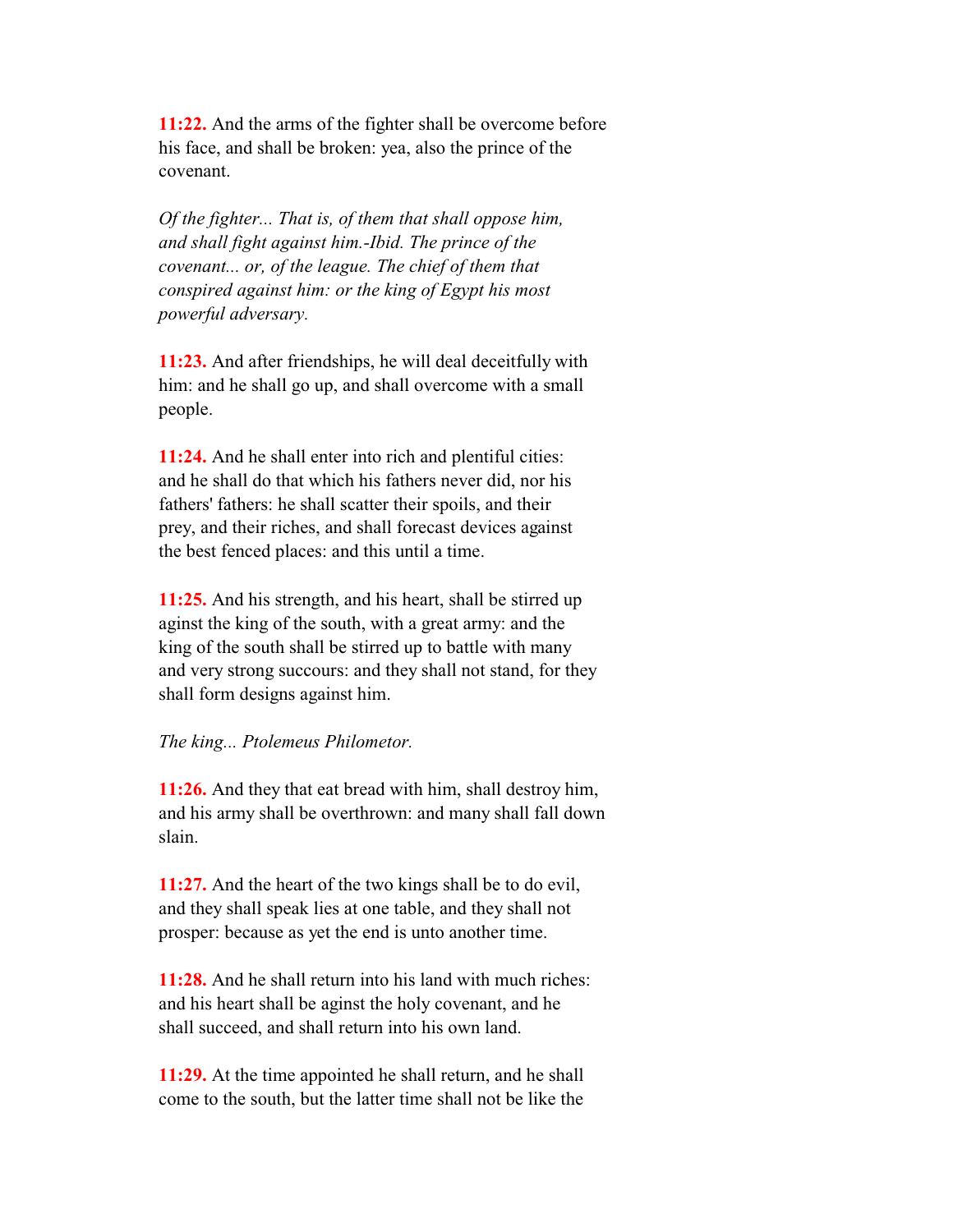**11:22.** And the arms of the fighter shall be overcome before his face, and shall be broken: yea, also the prince of the covenant.

 *Of the fighter... That is, of them that shall oppose him, and shall fight against him.-Ibid. The prince of the covenant... or, of the league. The chief of them that conspired against him: or the king of Egypt his most powerful adversary.*

 **11:23.** And after friendships, he will deal deceitfully with him: and he shall go up, and shall overcome with a small people.

 **11:24.** And he shall enter into rich and plentiful cities: and he shall do that which his fathers never did, nor his fathers' fathers: he shall scatter their spoils, and their prey, and their riches, and shall forecast devices against the best fenced places: and this until a time.

 **11:25.** And his strength, and his heart, shall be stirred up aginst the king of the south, with a great army: and the king of the south shall be stirred up to battle with many and very strong succours: and they shall not stand, for they shall form designs against him.

#### *The king... Ptolemeus Philometor.*

 **11:26.** And they that eat bread with him, shall destroy him, and his army shall be overthrown: and many shall fall down slain.

 **11:27.** And the heart of the two kings shall be to do evil, and they shall speak lies at one table, and they shall not prosper: because as yet the end is unto another time.

 **11:28.** And he shall return into his land with much riches: and his heart shall be aginst the holy covenant, and he shall succeed, and shall return into his own land.

 **11:29.** At the time appointed he shall return, and he shall come to the south, but the latter time shall not be like the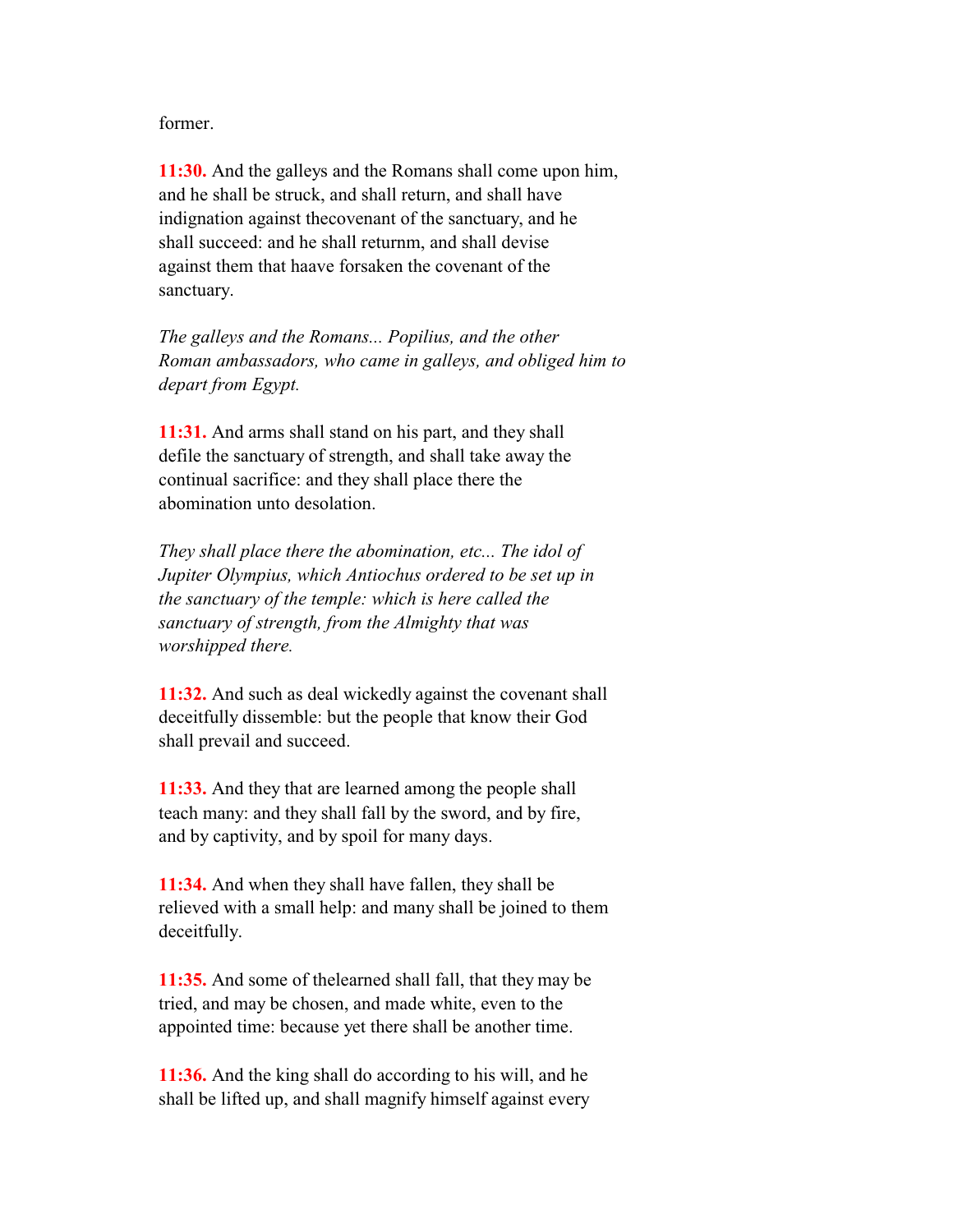former.

 **11:30.** And the galleys and the Romans shall come upon him, and he shall be struck, and shall return, and shall have indignation against thecovenant of the sanctuary, and he shall succeed: and he shall returnm, and shall devise against them that haave forsaken the covenant of the sanctuary.

 *The galleys and the Romans... Popilius, and the other Roman ambassadors, who came in galleys, and obliged him to depart from Egypt.*

 **11:31.** And arms shall stand on his part, and they shall defile the sanctuary of strength, and shall take away the continual sacrifice: and they shall place there the abomination unto desolation.

 *They shall place there the abomination, etc... The idol of Jupiter Olympius, which Antiochus ordered to be set up in the sanctuary of the temple: which is here called the sanctuary of strength, from the Almighty that was worshipped there.*

 **11:32.** And such as deal wickedly against the covenant shall deceitfully dissemble: but the people that know their God shall prevail and succeed.

 **11:33.** And they that are learned among the people shall teach many: and they shall fall by the sword, and by fire, and by captivity, and by spoil for many days.

 **11:34.** And when they shall have fallen, they shall be relieved with a small help: and many shall be joined to them deceitfully.

 **11:35.** And some of thelearned shall fall, that they may be tried, and may be chosen, and made white, even to the appointed time: because yet there shall be another time.

 **11:36.** And the king shall do according to his will, and he shall be lifted up, and shall magnify himself against every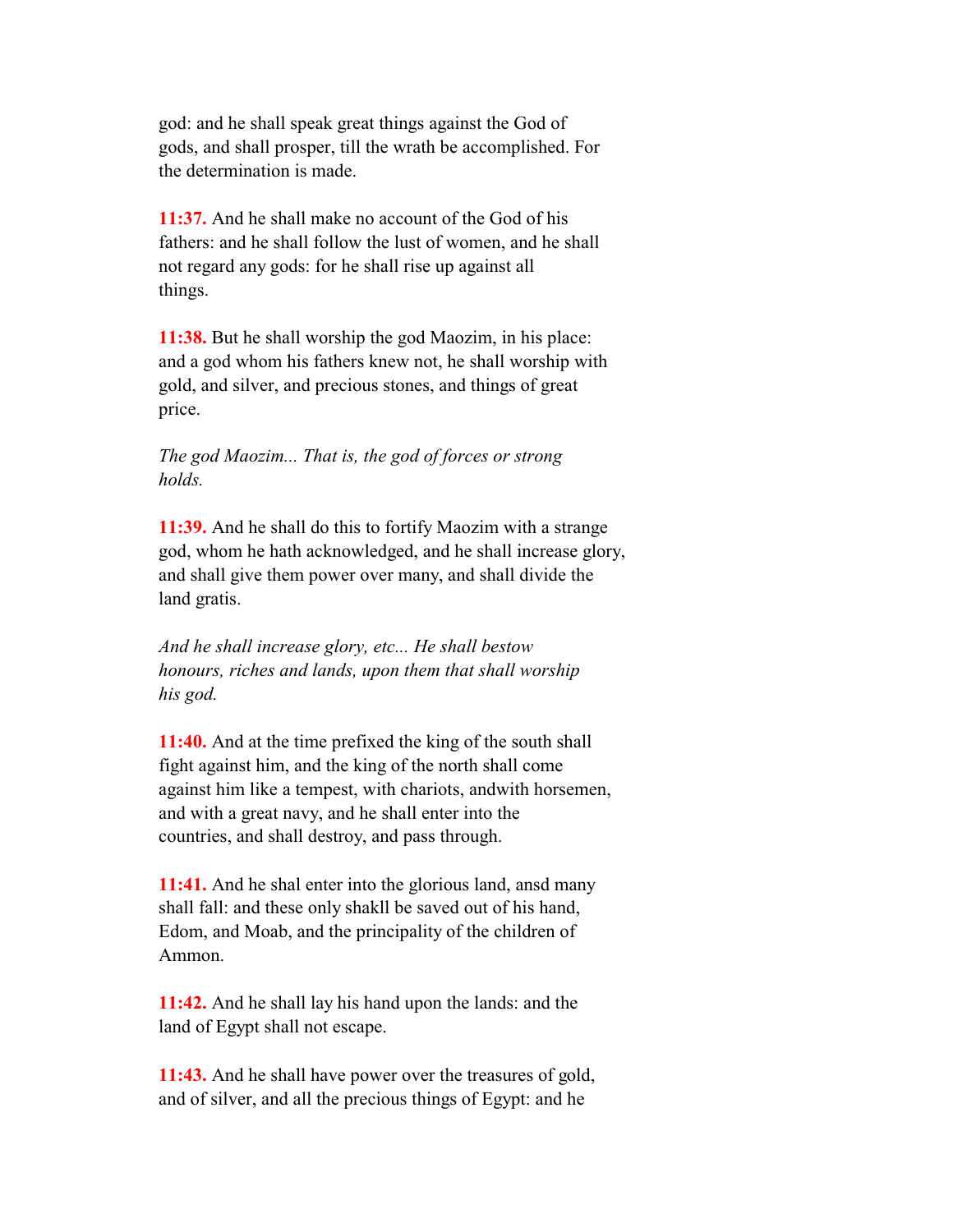god: and he shall speak great things against the God of gods, and shall prosper, till the wrath be accomplished. For the determination is made.

 **11:37.** And he shall make no account of the God of his fathers: and he shall follow the lust of women, and he shall not regard any gods: for he shall rise up against all things.

 **11:38.** But he shall worship the god Maozim, in his place: and a god whom his fathers knew not, he shall worship with gold, and silver, and precious stones, and things of great price.

#### *The god Maozim... That is, the god of forces or strong holds.*

 **11:39.** And he shall do this to fortify Maozim with a strange god, whom he hath acknowledged, and he shall increase glory, and shall give them power over many, and shall divide the land gratis.

 *And he shall increase glory, etc... He shall bestow honours, riches and lands, upon them that shall worship his god.*

 **11:40.** And at the time prefixed the king of the south shall fight against him, and the king of the north shall come against him like a tempest, with chariots, andwith horsemen, and with a great navy, and he shall enter into the countries, and shall destroy, and pass through.

 **11:41.** And he shal enter into the glorious land, ansd many shall fall: and these only shakll be saved out of his hand, Edom, and Moab, and the principality of the children of Ammon.

 **11:42.** And he shall lay his hand upon the lands: and the land of Egypt shall not escape.

 **11:43.** And he shall have power over the treasures of gold, and of silver, and all the precious things of Egypt: and he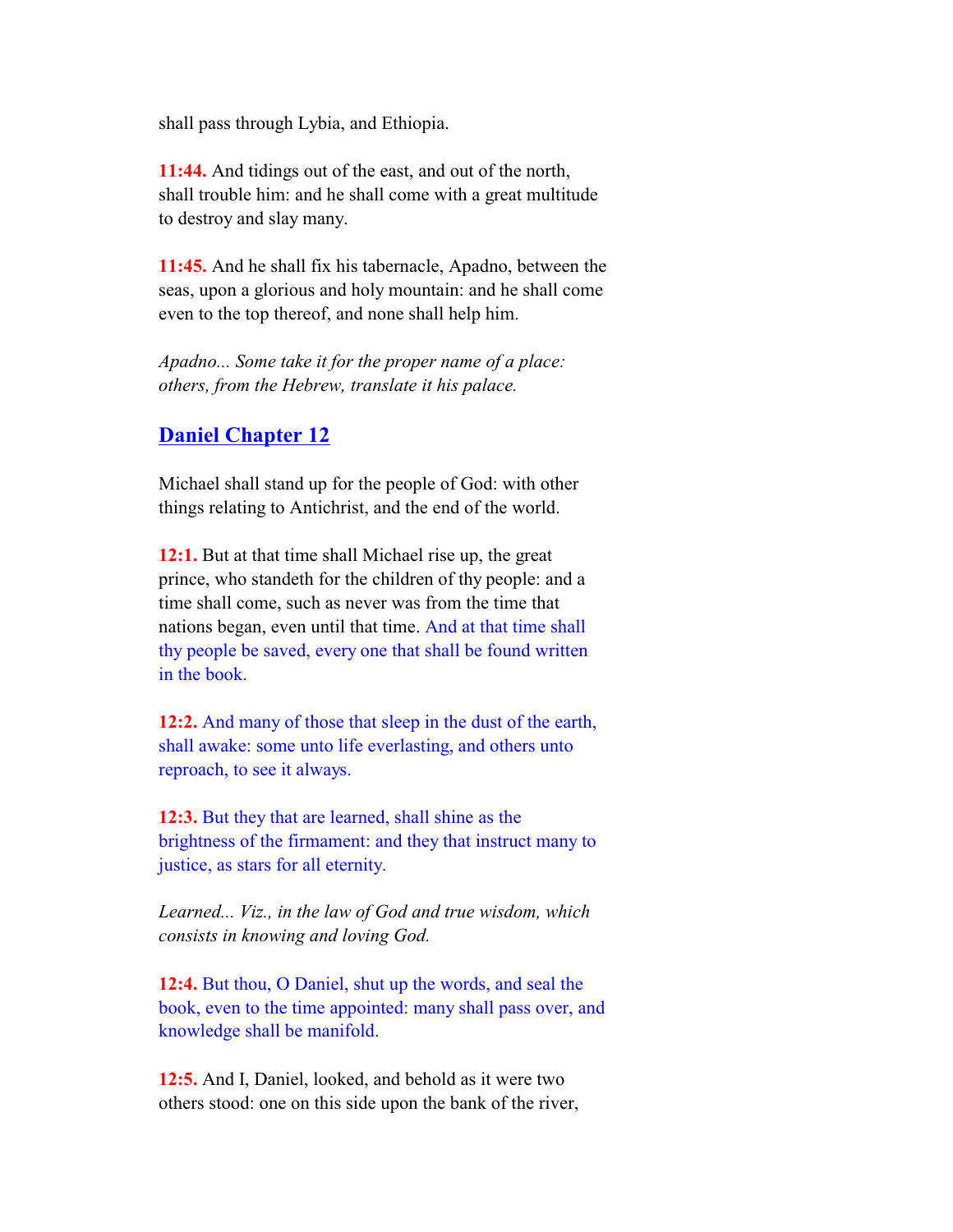shall pass through Lybia, and Ethiopia.

 **11:44.** And tidings out of the east, and out of the north, shall trouble him: and he shall come with a great multitude to destroy and slay many.

 **11:45.** And he shall fix his tabernacle, Apadno, between the seas, upon a glorious and holy mountain: and he shall come even to the top thereof, and none shall help him.

 *Apadno... Some take it for the proper name of a place: others, from the Hebrew, translate it his palace.*

## **Daniel Chapter 12**

 Michael shall stand up for the people of God: with other things relating to Antichrist, and the end of the world.

 **12:1.** But at that time shall Michael rise up, the great prince, who standeth for the children of thy people: and a time shall come, such as never was from the time that nations began, even until that time. And at that time shall thy people be saved, every one that shall be found written in the book.

 **12:2.** And many of those that sleep in the dust of the earth, shall awake: some unto life everlasting, and others unto reproach, to see it always.

 **12:3.** But they that are learned, shall shine as the brightness of the firmament: and they that instruct many to justice, as stars for all eternity.

 *Learned... Viz., in the law of God and true wisdom, which consists in knowing and loving God.*

 **12:4.** But thou, O Daniel, shut up the words, and seal the book, even to the time appointed: many shall pass over, and knowledge shall be manifold.

 **12:5.** And I, Daniel, looked, and behold as it were two others stood: one on this side upon the bank of the river,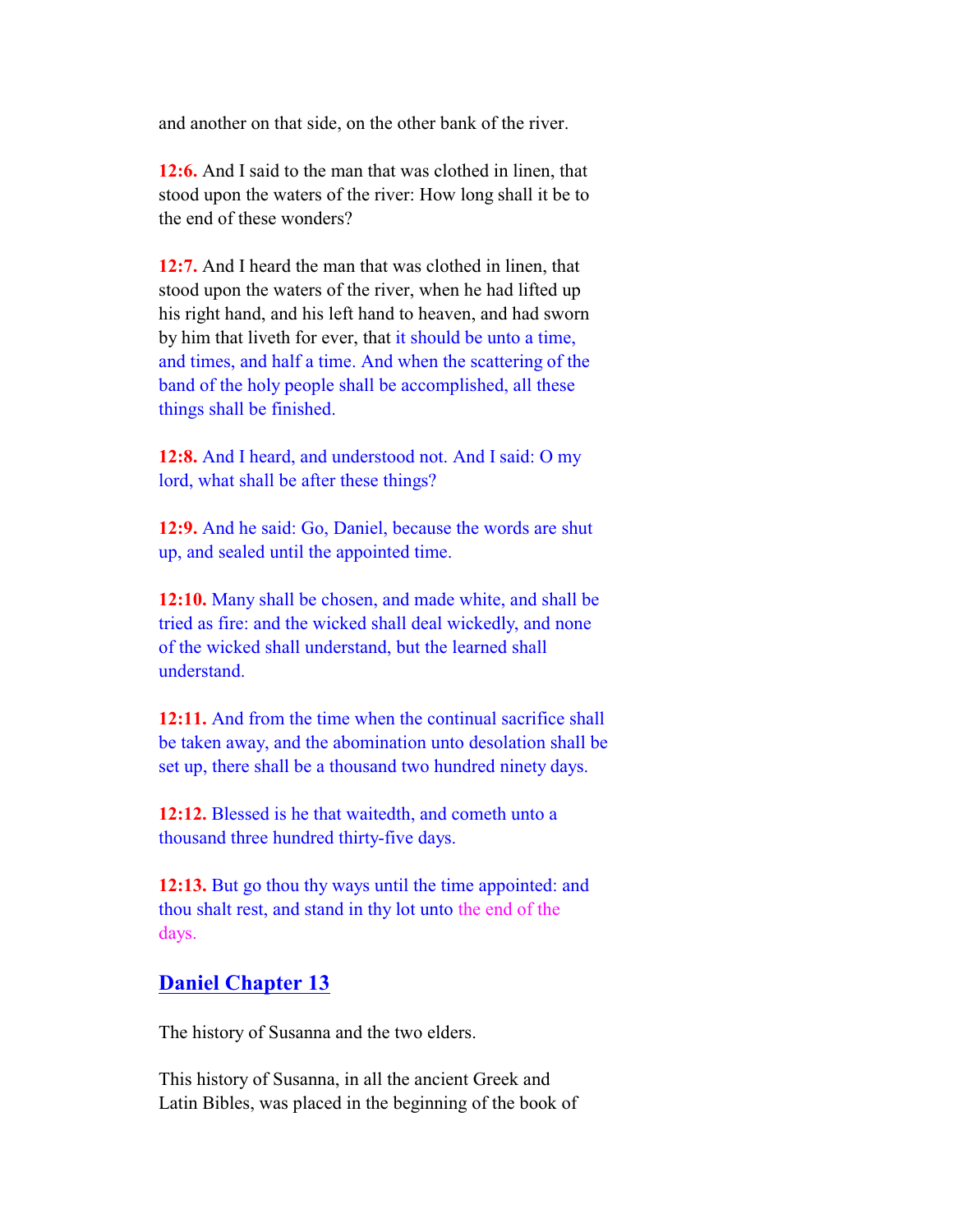and another on that side, on the other bank of the river.

 **12:6.** And I said to the man that was clothed in linen, that stood upon the waters of the river: How long shall it be to the end of these wonders?

 **12:7.** And I heard the man that was clothed in linen, that stood upon the waters of the river, when he had lifted up his right hand, and his left hand to heaven, and had sworn by him that liveth for ever, that it should be unto a time, and times, and half a time. And when the scattering of the band of the holy people shall be accomplished, all these things shall be finished.

 **12:8.** And I heard, and understood not. And I said: O my lord, what shall be after these things?

 **12:9.** And he said: Go, Daniel, because the words are shut up, and sealed until the appointed time.

 **12:10.** Many shall be chosen, and made white, and shall be tried as fire: and the wicked shall deal wickedly, and none of the wicked shall understand, but the learned shall understand.

 **12:11.** And from the time when the continual sacrifice shall be taken away, and the abomination unto desolation shall be set up, there shall be a thousand two hundred ninety days.

 **12:12.** Blessed is he that waitedth, and cometh unto a thousand three hundred thirty-five days.

 **12:13.** But go thou thy ways until the time appointed: and thou shalt rest, and stand in thy lot unto the end of the days.

#### **Daniel Chapter 13**

The history of Susanna and the two elders.

 This history of Susanna, in all the ancient Greek and Latin Bibles, was placed in the beginning of the book of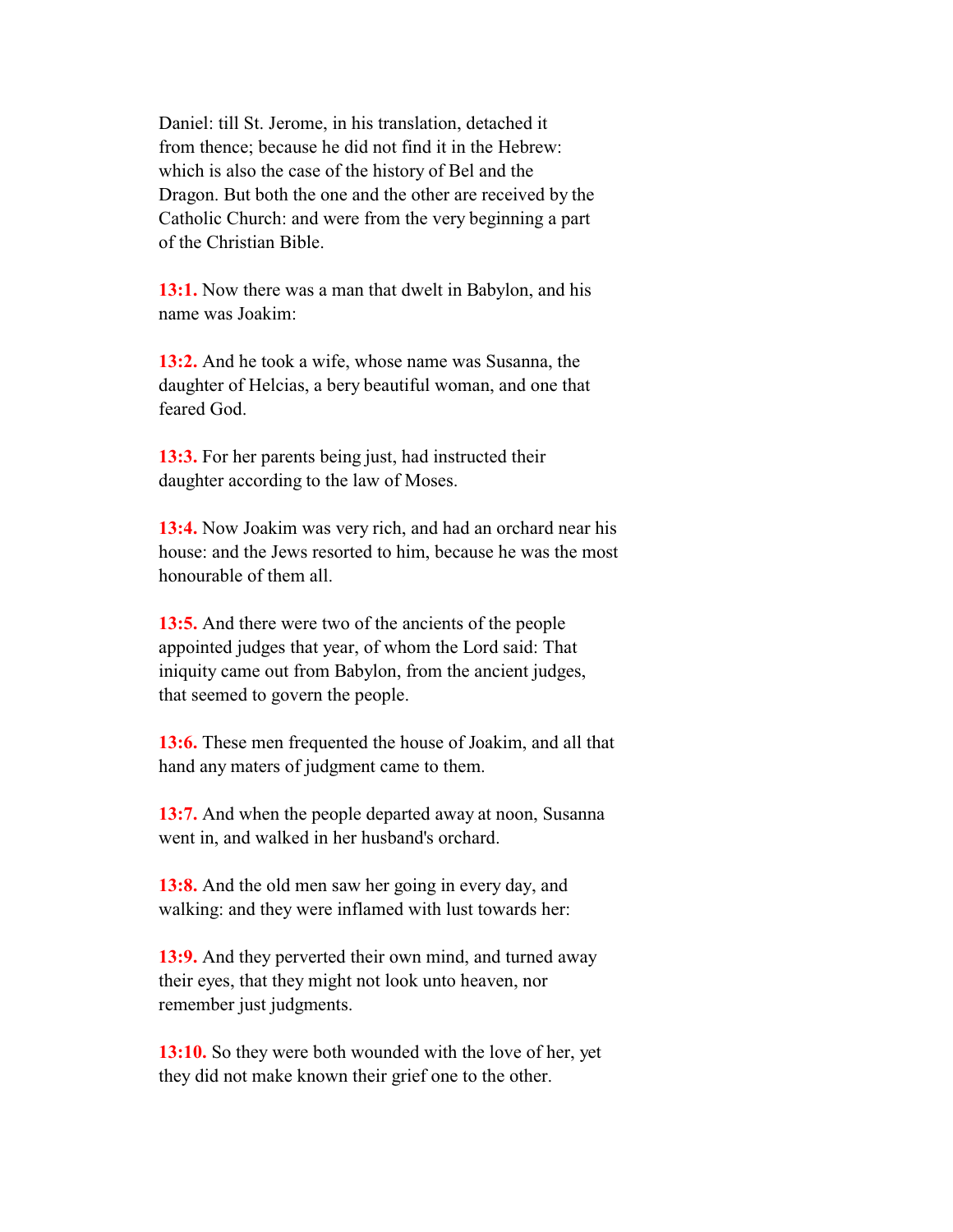Daniel: till St. Jerome, in his translation, detached it from thence; because he did not find it in the Hebrew: which is also the case of the history of Bel and the Dragon. But both the one and the other are received by the Catholic Church: and were from the very beginning a part of the Christian Bible.

 **13:1.** Now there was a man that dwelt in Babylon, and his name was Joakim:

 **13:2.** And he took a wife, whose name was Susanna, the daughter of Helcias, a bery beautiful woman, and one that feared God.

 **13:3.** For her parents being just, had instructed their daughter according to the law of Moses.

 **13:4.** Now Joakim was very rich, and had an orchard near his house: and the Jews resorted to him, because he was the most honourable of them all.

 **13:5.** And there were two of the ancients of the people appointed judges that year, of whom the Lord said: That iniquity came out from Babylon, from the ancient judges, that seemed to govern the people.

 **13:6.** These men frequented the house of Joakim, and all that hand any maters of judgment came to them.

 **13:7.** And when the people departed away at noon, Susanna went in, and walked in her husband's orchard.

 **13:8.** And the old men saw her going in every day, and walking: and they were inflamed with lust towards her:

 **13:9.** And they perverted their own mind, and turned away their eyes, that they might not look unto heaven, nor remember just judgments.

 **13:10.** So they were both wounded with the love of her, yet they did not make known their grief one to the other.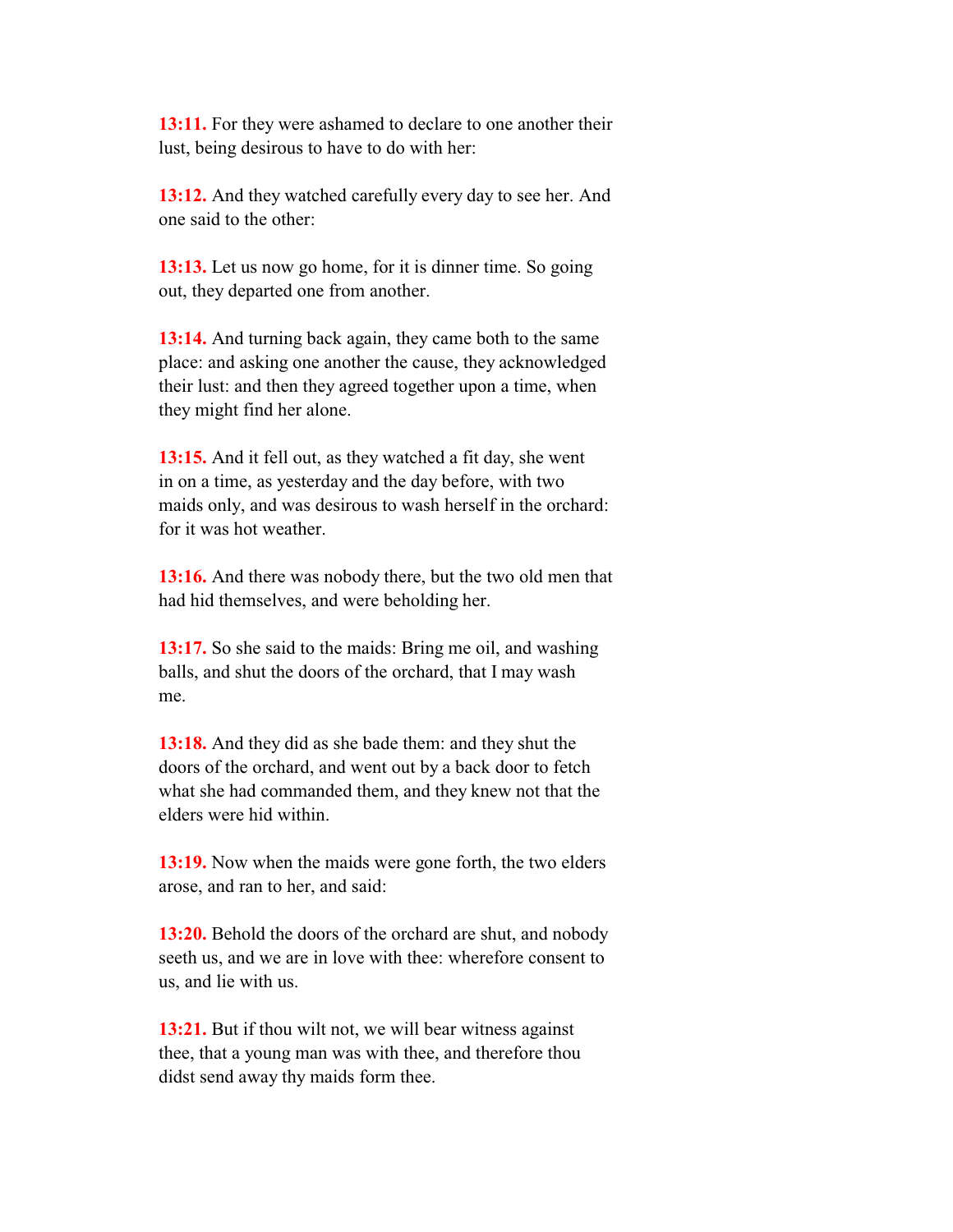**13:11.** For they were ashamed to declare to one another their lust, being desirous to have to do with her:

 **13:12.** And they watched carefully every day to see her. And one said to the other:

 **13:13.** Let us now go home, for it is dinner time. So going out, they departed one from another.

 **13:14.** And turning back again, they came both to the same place: and asking one another the cause, they acknowledged their lust: and then they agreed together upon a time, when they might find her alone.

 **13:15.** And it fell out, as they watched a fit day, she went in on a time, as yesterday and the day before, with two maids only, and was desirous to wash herself in the orchard: for it was hot weather.

 **13:16.** And there was nobody there, but the two old men that had hid themselves, and were beholding her.

 **13:17.** So she said to the maids: Bring me oil, and washing balls, and shut the doors of the orchard, that I may wash me.

 **13:18.** And they did as she bade them: and they shut the doors of the orchard, and went out by a back door to fetch what she had commanded them, and they knew not that the elders were hid within.

 **13:19.** Now when the maids were gone forth, the two elders arose, and ran to her, and said:

 **13:20.** Behold the doors of the orchard are shut, and nobody seeth us, and we are in love with thee: wherefore consent to us, and lie with us.

 **13:21.** But if thou wilt not, we will bear witness against thee, that a young man was with thee, and therefore thou didst send away thy maids form thee.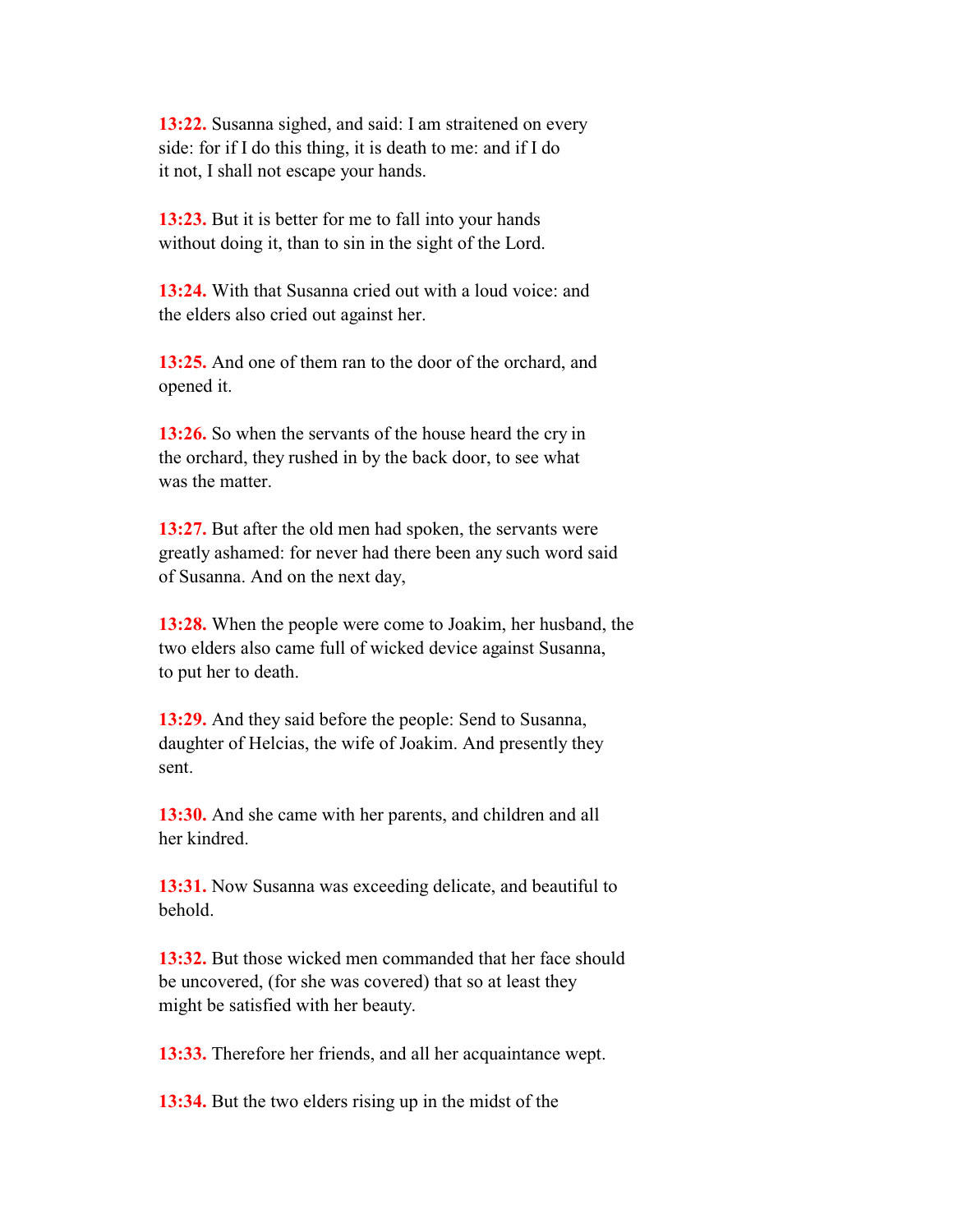**13:22.** Susanna sighed, and said: I am straitened on every side: for if I do this thing, it is death to me: and if I do it not, I shall not escape your hands.

 **13:23.** But it is better for me to fall into your hands without doing it, than to sin in the sight of the Lord.

 **13:24.** With that Susanna cried out with a loud voice: and the elders also cried out against her.

 **13:25.** And one of them ran to the door of the orchard, and opened it.

 **13:26.** So when the servants of the house heard the cry in the orchard, they rushed in by the back door, to see what was the matter.

 **13:27.** But after the old men had spoken, the servants were greatly ashamed: for never had there been any such word said of Susanna. And on the next day,

 **13:28.** When the people were come to Joakim, her husband, the two elders also came full of wicked device against Susanna, to put her to death.

 **13:29.** And they said before the people: Send to Susanna, daughter of Helcias, the wife of Joakim. And presently they sent.

 **13:30.** And she came with her parents, and children and all her kindred.

 **13:31.** Now Susanna was exceeding delicate, and beautiful to behold.

 **13:32.** But those wicked men commanded that her face should be uncovered, (for she was covered) that so at least they might be satisfied with her beauty.

**13:33.** Therefore her friends, and all her acquaintance wept.

**13:34.** But the two elders rising up in the midst of the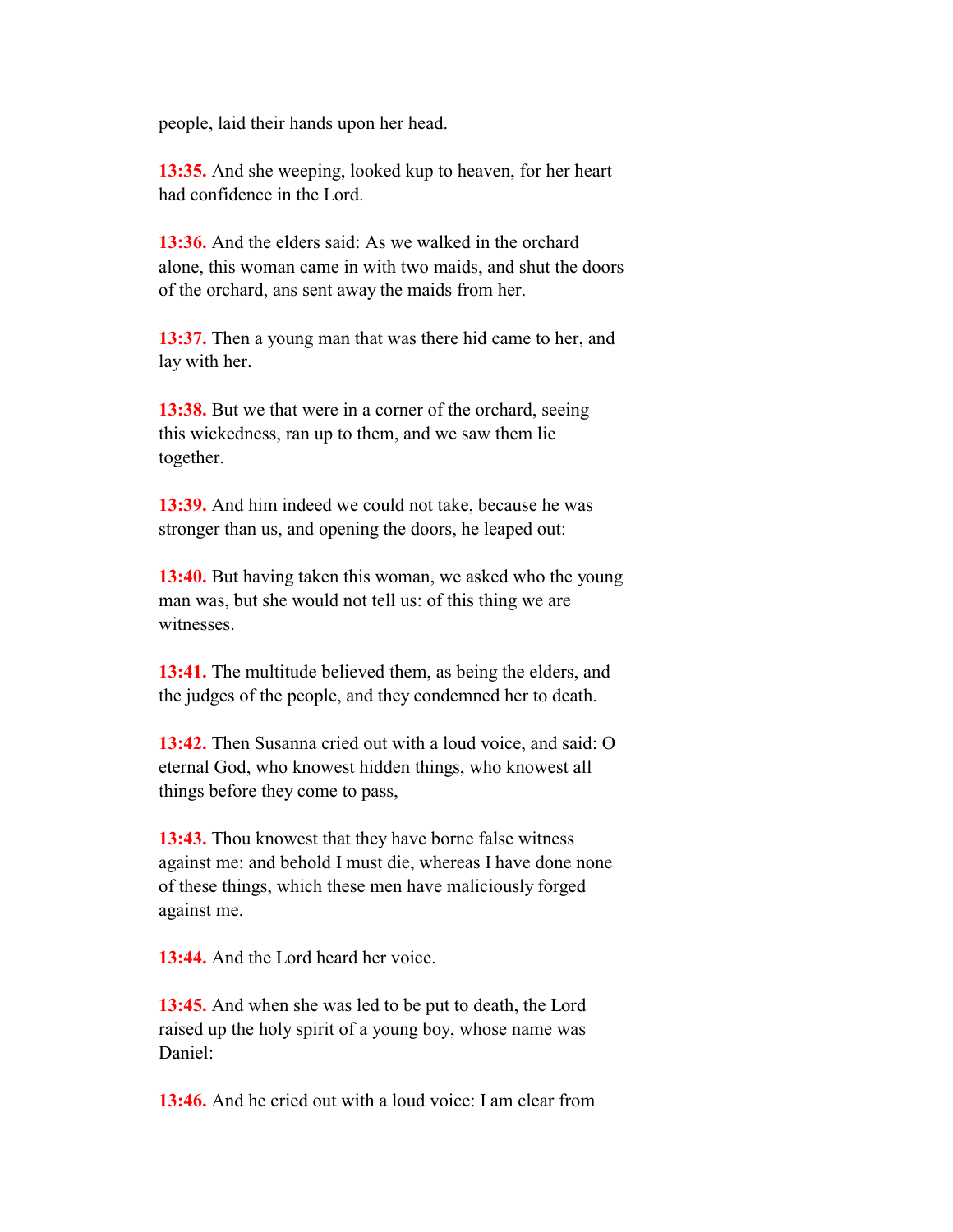people, laid their hands upon her head.

 **13:35.** And she weeping, looked kup to heaven, for her heart had confidence in the Lord.

 **13:36.** And the elders said: As we walked in the orchard alone, this woman came in with two maids, and shut the doors of the orchard, ans sent away the maids from her.

 **13:37.** Then a young man that was there hid came to her, and lay with her.

 **13:38.** But we that were in a corner of the orchard, seeing this wickedness, ran up to them, and we saw them lie together.

 **13:39.** And him indeed we could not take, because he was stronger than us, and opening the doors, he leaped out:

 **13:40.** But having taken this woman, we asked who the young man was, but she would not tell us: of this thing we are witnesses.

 **13:41.** The multitude believed them, as being the elders, and the judges of the people, and they condemned her to death.

 **13:42.** Then Susanna cried out with a loud voice, and said: O eternal God, who knowest hidden things, who knowest all things before they come to pass,

 **13:43.** Thou knowest that they have borne false witness against me: and behold I must die, whereas I have done none of these things, which these men have maliciously forged against me.

**13:44.** And the Lord heard her voice.

 **13:45.** And when she was led to be put to death, the Lord raised up the holy spirit of a young boy, whose name was Daniel:

**13:46.** And he cried out with a loud voice: I am clear from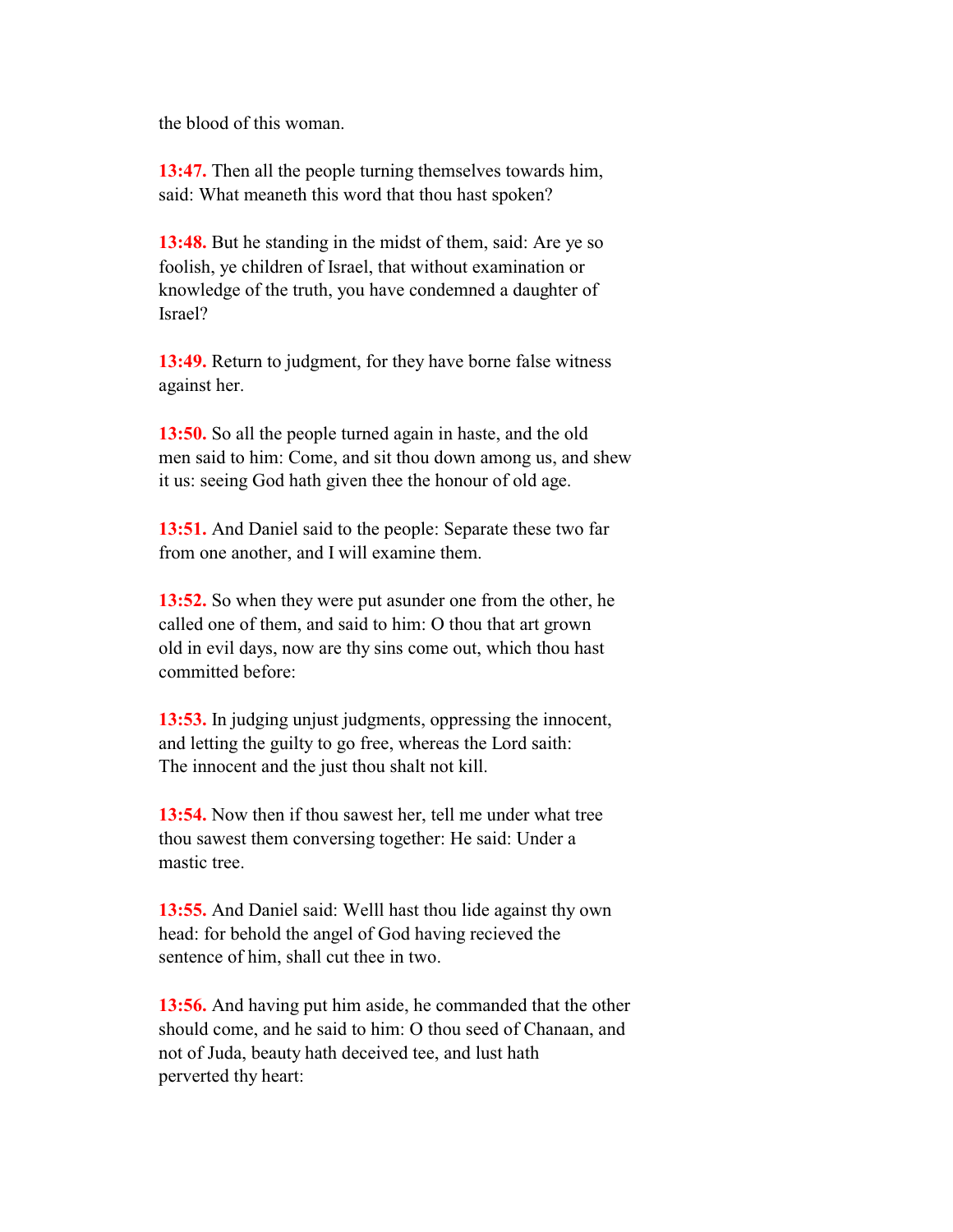the blood of this woman.

 **13:47.** Then all the people turning themselves towards him, said: What meaneth this word that thou hast spoken?

 **13:48.** But he standing in the midst of them, said: Are ye so foolish, ye children of Israel, that without examination or knowledge of the truth, you have condemned a daughter of Israel?

 **13:49.** Return to judgment, for they have borne false witness against her.

 **13:50.** So all the people turned again in haste, and the old men said to him: Come, and sit thou down among us, and shew it us: seeing God hath given thee the honour of old age.

 **13:51.** And Daniel said to the people: Separate these two far from one another, and I will examine them.

 **13:52.** So when they were put asunder one from the other, he called one of them, and said to him: O thou that art grown old in evil days, now are thy sins come out, which thou hast committed before:

 **13:53.** In judging unjust judgments, oppressing the innocent, and letting the guilty to go free, whereas the Lord saith: The innocent and the just thou shalt not kill.

 **13:54.** Now then if thou sawest her, tell me under what tree thou sawest them conversing together: He said: Under a mastic tree.

13:55. And Daniel said: Welll hast thou lide against thy own head: for behold the angel of God having recieved the sentence of him, shall cut thee in two.

 **13:56.** And having put him aside, he commanded that the other should come, and he said to him: O thou seed of Chanaan, and not of Juda, beauty hath deceived tee, and lust hath perverted thy heart: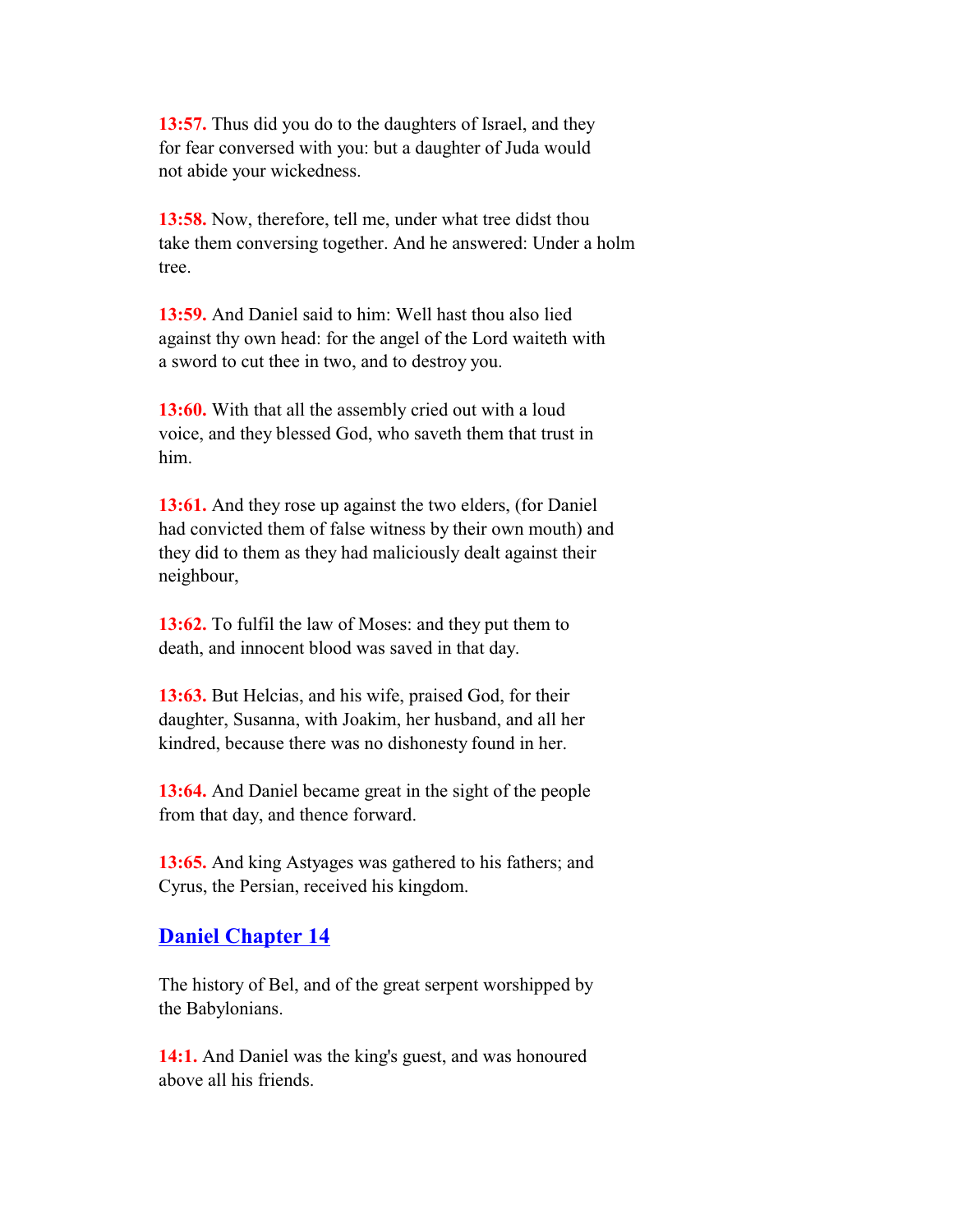**13:57.** Thus did you do to the daughters of Israel, and they for fear conversed with you: but a daughter of Juda would not abide your wickedness.

 **13:58.** Now, therefore, tell me, under what tree didst thou take them conversing together. And he answered: Under a holm tree.

 **13:59.** And Daniel said to him: Well hast thou also lied against thy own head: for the angel of the Lord waiteth with a sword to cut thee in two, and to destroy you.

 **13:60.** With that all the assembly cried out with a loud voice, and they blessed God, who saveth them that trust in him.

 **13:61.** And they rose up against the two elders, (for Daniel had convicted them of false witness by their own mouth) and they did to them as they had maliciously dealt against their neighbour,

 **13:62.** To fulfil the law of Moses: and they put them to death, and innocent blood was saved in that day.

 **13:63.** But Helcias, and his wife, praised God, for their daughter, Susanna, with Joakim, her husband, and all her kindred, because there was no dishonesty found in her.

 **13:64.** And Daniel became great in the sight of the people from that day, and thence forward.

 **13:65.** And king Astyages was gathered to his fathers; and Cyrus, the Persian, received his kingdom.

### **Daniel Chapter 14**

 The history of Bel, and of the great serpent worshipped by the Babylonians.

 **14:1.** And Daniel was the king's guest, and was honoured above all his friends.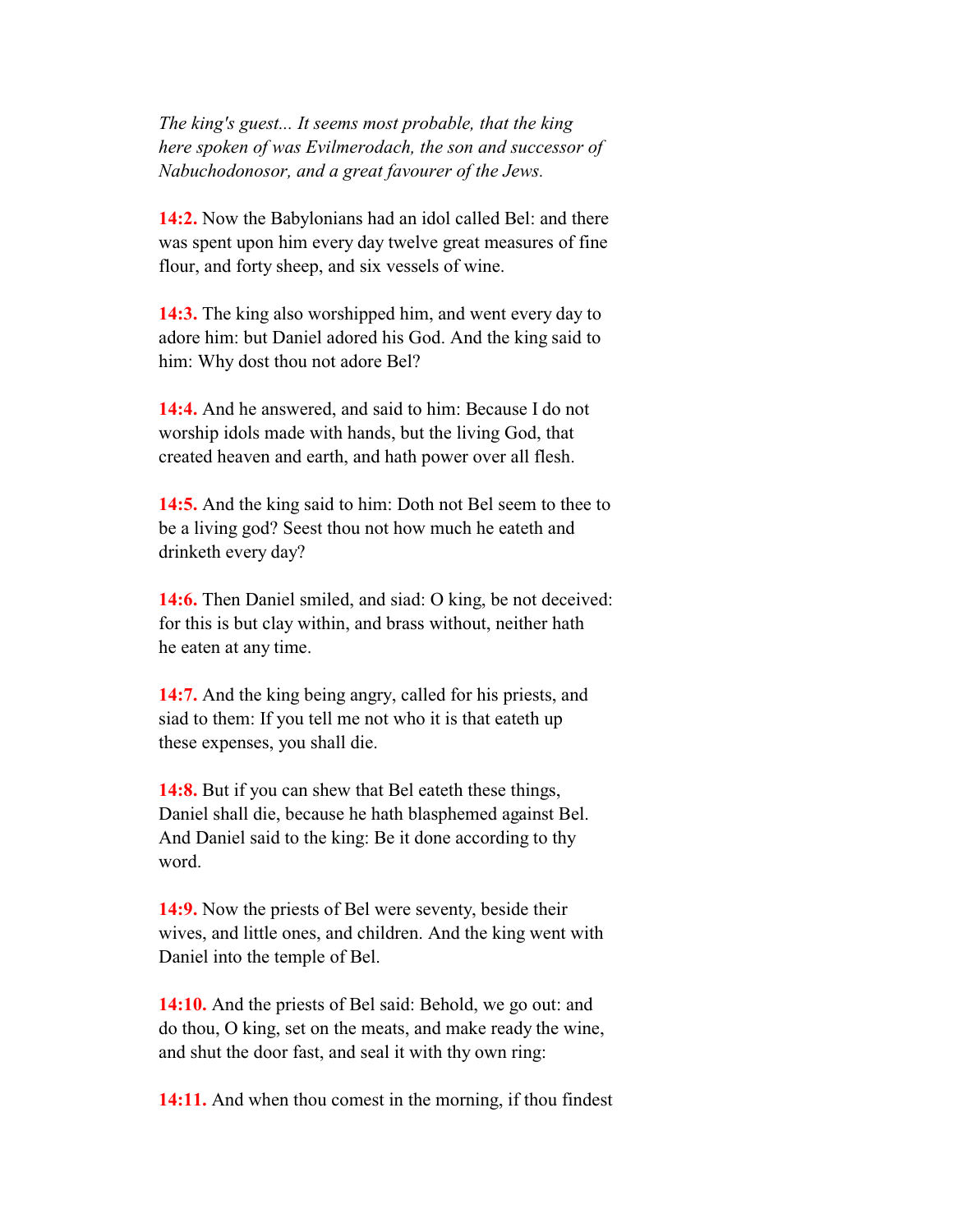*The king's guest... It seems most probable, that the king here spoken of was Evilmerodach, the son and successor of Nabuchodonosor, and a great favourer of the Jews.*

 **14:2.** Now the Babylonians had an idol called Bel: and there was spent upon him every day twelve great measures of fine flour, and forty sheep, and six vessels of wine.

 **14:3.** The king also worshipped him, and went every day to adore him: but Daniel adored his God. And the king said to him: Why dost thou not adore Bel?

 **14:4.** And he answered, and said to him: Because I do not worship idols made with hands, but the living God, that created heaven and earth, and hath power over all flesh.

 **14:5.** And the king said to him: Doth not Bel seem to thee to be a living god? Seest thou not how much he eateth and drinketh every day?

 **14:6.** Then Daniel smiled, and siad: O king, be not deceived: for this is but clay within, and brass without, neither hath he eaten at any time.

 **14:7.** And the king being angry, called for his priests, and siad to them: If you tell me not who it is that eateth up these expenses, you shall die.

 **14:8.** But if you can shew that Bel eateth these things, Daniel shall die, because he hath blasphemed against Bel. And Daniel said to the king: Be it done according to thy word.

 **14:9.** Now the priests of Bel were seventy, beside their wives, and little ones, and children. And the king went with Daniel into the temple of Bel.

 **14:10.** And the priests of Bel said: Behold, we go out: and do thou, O king, set on the meats, and make ready the wine, and shut the door fast, and seal it with thy own ring:

**14:11.** And when thou comest in the morning, if thou findest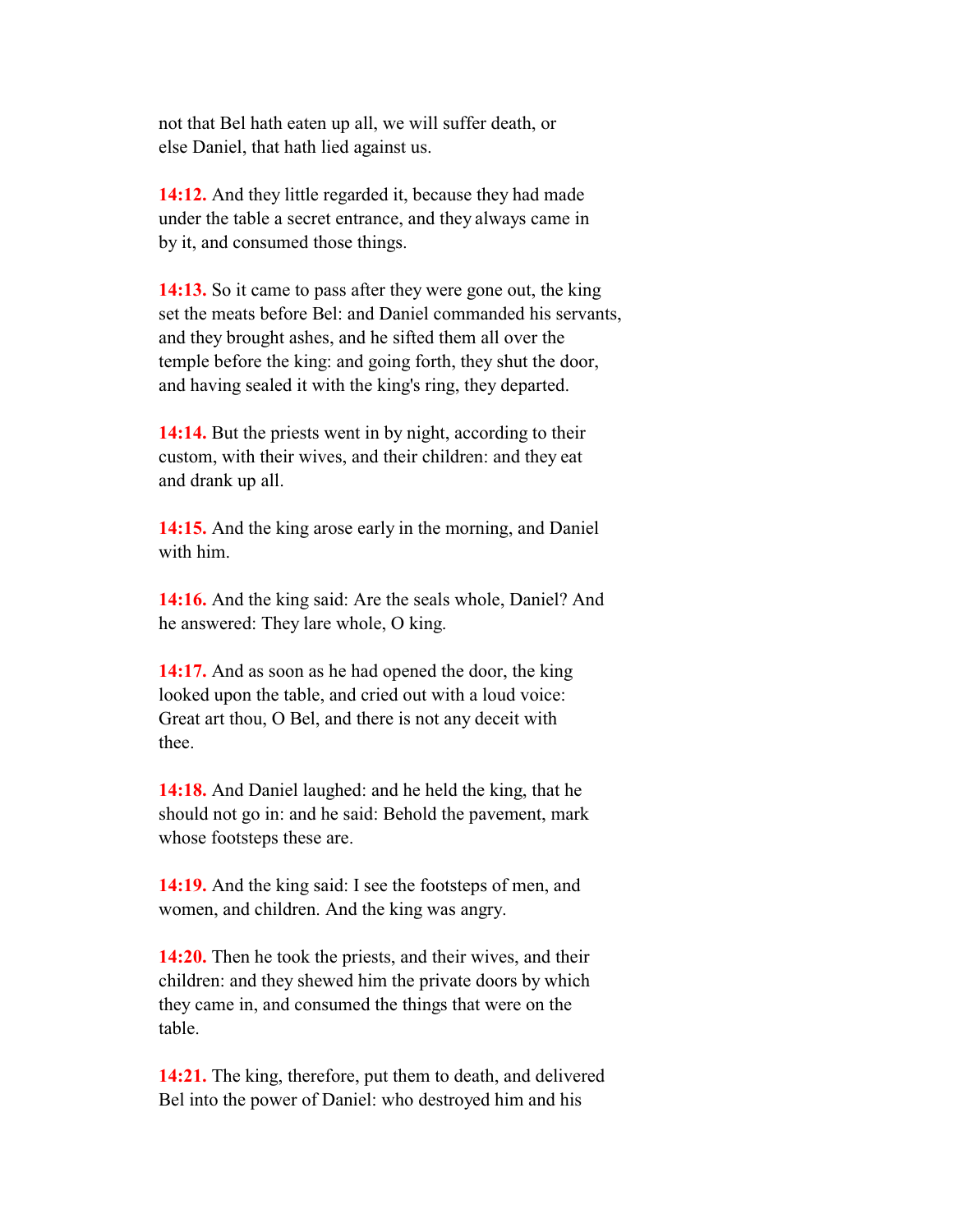not that Bel hath eaten up all, we will suffer death, or else Daniel, that hath lied against us.

 **14:12.** And they little regarded it, because they had made under the table a secret entrance, and they always came in by it, and consumed those things.

 **14:13.** So it came to pass after they were gone out, the king set the meats before Bel: and Daniel commanded his servants, and they brought ashes, and he sifted them all over the temple before the king: and going forth, they shut the door, and having sealed it with the king's ring, they departed.

 **14:14.** But the priests went in by night, according to their custom, with their wives, and their children: and they eat and drank up all.

 **14:15.** And the king arose early in the morning, and Daniel with him.

 **14:16.** And the king said: Are the seals whole, Daniel? And he answered: They lare whole, O king.

 **14:17.** And as soon as he had opened the door, the king looked upon the table, and cried out with a loud voice: Great art thou, O Bel, and there is not any deceit with thee.

 **14:18.** And Daniel laughed: and he held the king, that he should not go in: and he said: Behold the pavement, mark whose footsteps these are.

 **14:19.** And the king said: I see the footsteps of men, and women, and children. And the king was angry.

 **14:20.** Then he took the priests, and their wives, and their children: and they shewed him the private doors by which they came in, and consumed the things that were on the table.

 **14:21.** The king, therefore, put them to death, and delivered Bel into the power of Daniel: who destroyed him and his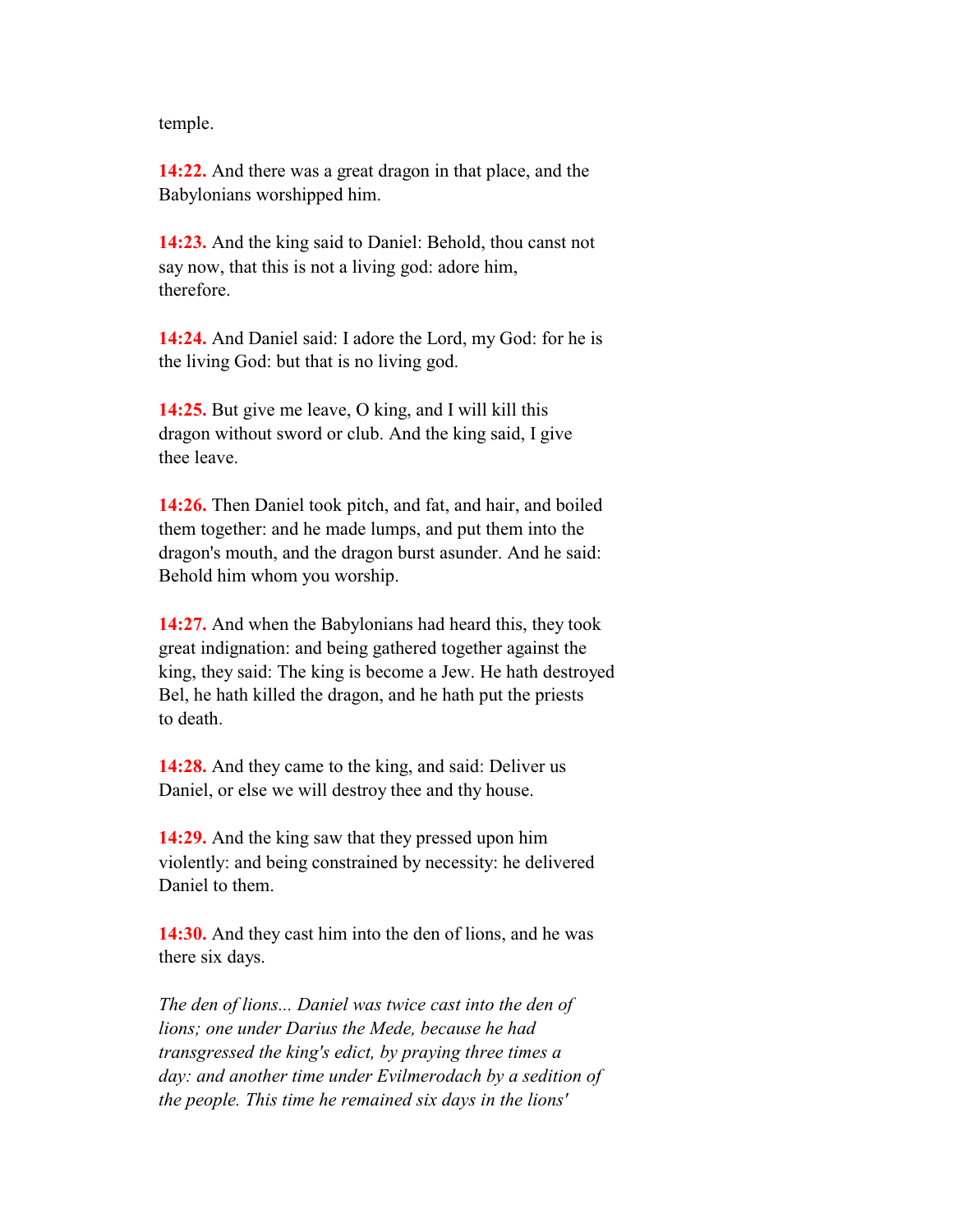temple.

 **14:22.** And there was a great dragon in that place, and the Babylonians worshipped him.

 **14:23.** And the king said to Daniel: Behold, thou canst not say now, that this is not a living god: adore him, therefore.

 **14:24.** And Daniel said: I adore the Lord, my God: for he is the living God: but that is no living god.

 **14:25.** But give me leave, O king, and I will kill this dragon without sword or club. And the king said, I give thee leave.

 **14:26.** Then Daniel took pitch, and fat, and hair, and boiled them together: and he made lumps, and put them into the dragon's mouth, and the dragon burst asunder. And he said: Behold him whom you worship.

 **14:27.** And when the Babylonians had heard this, they took great indignation: and being gathered together against the king, they said: The king is become a Jew. He hath destroyed Bel, he hath killed the dragon, and he hath put the priests to death.

 **14:28.** And they came to the king, and said: Deliver us Daniel, or else we will destroy thee and thy house.

 **14:29.** And the king saw that they pressed upon him violently: and being constrained by necessity: he delivered Daniel to them.

 **14:30.** And they cast him into the den of lions, and he was there six days.

 *The den of lions... Daniel was twice cast into the den of lions; one under Darius the Mede, because he had transgressed the king's edict, by praying three times a day: and another time under Evilmerodach by a sedition of the people. This time he remained six days in the lions'*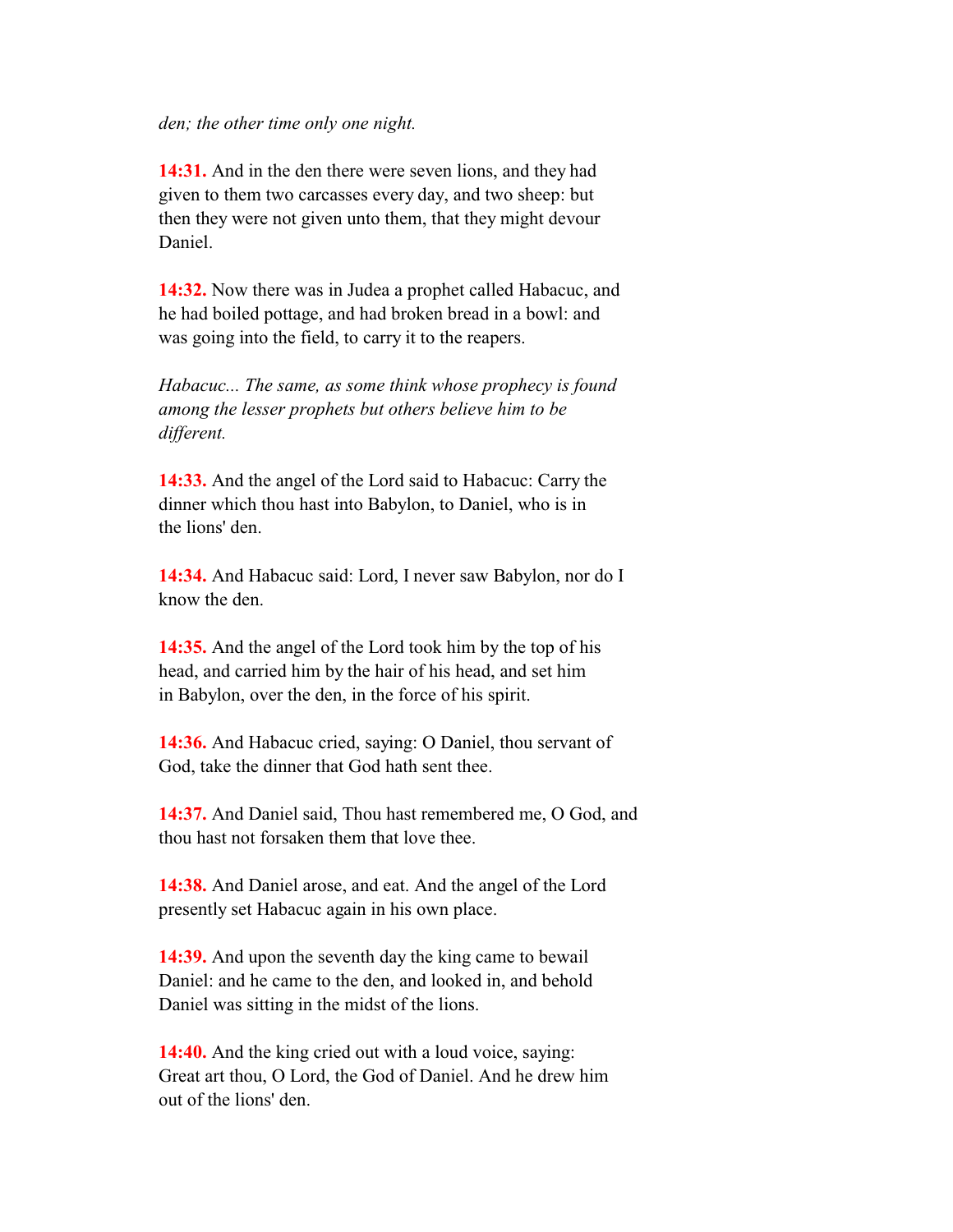#### *den; the other time only one night.*

 **14:31.** And in the den there were seven lions, and they had given to them two carcasses every day, and two sheep: but then they were not given unto them, that they might devour Daniel.

 **14:32.** Now there was in Judea a prophet called Habacuc, and he had boiled pottage, and had broken bread in a bowl: and was going into the field, to carry it to the reapers.

 *Habacuc... The same, as some think whose prophecy is found among the lesser prophets but others believe him to be different.*

 **14:33.** And the angel of the Lord said to Habacuc: Carry the dinner which thou hast into Babylon, to Daniel, who is in the lions' den.

 **14:34.** And Habacuc said: Lord, I never saw Babylon, nor do I know the den.

 **14:35.** And the angel of the Lord took him by the top of his head, and carried him by the hair of his head, and set him in Babylon, over the den, in the force of his spirit.

 **14:36.** And Habacuc cried, saying: O Daniel, thou servant of God, take the dinner that God hath sent thee.

 **14:37.** And Daniel said, Thou hast remembered me, O God, and thou hast not forsaken them that love thee.

 **14:38.** And Daniel arose, and eat. And the angel of the Lord presently set Habacuc again in his own place.

 **14:39.** And upon the seventh day the king came to bewail Daniel: and he came to the den, and looked in, and behold Daniel was sitting in the midst of the lions.

 **14:40.** And the king cried out with a loud voice, saying: Great art thou, O Lord, the God of Daniel. And he drew him out of the lions' den.